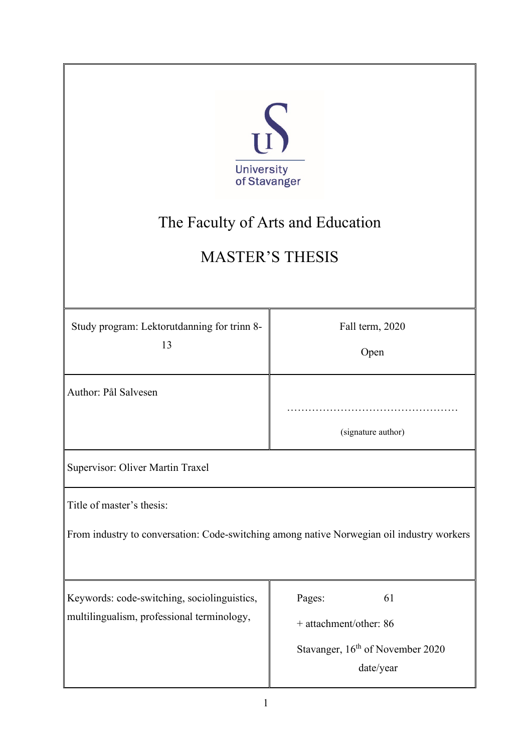| S<br><b>University</b><br>of Stavanger<br>The Faculty of Arts and Education<br><b>MASTER'S THESIS</b>                  |                                                                                                     |  |
|------------------------------------------------------------------------------------------------------------------------|-----------------------------------------------------------------------------------------------------|--|
| Study program: Lektorutdanning for trinn 8-<br>13                                                                      | Fall term, 2020<br>Open                                                                             |  |
| Author: Pål Salvesen                                                                                                   | (signature author)                                                                                  |  |
| Supervisor: Oliver Martin Traxel                                                                                       |                                                                                                     |  |
| Title of master's thesis:<br>From industry to conversation: Code-switching among native Norwegian oil industry workers |                                                                                                     |  |
| Keywords: code-switching, sociolinguistics,<br>multilingualism, professional terminology,                              | Pages:<br>61<br>+ attachment/other: 86<br>Stavanger, 16 <sup>th</sup> of November 2020<br>date/year |  |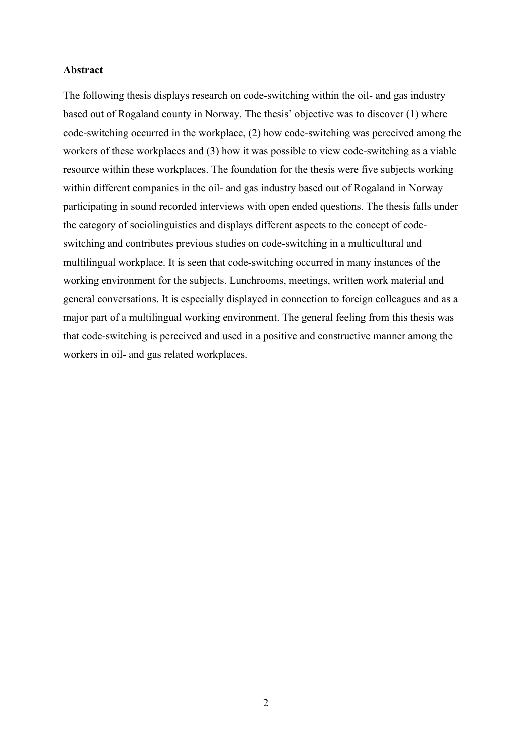#### **Abstract**

The following thesis displays research on code-switching within the oil- and gas industry based out of Rogaland county in Norway. The thesis' objective was to discover (1) where code-switching occurred in the workplace, (2) how code-switching was perceived among the workers of these workplaces and (3) how it was possible to view code-switching as a viable resource within these workplaces. The foundation for the thesis were five subjects working within different companies in the oil- and gas industry based out of Rogaland in Norway participating in sound recorded interviews with open ended questions. The thesis falls under the category of sociolinguistics and displays different aspects to the concept of codeswitching and contributes previous studies on code-switching in a multicultural and multilingual workplace. It is seen that code-switching occurred in many instances of the working environment for the subjects. Lunchrooms, meetings, written work material and general conversations. It is especially displayed in connection to foreign colleagues and as a major part of a multilingual working environment. The general feeling from this thesis was that code-switching is perceived and used in a positive and constructive manner among the workers in oil- and gas related workplaces.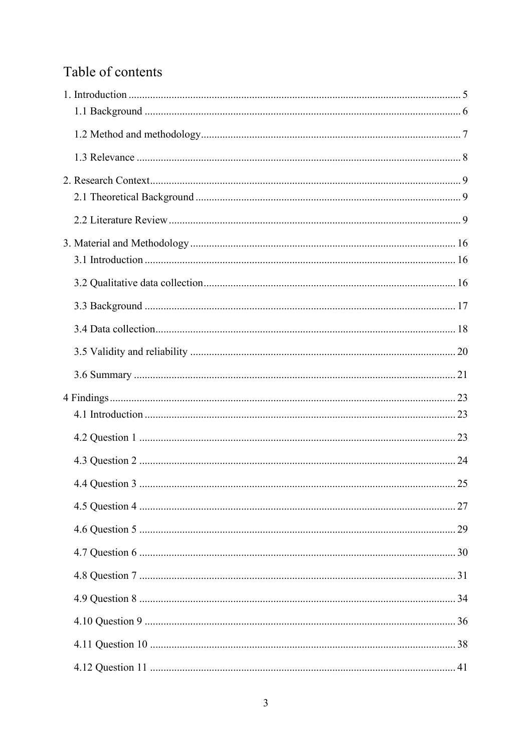# Table of contents

| 25 |
|----|
|    |
|    |
|    |
|    |
|    |
|    |
|    |
|    |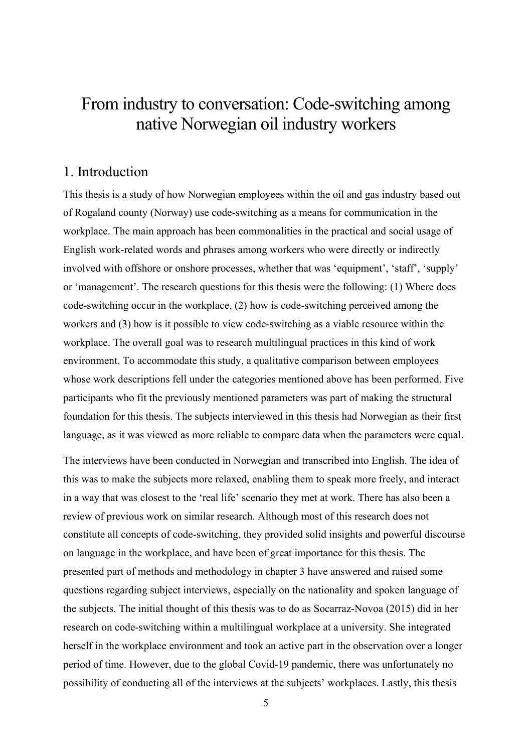# From industry to conversation: Code-switching among native Norwegian oil industry workers

## <span id="page-4-0"></span>1. Introduction

This thesis is a study of how Norwegian employees within the oil and gas industry based out of Rogaland county (Norway) use code-switching as a means for communication in the workplace. The main approach has been commonalities in the practical and social usage of English work-related words and phrases among workers who were directly or indirectly involved with offshore or onshore processes, whether that was 'equipment', 'staff', 'supply' or 'management'. The research questions for this thesis were the following: (1) Where does code-switching occur in the workplace, (2) how is code-switching perceived among the workers and (3) how is it possible to view code-switching as a viable resource within the workplace. The overall goal was to research multilingual practices in this kind of work environment. To accommodate this study, a qualitative comparison between employees whose work descriptions fell under the categories mentioned above has been performed. Five participants who fit the previously mentioned parameters was part of making the structural foundation for this thesis. The subjects interviewed in this thesis had Norwegian as their first language, as it was viewed as more reliable to compare data when the parameters were equal.

The interviews have been conducted in Norwegian and transcribed into English. The idea of this was to make the subjects more relaxed, enabling them to speak more freely, and interact in a way that was closest to the 'real life' scenario they met at work. There has also been a review of previous work on similar research. Although most of this research does not constitute all concepts of code-switching, they provided solid insights and powerful discourse on language in the workplace, and have been of great importance for this thesis. The presented part of methods and methodology in chapter 3 have answered and raised some questions regarding subject interviews, especially on the nationality and spoken language of the subjects. The initial thought of this thesis was to do as Socarraz-Novoa (2015) did in her research on code-switching within a multilingual workplace at a university. She integrated herself in the workplace environment and took an active part in the observation over a longer period of time. However, due to the global Covid-19 pandemic, there was unfortunately no possibility of conducting all of the interviews at the subjects' workplaces. Lastly, this thesis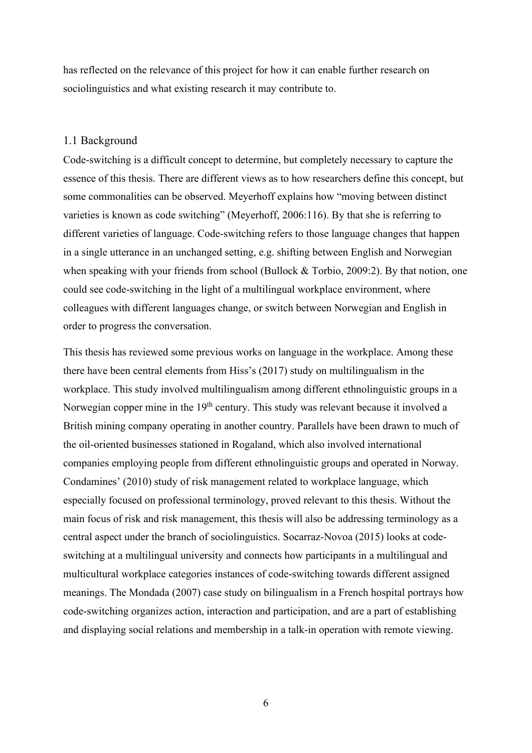has reflected on the relevance of this project for how it can enable further research on sociolinguistics and what existing research it may contribute to.

#### <span id="page-5-0"></span>1.1 Background

Code-switching is a difficult concept to determine, but completely necessary to capture the essence of this thesis. There are different views as to how researchers define this concept, but some commonalities can be observed. Meyerhoff explains how "moving between distinct varieties is known as code switching" (Meyerhoff, 2006:116). By that she is referring to different varieties of language. Code-switching refers to those language changes that happen in a single utterance in an unchanged setting, e.g. shifting between English and Norwegian when speaking with your friends from school (Bullock & Torbio, 2009:2). By that notion, one could see code-switching in the light of a multilingual workplace environment, where colleagues with different languages change, or switch between Norwegian and English in order to progress the conversation.

This thesis has reviewed some previous works on language in the workplace. Among these there have been central elements from Hiss's (2017) study on multilingualism in the workplace. This study involved multilingualism among different ethnolinguistic groups in a Norwegian copper mine in the 19<sup>th</sup> century. This study was relevant because it involved a British mining company operating in another country. Parallels have been drawn to much of the oil-oriented businesses stationed in Rogaland, which also involved international companies employing people from different ethnolinguistic groups and operated in Norway. Condamines' (2010) study of risk management related to workplace language, which especially focused on professional terminology, proved relevant to this thesis. Without the main focus of risk and risk management, this thesis will also be addressing terminology as a central aspect under the branch of sociolinguistics. Socarraz-Novoa (2015) looks at codeswitching at a multilingual university and connects how participants in a multilingual and multicultural workplace categories instances of code-switching towards different assigned meanings. The Mondada (2007) case study on bilingualism in a French hospital portrays how code-switching organizes action, interaction and participation, and are a part of establishing and displaying social relations and membership in a talk-in operation with remote viewing.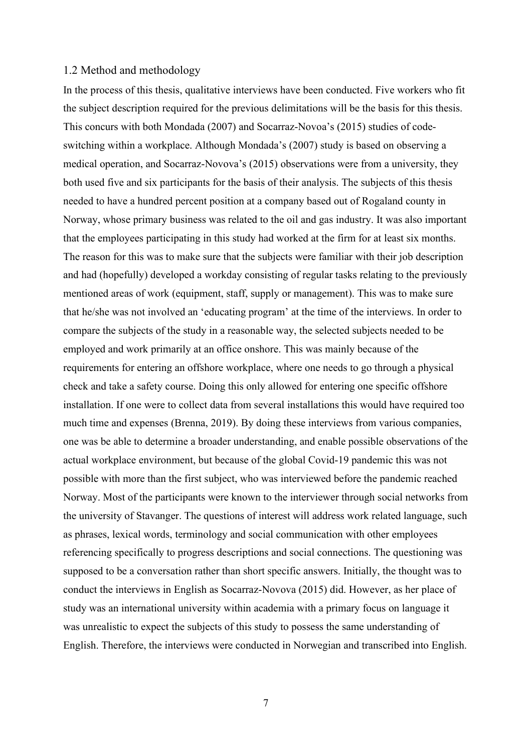#### <span id="page-6-0"></span>1.2 Method and methodology

In the process of this thesis, qualitative interviews have been conducted. Five workers who fit the subject description required for the previous delimitations will be the basis for this thesis. This concurs with both Mondada (2007) and Socarraz-Novoa's (2015) studies of codeswitching within a workplace. Although Mondada's (2007) study is based on observing a medical operation, and Socarraz-Novova's (2015) observations were from a university, they both used five and six participants for the basis of their analysis. The subjects of this thesis needed to have a hundred percent position at a company based out of Rogaland county in Norway, whose primary business was related to the oil and gas industry. It was also important that the employees participating in this study had worked at the firm for at least six months. The reason for this was to make sure that the subjects were familiar with their job description and had (hopefully) developed a workday consisting of regular tasks relating to the previously mentioned areas of work (equipment, staff, supply or management). This was to make sure that he/she was not involved an 'educating program' at the time of the interviews. In order to compare the subjects of the study in a reasonable way, the selected subjects needed to be employed and work primarily at an office onshore. This was mainly because of the requirements for entering an offshore workplace, where one needs to go through a physical check and take a safety course. Doing this only allowed for entering one specific offshore installation. If one were to collect data from several installations this would have required too much time and expenses (Brenna, 2019). By doing these interviews from various companies, one was be able to determine a broader understanding, and enable possible observations of the actual workplace environment, but because of the global Covid-19 pandemic this was not possible with more than the first subject, who was interviewed before the pandemic reached Norway. Most of the participants were known to the interviewer through social networks from the university of Stavanger. The questions of interest will address work related language, such as phrases, lexical words, terminology and social communication with other employees referencing specifically to progress descriptions and social connections. The questioning was supposed to be a conversation rather than short specific answers. Initially, the thought was to conduct the interviews in English as Socarraz-Novova (2015) did. However, as her place of study was an international university within academia with a primary focus on language it was unrealistic to expect the subjects of this study to possess the same understanding of English. Therefore, the interviews were conducted in Norwegian and transcribed into English.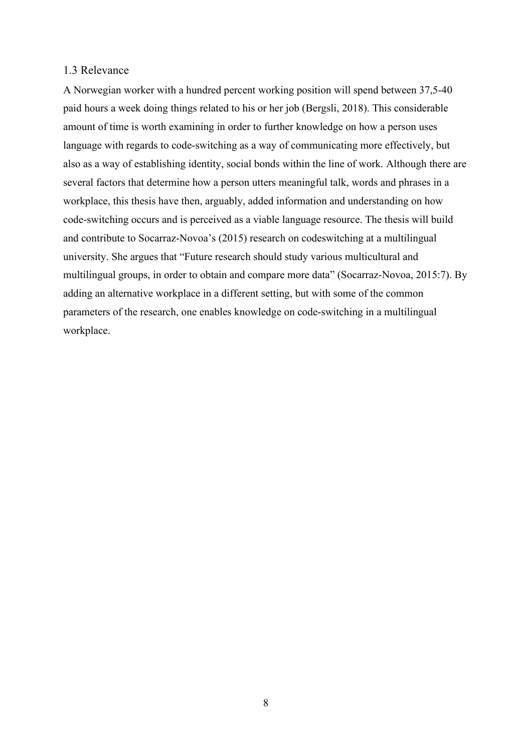#### <span id="page-7-0"></span>1.3 Relevance

A Norwegian worker with a hundred percent working position will spend between 37,5-40 paid hours a week doing things related to his or her job (Bergsli, 2018). This considerable amount of time is worth examining in order to further knowledge on how a person uses language with regards to code-switching as a way of communicating more effectively, but also as a way of establishing identity, social bonds within the line of work. Although there are several factors that determine how a person utters meaningful talk, words and phrases in a workplace, this thesis have then, arguably, added information and understanding on how code-switching occurs and is perceived as a viable language resource. The thesis will build and contribute to Socarraz-Novoa's (2015) research on codeswitching at a multilingual university. She argues that "Future research should study various multicultural and multilingual groups, in order to obtain and compare more data" (Socarraz-Novoa, 2015:7). By adding an alternative workplace in a different setting, but with some of the common parameters of the research, one enables knowledge on code-switching in a multilingual workplace.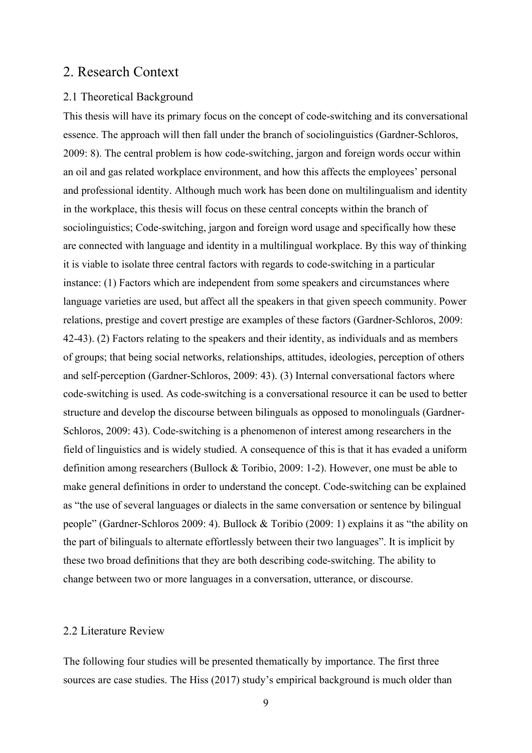## <span id="page-8-0"></span>2. Research Context

## <span id="page-8-1"></span>2.1 Theoretical Background

This thesis will have its primary focus on the concept of code-switching and its conversational essence. The approach will then fall under the branch of sociolinguistics (Gardner-Schloros, 2009: 8). The central problem is how code-switching, jargon and foreign words occur within an oil and gas related workplace environment, and how this affects the employees' personal and professional identity. Although much work has been done on multilingualism and identity in the workplace, this thesis will focus on these central concepts within the branch of sociolinguistics; Code-switching, jargon and foreign word usage and specifically how these are connected with language and identity in a multilingual workplace. By this way of thinking it is viable to isolate three central factors with regards to code-switching in a particular instance: (1) Factors which are independent from some speakers and circumstances where language varieties are used, but affect all the speakers in that given speech community. Power relations, prestige and covert prestige are examples of these factors (Gardner-Schloros, 2009: 42-43). (2) Factors relating to the speakers and their identity, as individuals and as members of groups; that being social networks, relationships, attitudes, ideologies, perception of others and self-perception (Gardner-Schloros, 2009: 43). (3) Internal conversational factors where code-switching is used. As code-switching is a conversational resource it can be used to better structure and develop the discourse between bilinguals as opposed to monolinguals (Gardner-Schloros, 2009: 43). Code-switching is a phenomenon of interest among researchers in the field of linguistics and is widely studied. A consequence of this is that it has evaded a uniform definition among researchers (Bullock & Toribio, 2009: 1-2). However, one must be able to make general definitions in order to understand the concept. Code-switching can be explained as "the use of several languages or dialects in the same conversation or sentence by bilingual people" (Gardner-Schloros 2009: 4). Bullock & Toribio (2009: 1) explains it as "the ability on the part of bilinguals to alternate effortlessly between their two languages". It is implicit by these two broad definitions that they are both describing code-switching. The ability to change between two or more languages in a conversation, utterance, or discourse.

## <span id="page-8-2"></span>2.2 Literature Review

The following four studies will be presented thematically by importance. The first three sources are case studies. The Hiss (2017) study's empirical background is much older than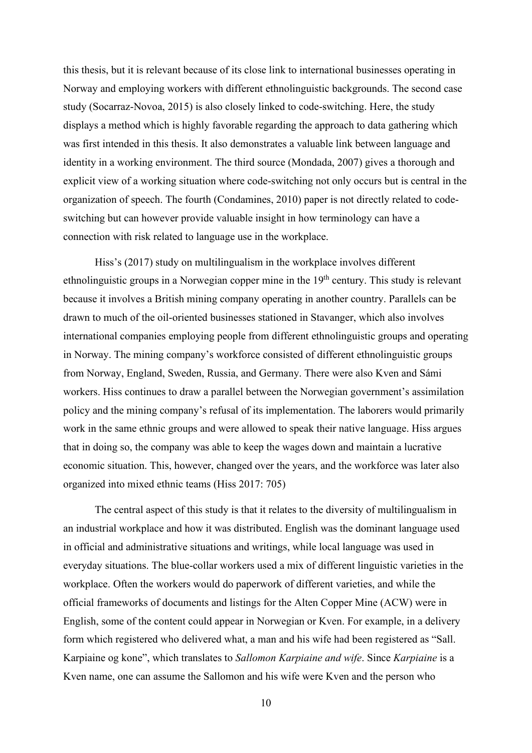this thesis, but it is relevant because of its close link to international businesses operating in Norway and employing workers with different ethnolinguistic backgrounds. The second case study (Socarraz-Novoa, 2015) is also closely linked to code-switching. Here, the study displays a method which is highly favorable regarding the approach to data gathering which was first intended in this thesis. It also demonstrates a valuable link between language and identity in a working environment. The third source (Mondada, 2007) gives a thorough and explicit view of a working situation where code-switching not only occurs but is central in the organization of speech. The fourth (Condamines, 2010) paper is not directly related to codeswitching but can however provide valuable insight in how terminology can have a connection with risk related to language use in the workplace.

Hiss's (2017) study on multilingualism in the workplace involves different ethnolinguistic groups in a Norwegian copper mine in the 19<sup>th</sup> century. This study is relevant because it involves a British mining company operating in another country. Parallels can be drawn to much of the oil-oriented businesses stationed in Stavanger, which also involves international companies employing people from different ethnolinguistic groups and operating in Norway. The mining company's workforce consisted of different ethnolinguistic groups from Norway, England, Sweden, Russia, and Germany. There were also Kven and Sámi workers. Hiss continues to draw a parallel between the Norwegian government's assimilation policy and the mining company's refusal of its implementation. The laborers would primarily work in the same ethnic groups and were allowed to speak their native language. Hiss argues that in doing so, the company was able to keep the wages down and maintain a lucrative economic situation. This, however, changed over the years, and the workforce was later also organized into mixed ethnic teams (Hiss 2017: 705)

The central aspect of this study is that it relates to the diversity of multilingualism in an industrial workplace and how it was distributed. English was the dominant language used in official and administrative situations and writings, while local language was used in everyday situations. The blue-collar workers used a mix of different linguistic varieties in the workplace. Often the workers would do paperwork of different varieties, and while the official frameworks of documents and listings for the Alten Copper Mine (ACW) were in English, some of the content could appear in Norwegian or Kven. For example, in a delivery form which registered who delivered what, a man and his wife had been registered as "Sall. Karpiaine og kone", which translates to *Sallomon Karpiaine and wife*. Since *Karpiaine* is a Kven name, one can assume the Sallomon and his wife were Kven and the person who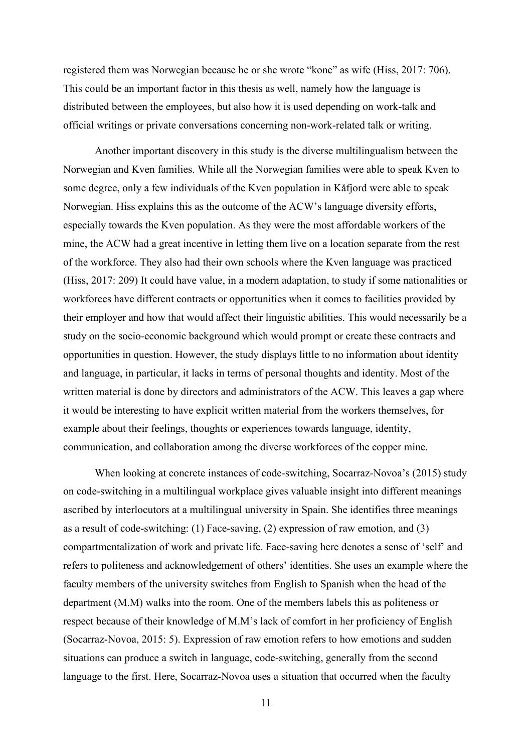registered them was Norwegian because he or she wrote "kone" as wife (Hiss, 2017: 706). This could be an important factor in this thesis as well, namely how the language is distributed between the employees, but also how it is used depending on work-talk and official writings or private conversations concerning non-work-related talk or writing.

Another important discovery in this study is the diverse multilingualism between the Norwegian and Kven families. While all the Norwegian families were able to speak Kven to some degree, only a few individuals of the Kven population in Kåfjord were able to speak Norwegian. Hiss explains this as the outcome of the ACW's language diversity efforts, especially towards the Kven population. As they were the most affordable workers of the mine, the ACW had a great incentive in letting them live on a location separate from the rest of the workforce. They also had their own schools where the Kven language was practiced (Hiss, 2017: 209) It could have value, in a modern adaptation, to study if some nationalities or workforces have different contracts or opportunities when it comes to facilities provided by their employer and how that would affect their linguistic abilities. This would necessarily be a study on the socio-economic background which would prompt or create these contracts and opportunities in question. However, the study displays little to no information about identity and language, in particular, it lacks in terms of personal thoughts and identity. Most of the written material is done by directors and administrators of the ACW. This leaves a gap where it would be interesting to have explicit written material from the workers themselves, for example about their feelings, thoughts or experiences towards language, identity, communication, and collaboration among the diverse workforces of the copper mine.

When looking at concrete instances of code-switching, Socarraz-Novoa's (2015) study on code-switching in a multilingual workplace gives valuable insight into different meanings ascribed by interlocutors at a multilingual university in Spain. She identifies three meanings as a result of code-switching: (1) Face-saving, (2) expression of raw emotion, and (3) compartmentalization of work and private life. Face-saving here denotes a sense of 'self' and refers to politeness and acknowledgement of others' identities. She uses an example where the faculty members of the university switches from English to Spanish when the head of the department (M.M) walks into the room. One of the members labels this as politeness or respect because of their knowledge of M.M's lack of comfort in her proficiency of English (Socarraz-Novoa, 2015: 5). Expression of raw emotion refers to how emotions and sudden situations can produce a switch in language, code-switching, generally from the second language to the first. Here, Socarraz-Novoa uses a situation that occurred when the faculty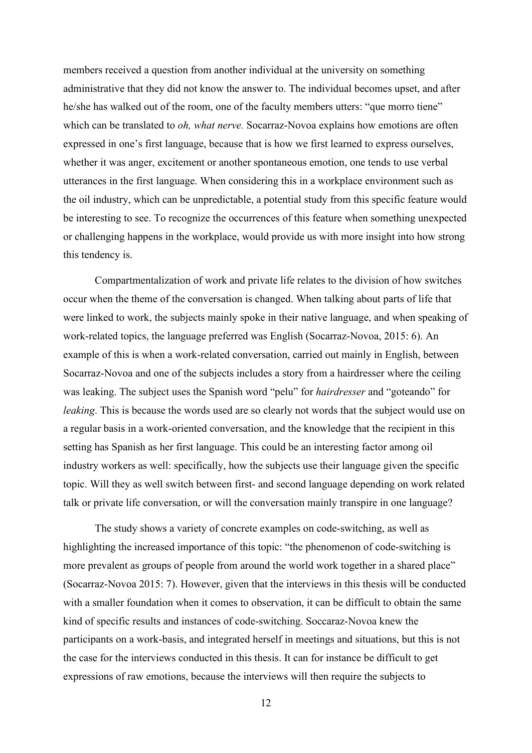members received a question from another individual at the university on something administrative that they did not know the answer to. The individual becomes upset, and after he/she has walked out of the room, one of the faculty members utters: "que morro tiene" which can be translated to *oh, what nerve.* Socarraz-Novoa explains how emotions are often expressed in one's first language, because that is how we first learned to express ourselves, whether it was anger, excitement or another spontaneous emotion, one tends to use verbal utterances in the first language. When considering this in a workplace environment such as the oil industry, which can be unpredictable, a potential study from this specific feature would be interesting to see. To recognize the occurrences of this feature when something unexpected or challenging happens in the workplace, would provide us with more insight into how strong this tendency is.

Compartmentalization of work and private life relates to the division of how switches occur when the theme of the conversation is changed. When talking about parts of life that were linked to work, the subjects mainly spoke in their native language, and when speaking of work-related topics, the language preferred was English (Socarraz-Novoa, 2015: 6). An example of this is when a work-related conversation, carried out mainly in English, between Socarraz-Novoa and one of the subjects includes a story from a hairdresser where the ceiling was leaking. The subject uses the Spanish word "pelu" for *hairdresser* and "goteando" for *leaking*. This is because the words used are so clearly not words that the subject would use on a regular basis in a work-oriented conversation, and the knowledge that the recipient in this setting has Spanish as her first language. This could be an interesting factor among oil industry workers as well: specifically, how the subjects use their language given the specific topic. Will they as well switch between first- and second language depending on work related talk or private life conversation, or will the conversation mainly transpire in one language?

The study shows a variety of concrete examples on code-switching, as well as highlighting the increased importance of this topic: "the phenomenon of code-switching is more prevalent as groups of people from around the world work together in a shared place" (Socarraz-Novoa 2015: 7). However, given that the interviews in this thesis will be conducted with a smaller foundation when it comes to observation, it can be difficult to obtain the same kind of specific results and instances of code-switching. Soccaraz-Novoa knew the participants on a work-basis, and integrated herself in meetings and situations, but this is not the case for the interviews conducted in this thesis. It can for instance be difficult to get expressions of raw emotions, because the interviews will then require the subjects to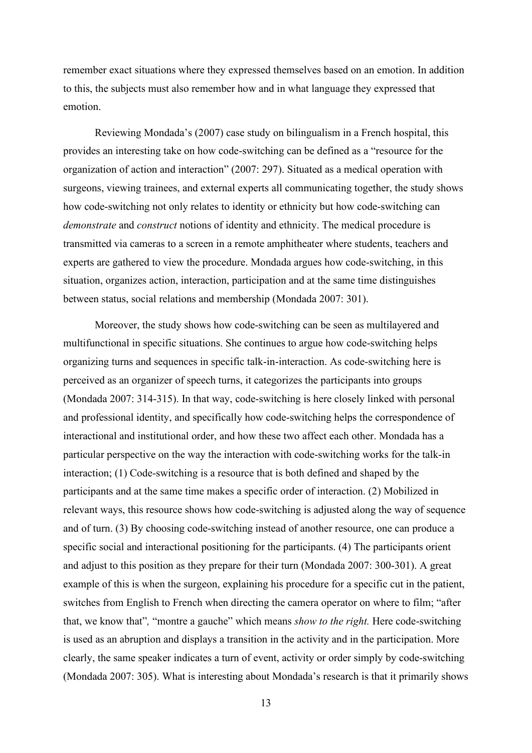remember exact situations where they expressed themselves based on an emotion. In addition to this, the subjects must also remember how and in what language they expressed that emotion.

Reviewing Mondada's (2007) case study on bilingualism in a French hospital, this provides an interesting take on how code-switching can be defined as a "resource for the organization of action and interaction" (2007: 297). Situated as a medical operation with surgeons, viewing trainees, and external experts all communicating together, the study shows how code-switching not only relates to identity or ethnicity but how code-switching can *demonstrate* and *construct* notions of identity and ethnicity. The medical procedure is transmitted via cameras to a screen in a remote amphitheater where students, teachers and experts are gathered to view the procedure. Mondada argues how code-switching, in this situation, organizes action, interaction, participation and at the same time distinguishes between status, social relations and membership (Mondada 2007: 301).

Moreover, the study shows how code-switching can be seen as multilayered and multifunctional in specific situations. She continues to argue how code-switching helps organizing turns and sequences in specific talk-in-interaction. As code-switching here is perceived as an organizer of speech turns, it categorizes the participants into groups (Mondada 2007: 314-315). In that way, code-switching is here closely linked with personal and professional identity, and specifically how code-switching helps the correspondence of interactional and institutional order, and how these two affect each other. Mondada has a particular perspective on the way the interaction with code-switching works for the talk-in interaction; (1) Code-switching is a resource that is both defined and shaped by the participants and at the same time makes a specific order of interaction. (2) Mobilized in relevant ways, this resource shows how code-switching is adjusted along the way of sequence and of turn. (3) By choosing code-switching instead of another resource, one can produce a specific social and interactional positioning for the participants. (4) The participants orient and adjust to this position as they prepare for their turn (Mondada 2007: 300-301). A great example of this is when the surgeon, explaining his procedure for a specific cut in the patient, switches from English to French when directing the camera operator on where to film; "after that, we know that"*,* "montre a gauche" which means *show to the right.* Here code-switching is used as an abruption and displays a transition in the activity and in the participation. More clearly, the same speaker indicates a turn of event, activity or order simply by code-switching (Mondada 2007: 305). What is interesting about Mondada's research is that it primarily shows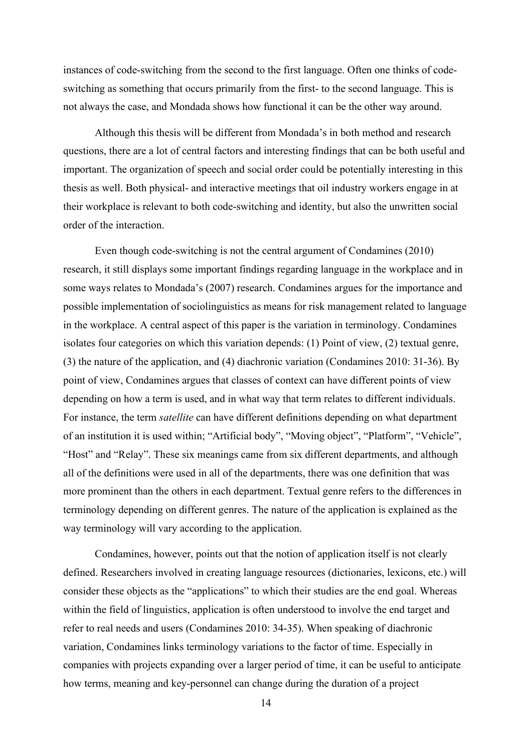instances of code-switching from the second to the first language. Often one thinks of codeswitching as something that occurs primarily from the first- to the second language. This is not always the case, and Mondada shows how functional it can be the other way around.

Although this thesis will be different from Mondada's in both method and research questions, there are a lot of central factors and interesting findings that can be both useful and important. The organization of speech and social order could be potentially interesting in this thesis as well. Both physical- and interactive meetings that oil industry workers engage in at their workplace is relevant to both code-switching and identity, but also the unwritten social order of the interaction.

Even though code-switching is not the central argument of Condamines (2010) research, it still displays some important findings regarding language in the workplace and in some ways relates to Mondada's (2007) research. Condamines argues for the importance and possible implementation of sociolinguistics as means for risk management related to language in the workplace. A central aspect of this paper is the variation in terminology. Condamines isolates four categories on which this variation depends: (1) Point of view, (2) textual genre, (3) the nature of the application, and (4) diachronic variation (Condamines 2010: 31-36). By point of view, Condamines argues that classes of context can have different points of view depending on how a term is used, and in what way that term relates to different individuals. For instance, the term *satellite* can have different definitions depending on what department of an institution it is used within; "Artificial body", "Moving object", "Platform", "Vehicle", "Host" and "Relay". These six meanings came from six different departments, and although all of the definitions were used in all of the departments, there was one definition that was more prominent than the others in each department. Textual genre refers to the differences in terminology depending on different genres. The nature of the application is explained as the way terminology will vary according to the application.

Condamines, however, points out that the notion of application itself is not clearly defined. Researchers involved in creating language resources (dictionaries, lexicons, etc.) will consider these objects as the "applications" to which their studies are the end goal. Whereas within the field of linguistics, application is often understood to involve the end target and refer to real needs and users (Condamines 2010: 34-35). When speaking of diachronic variation, Condamines links terminology variations to the factor of time. Especially in companies with projects expanding over a larger period of time, it can be useful to anticipate how terms, meaning and key-personnel can change during the duration of a project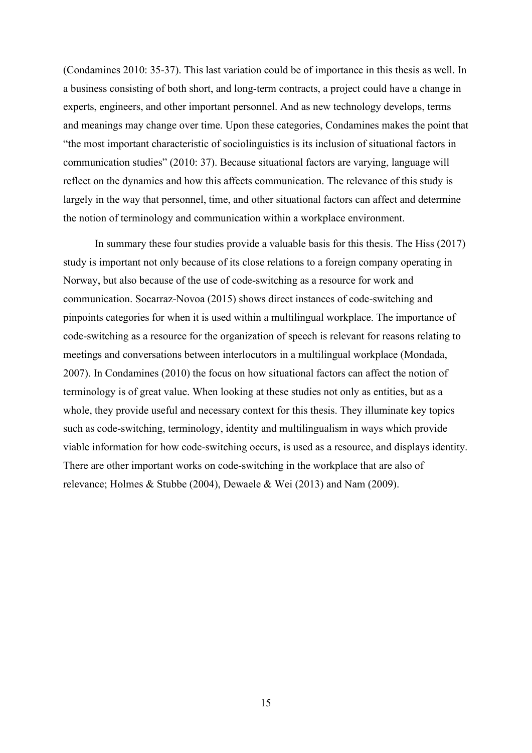(Condamines 2010: 35-37). This last variation could be of importance in this thesis as well. In a business consisting of both short, and long-term contracts, a project could have a change in experts, engineers, and other important personnel. And as new technology develops, terms and meanings may change over time. Upon these categories, Condamines makes the point that "the most important characteristic of sociolinguistics is its inclusion of situational factors in communication studies" (2010: 37). Because situational factors are varying, language will reflect on the dynamics and how this affects communication. The relevance of this study is largely in the way that personnel, time, and other situational factors can affect and determine the notion of terminology and communication within a workplace environment.

In summary these four studies provide a valuable basis for this thesis. The Hiss (2017) study is important not only because of its close relations to a foreign company operating in Norway, but also because of the use of code-switching as a resource for work and communication. Socarraz-Novoa (2015) shows direct instances of code-switching and pinpoints categories for when it is used within a multilingual workplace. The importance of code-switching as a resource for the organization of speech is relevant for reasons relating to meetings and conversations between interlocutors in a multilingual workplace (Mondada, 2007). In Condamines (2010) the focus on how situational factors can affect the notion of terminology is of great value. When looking at these studies not only as entities, but as a whole, they provide useful and necessary context for this thesis. They illuminate key topics such as code-switching, terminology, identity and multilingualism in ways which provide viable information for how code-switching occurs, is used as a resource, and displays identity. There are other important works on code-switching in the workplace that are also of relevance; Holmes & Stubbe (2004), Dewaele & Wei (2013) and Nam (2009).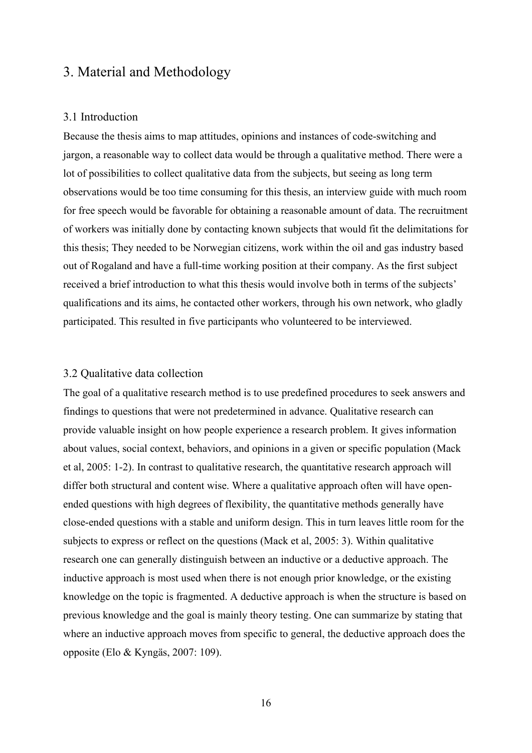# <span id="page-15-0"></span>3. Material and Methodology

#### <span id="page-15-1"></span>3.1 Introduction

Because the thesis aims to map attitudes, opinions and instances of code-switching and jargon, a reasonable way to collect data would be through a qualitative method. There were a lot of possibilities to collect qualitative data from the subjects, but seeing as long term observations would be too time consuming for this thesis, an interview guide with much room for free speech would be favorable for obtaining a reasonable amount of data. The recruitment of workers was initially done by contacting known subjects that would fit the delimitations for this thesis; They needed to be Norwegian citizens, work within the oil and gas industry based out of Rogaland and have a full-time working position at their company. As the first subject received a brief introduction to what this thesis would involve both in terms of the subjects' qualifications and its aims, he contacted other workers, through his own network, who gladly participated. This resulted in five participants who volunteered to be interviewed.

#### <span id="page-15-2"></span>3.2 Qualitative data collection

The goal of a qualitative research method is to use predefined procedures to seek answers and findings to questions that were not predetermined in advance. Qualitative research can provide valuable insight on how people experience a research problem. It gives information about values, social context, behaviors, and opinions in a given or specific population (Mack et al, 2005: 1-2). In contrast to qualitative research, the quantitative research approach will differ both structural and content wise. Where a qualitative approach often will have openended questions with high degrees of flexibility, the quantitative methods generally have close-ended questions with a stable and uniform design. This in turn leaves little room for the subjects to express or reflect on the questions (Mack et al, 2005: 3). Within qualitative research one can generally distinguish between an inductive or a deductive approach. The inductive approach is most used when there is not enough prior knowledge, or the existing knowledge on the topic is fragmented. A deductive approach is when the structure is based on previous knowledge and the goal is mainly theory testing. One can summarize by stating that where an inductive approach moves from specific to general, the deductive approach does the opposite (Elo & Kyngäs, 2007: 109).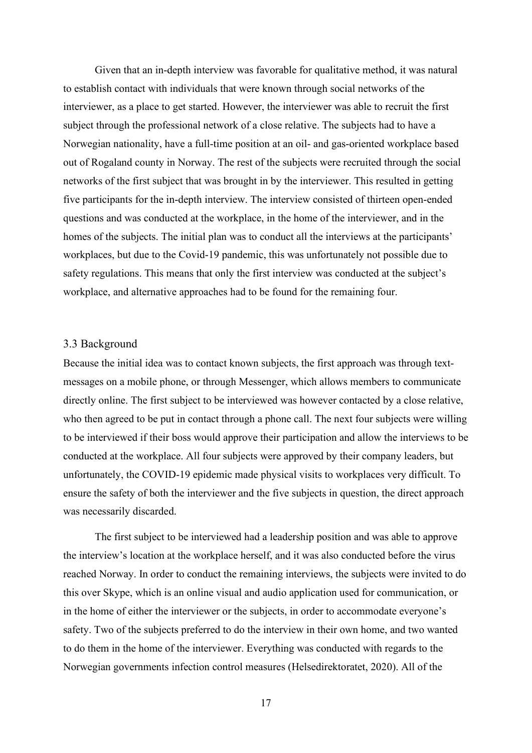Given that an in-depth interview was favorable for qualitative method, it was natural to establish contact with individuals that were known through social networks of the interviewer, as a place to get started. However, the interviewer was able to recruit the first subject through the professional network of a close relative. The subjects had to have a Norwegian nationality, have a full-time position at an oil- and gas-oriented workplace based out of Rogaland county in Norway. The rest of the subjects were recruited through the social networks of the first subject that was brought in by the interviewer. This resulted in getting five participants for the in-depth interview. The interview consisted of thirteen open-ended questions and was conducted at the workplace, in the home of the interviewer, and in the homes of the subjects. The initial plan was to conduct all the interviews at the participants' workplaces, but due to the Covid-19 pandemic, this was unfortunately not possible due to safety regulations. This means that only the first interview was conducted at the subject's workplace, and alternative approaches had to be found for the remaining four.

#### <span id="page-16-0"></span>3.3 Background

Because the initial idea was to contact known subjects, the first approach was through textmessages on a mobile phone, or through Messenger, which allows members to communicate directly online. The first subject to be interviewed was however contacted by a close relative, who then agreed to be put in contact through a phone call. The next four subjects were willing to be interviewed if their boss would approve their participation and allow the interviews to be conducted at the workplace. All four subjects were approved by their company leaders, but unfortunately, the COVID-19 epidemic made physical visits to workplaces very difficult. To ensure the safety of both the interviewer and the five subjects in question, the direct approach was necessarily discarded.

The first subject to be interviewed had a leadership position and was able to approve the interview's location at the workplace herself, and it was also conducted before the virus reached Norway. In order to conduct the remaining interviews, the subjects were invited to do this over Skype, which is an online visual and audio application used for communication, or in the home of either the interviewer or the subjects, in order to accommodate everyone's safety. Two of the subjects preferred to do the interview in their own home, and two wanted to do them in the home of the interviewer. Everything was conducted with regards to the Norwegian governments infection control measures (Helsedirektoratet, 2020). All of the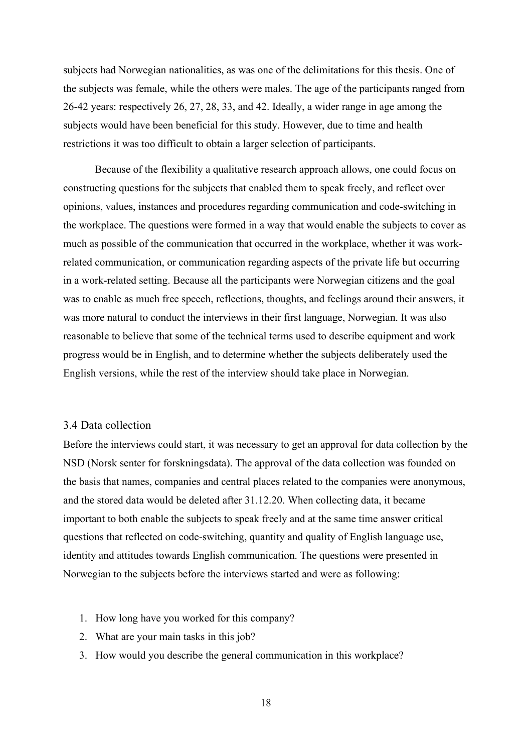subjects had Norwegian nationalities, as was one of the delimitations for this thesis. One of the subjects was female, while the others were males. The age of the participants ranged from 26-42 years: respectively 26, 27, 28, 33, and 42. Ideally, a wider range in age among the subjects would have been beneficial for this study. However, due to time and health restrictions it was too difficult to obtain a larger selection of participants.

Because of the flexibility a qualitative research approach allows, one could focus on constructing questions for the subjects that enabled them to speak freely, and reflect over opinions, values, instances and procedures regarding communication and code-switching in the workplace. The questions were formed in a way that would enable the subjects to cover as much as possible of the communication that occurred in the workplace, whether it was workrelated communication, or communication regarding aspects of the private life but occurring in a work-related setting. Because all the participants were Norwegian citizens and the goal was to enable as much free speech, reflections, thoughts, and feelings around their answers, it was more natural to conduct the interviews in their first language, Norwegian. It was also reasonable to believe that some of the technical terms used to describe equipment and work progress would be in English, and to determine whether the subjects deliberately used the English versions, while the rest of the interview should take place in Norwegian.

## <span id="page-17-0"></span>3.4 Data collection

Before the interviews could start, it was necessary to get an approval for data collection by the NSD (Norsk senter for forskningsdata). The approval of the data collection was founded on the basis that names, companies and central places related to the companies were anonymous, and the stored data would be deleted after 31.12.20. When collecting data, it became important to both enable the subjects to speak freely and at the same time answer critical questions that reflected on code-switching, quantity and quality of English language use, identity and attitudes towards English communication. The questions were presented in Norwegian to the subjects before the interviews started and were as following:

- 1. How long have you worked for this company?
- 2. What are your main tasks in this job?
- 3. How would you describe the general communication in this workplace?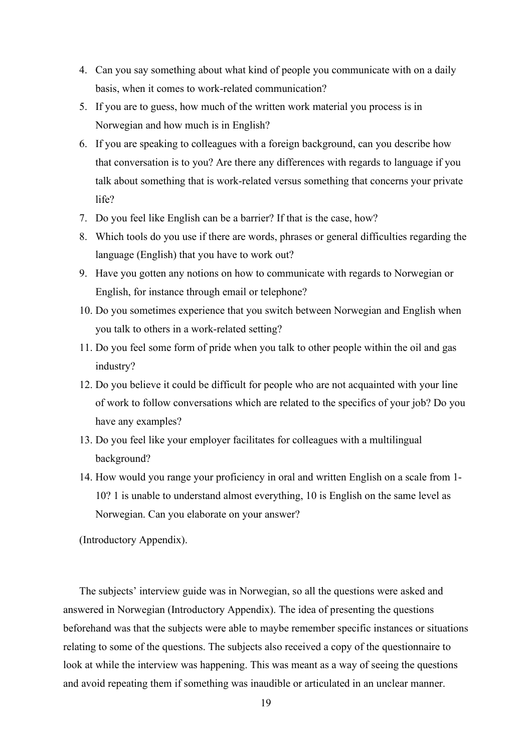- 4. Can you say something about what kind of people you communicate with on a daily basis, when it comes to work-related communication?
- 5. If you are to guess, how much of the written work material you process is in Norwegian and how much is in English?
- 6. If you are speaking to colleagues with a foreign background, can you describe how that conversation is to you? Are there any differences with regards to language if you talk about something that is work-related versus something that concerns your private life?
- 7. Do you feel like English can be a barrier? If that is the case, how?
- 8. Which tools do you use if there are words, phrases or general difficulties regarding the language (English) that you have to work out?
- 9. Have you gotten any notions on how to communicate with regards to Norwegian or English, for instance through email or telephone?
- 10. Do you sometimes experience that you switch between Norwegian and English when you talk to others in a work-related setting?
- 11. Do you feel some form of pride when you talk to other people within the oil and gas industry?
- 12. Do you believe it could be difficult for people who are not acquainted with your line of work to follow conversations which are related to the specifics of your job? Do you have any examples?
- 13. Do you feel like your employer facilitates for colleagues with a multilingual background?
- 14. How would you range your proficiency in oral and written English on a scale from 1- 10? 1 is unable to understand almost everything, 10 is English on the same level as Norwegian. Can you elaborate on your answer?

(Introductory Appendix).

The subjects' interview guide was in Norwegian, so all the questions were asked and answered in Norwegian (Introductory Appendix). The idea of presenting the questions beforehand was that the subjects were able to maybe remember specific instances or situations relating to some of the questions. The subjects also received a copy of the questionnaire to look at while the interview was happening. This was meant as a way of seeing the questions and avoid repeating them if something was inaudible or articulated in an unclear manner.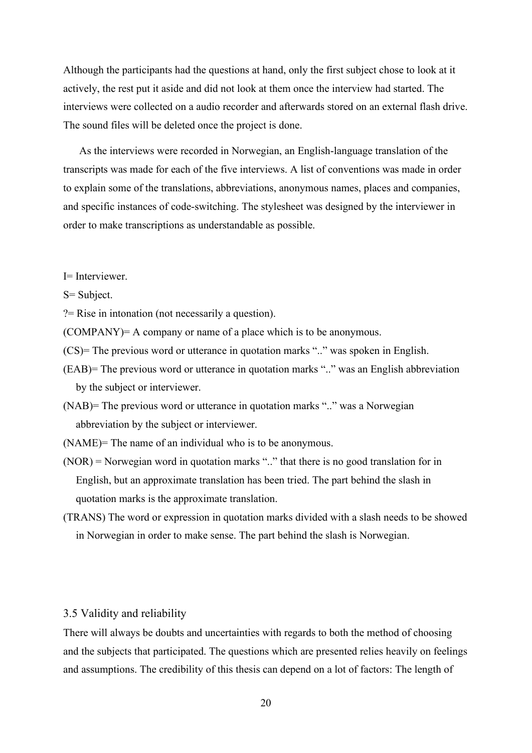Although the participants had the questions at hand, only the first subject chose to look at it actively, the rest put it aside and did not look at them once the interview had started. The interviews were collected on a audio recorder and afterwards stored on an external flash drive. The sound files will be deleted once the project is done.

As the interviews were recorded in Norwegian, an English-language translation of the transcripts was made for each of the five interviews. A list of conventions was made in order to explain some of the translations, abbreviations, anonymous names, places and companies, and specific instances of code-switching. The stylesheet was designed by the interviewer in order to make transcriptions as understandable as possible.

- I= Interviewer.
- S= Subject.

?= Rise in intonation (not necessarily a question).

(COMPANY)= A company or name of a place which is to be anonymous.

- (CS)= The previous word or utterance in quotation marks ".." was spoken in English.
- (EAB)= The previous word or utterance in quotation marks ".." was an English abbreviation by the subject or interviewer.
- (NAB)= The previous word or utterance in quotation marks ".." was a Norwegian abbreviation by the subject or interviewer.
- (NAME)= The name of an individual who is to be anonymous.
- (NOR) = Norwegian word in quotation marks ".." that there is no good translation for in English, but an approximate translation has been tried. The part behind the slash in quotation marks is the approximate translation.
- (TRANS) The word or expression in quotation marks divided with a slash needs to be showed in Norwegian in order to make sense. The part behind the slash is Norwegian.

## <span id="page-19-0"></span>3.5 Validity and reliability

There will always be doubts and uncertainties with regards to both the method of choosing and the subjects that participated. The questions which are presented relies heavily on feelings and assumptions. The credibility of this thesis can depend on a lot of factors: The length of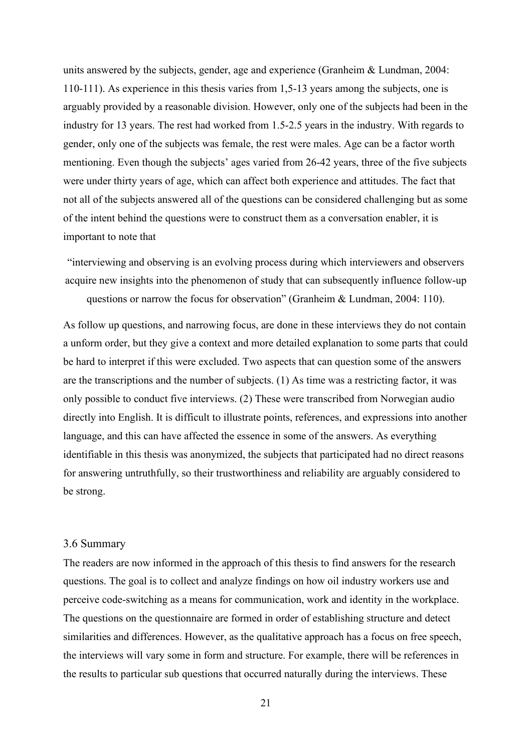units answered by the subjects, gender, age and experience (Granheim & Lundman, 2004: 110-111). As experience in this thesis varies from 1,5-13 years among the subjects, one is arguably provided by a reasonable division. However, only one of the subjects had been in the industry for 13 years. The rest had worked from 1.5-2.5 years in the industry. With regards to gender, only one of the subjects was female, the rest were males. Age can be a factor worth mentioning. Even though the subjects' ages varied from 26-42 years, three of the five subjects were under thirty years of age, which can affect both experience and attitudes. The fact that not all of the subjects answered all of the questions can be considered challenging but as some of the intent behind the questions were to construct them as a conversation enabler, it is important to note that

"interviewing and observing is an evolving process during which interviewers and observers acquire new insights into the phenomenon of study that can subsequently influence follow-up questions or narrow the focus for observation" (Granheim & Lundman, 2004: 110).

As follow up questions, and narrowing focus, are done in these interviews they do not contain a unform order, but they give a context and more detailed explanation to some parts that could be hard to interpret if this were excluded. Two aspects that can question some of the answers are the transcriptions and the number of subjects. (1) As time was a restricting factor, it was only possible to conduct five interviews. (2) These were transcribed from Norwegian audio directly into English. It is difficult to illustrate points, references, and expressions into another language, and this can have affected the essence in some of the answers. As everything identifiable in this thesis was anonymized, the subjects that participated had no direct reasons for answering untruthfully, so their trustworthiness and reliability are arguably considered to be strong.

#### <span id="page-20-0"></span>3.6 Summary

The readers are now informed in the approach of this thesis to find answers for the research questions. The goal is to collect and analyze findings on how oil industry workers use and perceive code-switching as a means for communication, work and identity in the workplace. The questions on the questionnaire are formed in order of establishing structure and detect similarities and differences. However, as the qualitative approach has a focus on free speech, the interviews will vary some in form and structure. For example, there will be references in the results to particular sub questions that occurred naturally during the interviews. These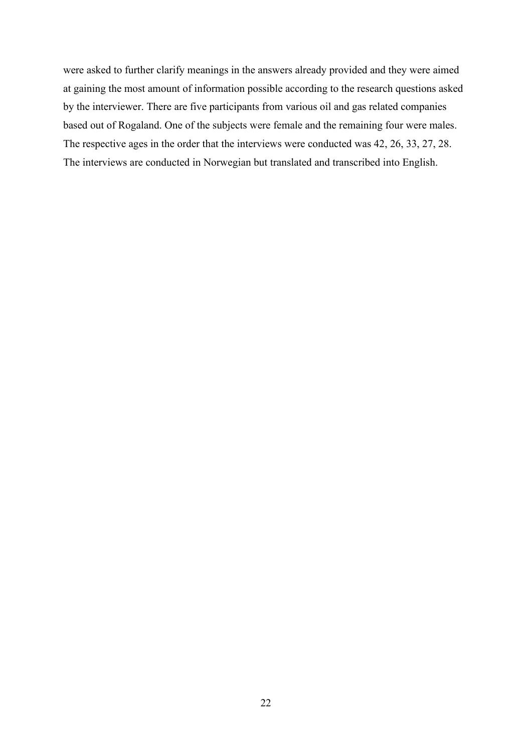were asked to further clarify meanings in the answers already provided and they were aimed at gaining the most amount of information possible according to the research questions asked by the interviewer. There are five participants from various oil and gas related companies based out of Rogaland. One of the subjects were female and the remaining four were males. The respective ages in the order that the interviews were conducted was 42, 26, 33, 27, 28. The interviews are conducted in Norwegian but translated and transcribed into English.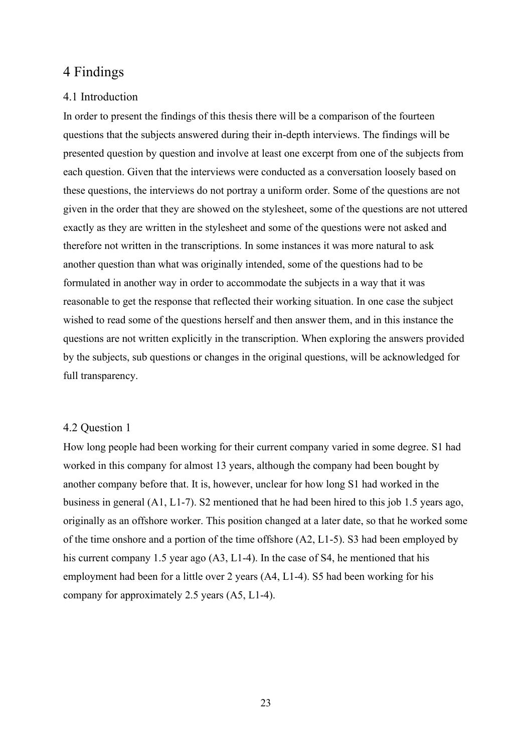## <span id="page-22-0"></span>4 Findings

## <span id="page-22-1"></span>4.1 Introduction

In order to present the findings of this thesis there will be a comparison of the fourteen questions that the subjects answered during their in-depth interviews. The findings will be presented question by question and involve at least one excerpt from one of the subjects from each question. Given that the interviews were conducted as a conversation loosely based on these questions, the interviews do not portray a uniform order. Some of the questions are not given in the order that they are showed on the stylesheet, some of the questions are not uttered exactly as they are written in the stylesheet and some of the questions were not asked and therefore not written in the transcriptions. In some instances it was more natural to ask another question than what was originally intended, some of the questions had to be formulated in another way in order to accommodate the subjects in a way that it was reasonable to get the response that reflected their working situation. In one case the subject wished to read some of the questions herself and then answer them, and in this instance the questions are not written explicitly in the transcription. When exploring the answers provided by the subjects, sub questions or changes in the original questions, will be acknowledged for full transparency.

## <span id="page-22-2"></span>4.2 Question 1

How long people had been working for their current company varied in some degree. S1 had worked in this company for almost 13 years, although the company had been bought by another company before that. It is, however, unclear for how long S1 had worked in the business in general (A1, L1-7). S2 mentioned that he had been hired to this job 1.5 years ago, originally as an offshore worker. This position changed at a later date, so that he worked some of the time onshore and a portion of the time offshore  $(A2, L1-5)$ . S3 had been employed by his current company 1.5 year ago (A3, L1-4). In the case of S4, he mentioned that his employment had been for a little over 2 years (A4, L1-4). S5 had been working for his company for approximately 2.5 years (A5, L1-4).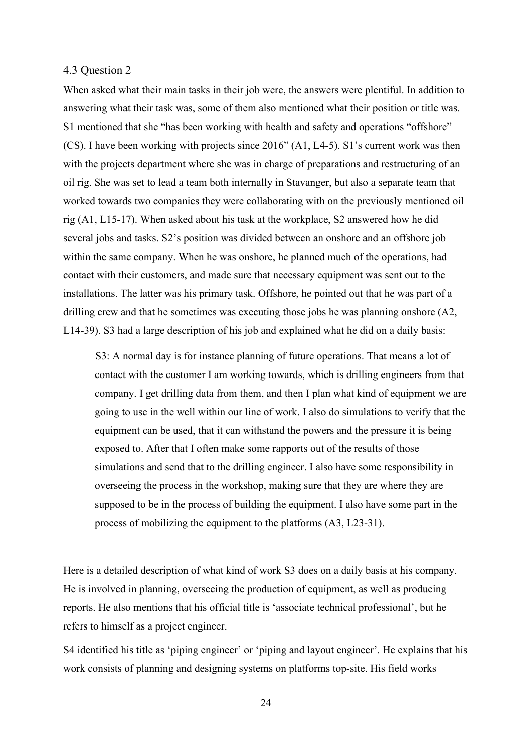## <span id="page-23-0"></span>4.3 Question 2

When asked what their main tasks in their job were, the answers were plentiful. In addition to answering what their task was, some of them also mentioned what their position or title was. S1 mentioned that she "has been working with health and safety and operations "offshore" (CS). I have been working with projects since 2016" (A1, L4-5). S1's current work was then with the projects department where she was in charge of preparations and restructuring of an oil rig. She was set to lead a team both internally in Stavanger, but also a separate team that worked towards two companies they were collaborating with on the previously mentioned oil rig (A1, L15-17). When asked about his task at the workplace, S2 answered how he did several jobs and tasks. S2's position was divided between an onshore and an offshore job within the same company. When he was onshore, he planned much of the operations, had contact with their customers, and made sure that necessary equipment was sent out to the installations. The latter was his primary task. Offshore, he pointed out that he was part of a drilling crew and that he sometimes was executing those jobs he was planning onshore (A2, L14-39). S3 had a large description of his job and explained what he did on a daily basis:

 S3: A normal day is for instance planning of future operations. That means a lot of contact with the customer I am working towards, which is drilling engineers from that company. I get drilling data from them, and then I plan what kind of equipment we are going to use in the well within our line of work. I also do simulations to verify that the equipment can be used, that it can withstand the powers and the pressure it is being exposed to. After that I often make some rapports out of the results of those simulations and send that to the drilling engineer. I also have some responsibility in overseeing the process in the workshop, making sure that they are where they are supposed to be in the process of building the equipment. I also have some part in the process of mobilizing the equipment to the platforms (A3, L23-31).

Here is a detailed description of what kind of work S3 does on a daily basis at his company. He is involved in planning, overseeing the production of equipment, as well as producing reports. He also mentions that his official title is 'associate technical professional', but he refers to himself as a project engineer.

S4 identified his title as 'piping engineer' or 'piping and layout engineer'. He explains that his work consists of planning and designing systems on platforms top-site. His field works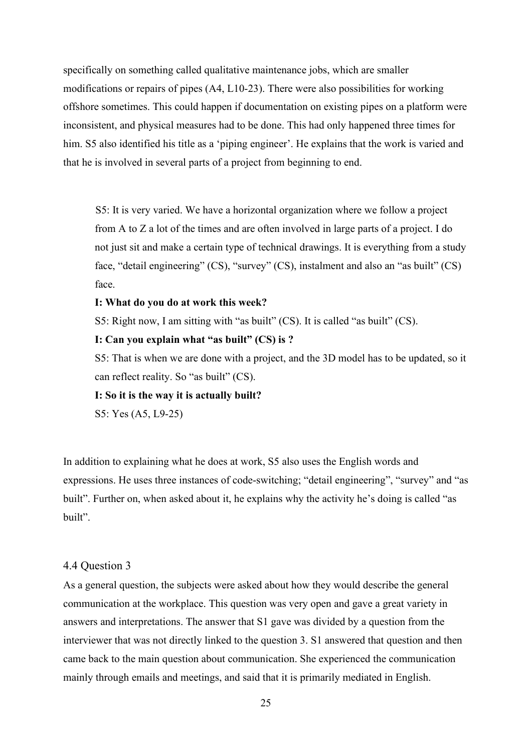specifically on something called qualitative maintenance jobs, which are smaller modifications or repairs of pipes (A4, L10-23). There were also possibilities for working offshore sometimes. This could happen if documentation on existing pipes on a platform were inconsistent, and physical measures had to be done. This had only happened three times for him. S5 also identified his title as a 'piping engineer'. He explains that the work is varied and that he is involved in several parts of a project from beginning to end.

 S5: It is very varied. We have a horizontal organization where we follow a project from A to Z a lot of the times and are often involved in large parts of a project. I do not just sit and make a certain type of technical drawings. It is everything from a study face, "detail engineering" (CS), "survey" (CS), instalment and also an "as built" (CS) face.

#### **I: What do you do at work this week?**

S5: Right now, I am sitting with "as built" (CS). It is called "as built" (CS).

## **I: Can you explain what "as built" (CS) is ?**

S5: That is when we are done with a project, and the 3D model has to be updated, so it can reflect reality. So "as built" (CS).

**I: So it is the way it is actually built?**

S5: Yes (A5, L9-25)

In addition to explaining what he does at work, S5 also uses the English words and expressions. He uses three instances of code-switching; "detail engineering", "survey" and "as built". Further on, when asked about it, he explains why the activity he's doing is called "as built".

## <span id="page-24-0"></span>4.4 Question 3

As a general question, the subjects were asked about how they would describe the general communication at the workplace. This question was very open and gave a great variety in answers and interpretations. The answer that S1 gave was divided by a question from the interviewer that was not directly linked to the question 3. S1 answered that question and then came back to the main question about communication. She experienced the communication mainly through emails and meetings, and said that it is primarily mediated in English.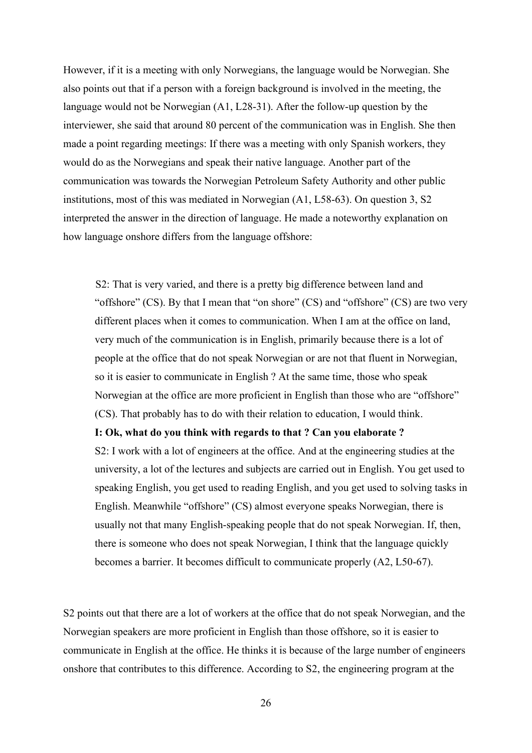However, if it is a meeting with only Norwegians, the language would be Norwegian. She also points out that if a person with a foreign background is involved in the meeting, the language would not be Norwegian (A1, L28-31). After the follow-up question by the interviewer, she said that around 80 percent of the communication was in English. She then made a point regarding meetings: If there was a meeting with only Spanish workers, they would do as the Norwegians and speak their native language. Another part of the communication was towards the Norwegian Petroleum Safety Authority and other public institutions, most of this was mediated in Norwegian (A1, L58-63). On question 3, S2 interpreted the answer in the direction of language. He made a noteworthy explanation on how language onshore differs from the language offshore:

 S2: That is very varied, and there is a pretty big difference between land and "offshore" (CS). By that I mean that "on shore" (CS) and "offshore" (CS) are two very different places when it comes to communication. When I am at the office on land, very much of the communication is in English, primarily because there is a lot of people at the office that do not speak Norwegian or are not that fluent in Norwegian, so it is easier to communicate in English ? At the same time, those who speak Norwegian at the office are more proficient in English than those who are "offshore" (CS). That probably has to do with their relation to education, I would think.

#### **I: Ok, what do you think with regards to that ? Can you elaborate ?**

S2: I work with a lot of engineers at the office. And at the engineering studies at the university, a lot of the lectures and subjects are carried out in English. You get used to speaking English, you get used to reading English, and you get used to solving tasks in English. Meanwhile "offshore" (CS) almost everyone speaks Norwegian, there is usually not that many English-speaking people that do not speak Norwegian. If, then, there is someone who does not speak Norwegian, I think that the language quickly becomes a barrier. It becomes difficult to communicate properly (A2, L50-67).

S2 points out that there are a lot of workers at the office that do not speak Norwegian, and the Norwegian speakers are more proficient in English than those offshore, so it is easier to communicate in English at the office. He thinks it is because of the large number of engineers onshore that contributes to this difference. According to S2, the engineering program at the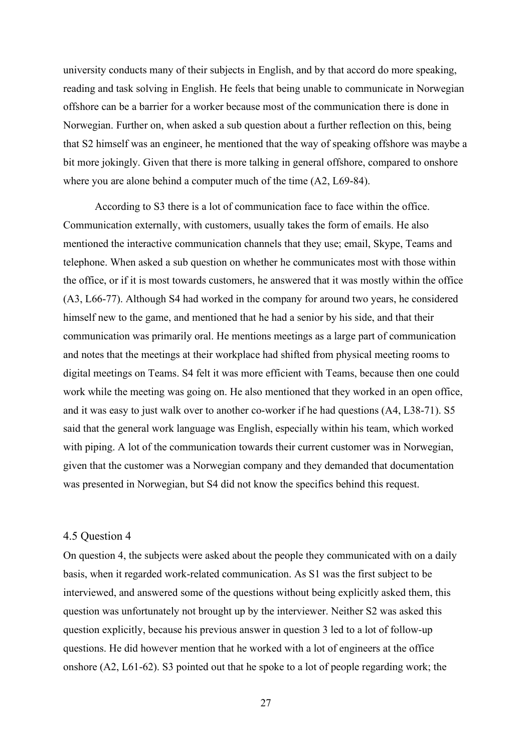university conducts many of their subjects in English, and by that accord do more speaking, reading and task solving in English. He feels that being unable to communicate in Norwegian offshore can be a barrier for a worker because most of the communication there is done in Norwegian. Further on, when asked a sub question about a further reflection on this, being that S2 himself was an engineer, he mentioned that the way of speaking offshore was maybe a bit more jokingly. Given that there is more talking in general offshore, compared to onshore where you are alone behind a computer much of the time (A2, L69-84).

According to S3 there is a lot of communication face to face within the office. Communication externally, with customers, usually takes the form of emails. He also mentioned the interactive communication channels that they use; email, Skype, Teams and telephone. When asked a sub question on whether he communicates most with those within the office, or if it is most towards customers, he answered that it was mostly within the office (A3, L66-77). Although S4 had worked in the company for around two years, he considered himself new to the game, and mentioned that he had a senior by his side, and that their communication was primarily oral. He mentions meetings as a large part of communication and notes that the meetings at their workplace had shifted from physical meeting rooms to digital meetings on Teams. S4 felt it was more efficient with Teams, because then one could work while the meeting was going on. He also mentioned that they worked in an open office, and it was easy to just walk over to another co-worker if he had questions (A4, L38-71). S5 said that the general work language was English, especially within his team, which worked with piping. A lot of the communication towards their current customer was in Norwegian, given that the customer was a Norwegian company and they demanded that documentation was presented in Norwegian, but S4 did not know the specifics behind this request.

## <span id="page-26-0"></span>4.5 Question 4

On question 4, the subjects were asked about the people they communicated with on a daily basis, when it regarded work-related communication. As S1 was the first subject to be interviewed, and answered some of the questions without being explicitly asked them, this question was unfortunately not brought up by the interviewer. Neither S2 was asked this question explicitly, because his previous answer in question 3 led to a lot of follow-up questions. He did however mention that he worked with a lot of engineers at the office onshore (A2, L61-62). S3 pointed out that he spoke to a lot of people regarding work; the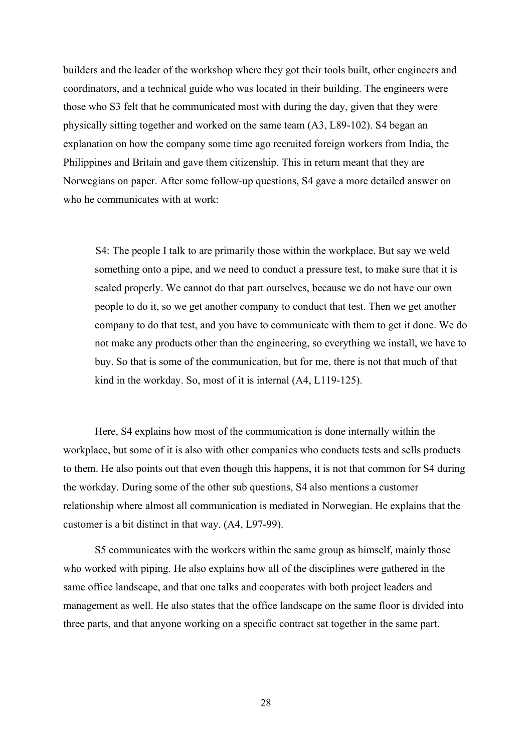builders and the leader of the workshop where they got their tools built, other engineers and coordinators, and a technical guide who was located in their building. The engineers were those who S3 felt that he communicated most with during the day, given that they were physically sitting together and worked on the same team (A3, L89-102). S4 began an explanation on how the company some time ago recruited foreign workers from India, the Philippines and Britain and gave them citizenship. This in return meant that they are Norwegians on paper. After some follow-up questions, S4 gave a more detailed answer on who he communicates with at work:

 S4: The people I talk to are primarily those within the workplace. But say we weld something onto a pipe, and we need to conduct a pressure test, to make sure that it is sealed properly. We cannot do that part ourselves, because we do not have our own people to do it, so we get another company to conduct that test. Then we get another company to do that test, and you have to communicate with them to get it done. We do not make any products other than the engineering, so everything we install, we have to buy. So that is some of the communication, but for me, there is not that much of that kind in the workday. So, most of it is internal (A4, L119-125).

Here, S4 explains how most of the communication is done internally within the workplace, but some of it is also with other companies who conducts tests and sells products to them. He also points out that even though this happens, it is not that common for S4 during the workday. During some of the other sub questions, S4 also mentions a customer relationship where almost all communication is mediated in Norwegian. He explains that the customer is a bit distinct in that way. (A4, L97-99).

S5 communicates with the workers within the same group as himself, mainly those who worked with piping. He also explains how all of the disciplines were gathered in the same office landscape, and that one talks and cooperates with both project leaders and management as well. He also states that the office landscape on the same floor is divided into three parts, and that anyone working on a specific contract sat together in the same part.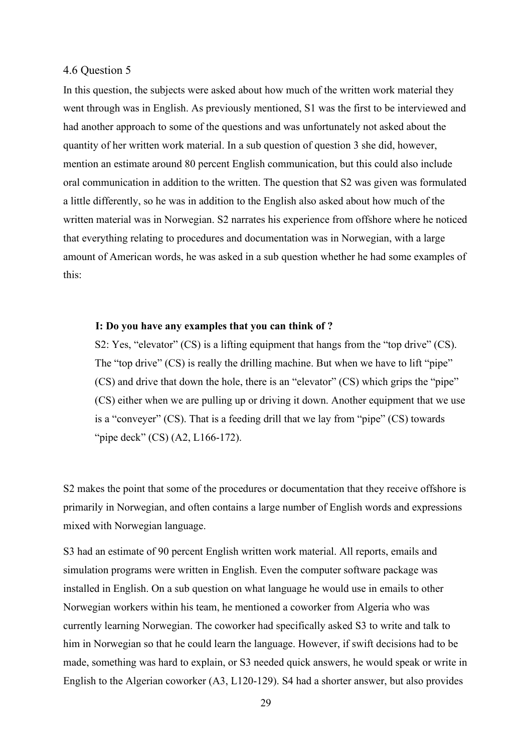## <span id="page-28-0"></span>4.6 Question 5

In this question, the subjects were asked about how much of the written work material they went through was in English. As previously mentioned, S1 was the first to be interviewed and had another approach to some of the questions and was unfortunately not asked about the quantity of her written work material. In a sub question of question 3 she did, however, mention an estimate around 80 percent English communication, but this could also include oral communication in addition to the written. The question that S2 was given was formulated a little differently, so he was in addition to the English also asked about how much of the written material was in Norwegian. S2 narrates his experience from offshore where he noticed that everything relating to procedures and documentation was in Norwegian, with a large amount of American words, he was asked in a sub question whether he had some examples of this:

#### **I: Do you have any examples that you can think of ?**

S2: Yes, "elevator" (CS) is a lifting equipment that hangs from the "top drive" (CS). The "top drive" (CS) is really the drilling machine. But when we have to lift "pipe" (CS) and drive that down the hole, there is an "elevator" (CS) which grips the "pipe" (CS) either when we are pulling up or driving it down. Another equipment that we use is a "conveyer" (CS). That is a feeding drill that we lay from "pipe" (CS) towards "pipe deck" (CS) (A2, L166-172).

S2 makes the point that some of the procedures or documentation that they receive offshore is primarily in Norwegian, and often contains a large number of English words and expressions mixed with Norwegian language.

S3 had an estimate of 90 percent English written work material. All reports, emails and simulation programs were written in English. Even the computer software package was installed in English. On a sub question on what language he would use in emails to other Norwegian workers within his team, he mentioned a coworker from Algeria who was currently learning Norwegian. The coworker had specifically asked S3 to write and talk to him in Norwegian so that he could learn the language. However, if swift decisions had to be made, something was hard to explain, or S3 needed quick answers, he would speak or write in English to the Algerian coworker (A3, L120-129). S4 had a shorter answer, but also provides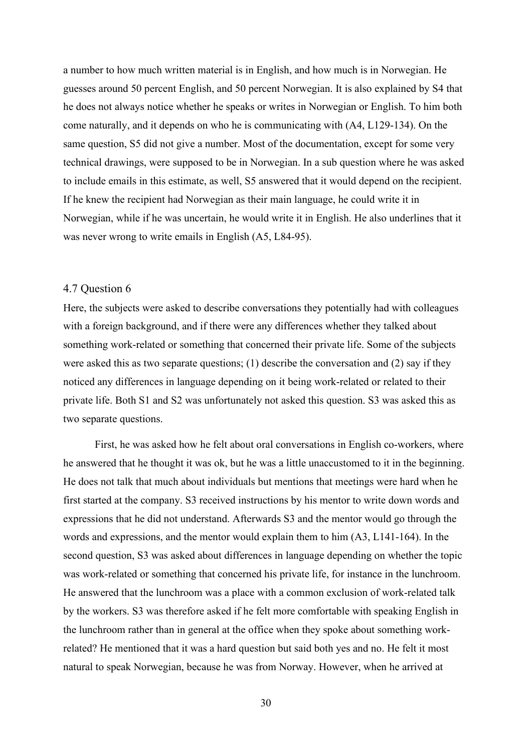a number to how much written material is in English, and how much is in Norwegian. He guesses around 50 percent English, and 50 percent Norwegian. It is also explained by S4 that he does not always notice whether he speaks or writes in Norwegian or English. To him both come naturally, and it depends on who he is communicating with (A4, L129-134). On the same question, S5 did not give a number. Most of the documentation, except for some very technical drawings, were supposed to be in Norwegian. In a sub question where he was asked to include emails in this estimate, as well, S5 answered that it would depend on the recipient. If he knew the recipient had Norwegian as their main language, he could write it in Norwegian, while if he was uncertain, he would write it in English. He also underlines that it was never wrong to write emails in English (A5, L84-95).

## <span id="page-29-0"></span>4.7 Question 6

Here, the subjects were asked to describe conversations they potentially had with colleagues with a foreign background, and if there were any differences whether they talked about something work-related or something that concerned their private life. Some of the subjects were asked this as two separate questions; (1) describe the conversation and (2) say if they noticed any differences in language depending on it being work-related or related to their private life. Both S1 and S2 was unfortunately not asked this question. S3 was asked this as two separate questions.

First, he was asked how he felt about oral conversations in English co-workers, where he answered that he thought it was ok, but he was a little unaccustomed to it in the beginning. He does not talk that much about individuals but mentions that meetings were hard when he first started at the company. S3 received instructions by his mentor to write down words and expressions that he did not understand. Afterwards S3 and the mentor would go through the words and expressions, and the mentor would explain them to him (A3, L141-164). In the second question, S3 was asked about differences in language depending on whether the topic was work-related or something that concerned his private life, for instance in the lunchroom. He answered that the lunchroom was a place with a common exclusion of work-related talk by the workers. S3 was therefore asked if he felt more comfortable with speaking English in the lunchroom rather than in general at the office when they spoke about something workrelated? He mentioned that it was a hard question but said both yes and no. He felt it most natural to speak Norwegian, because he was from Norway. However, when he arrived at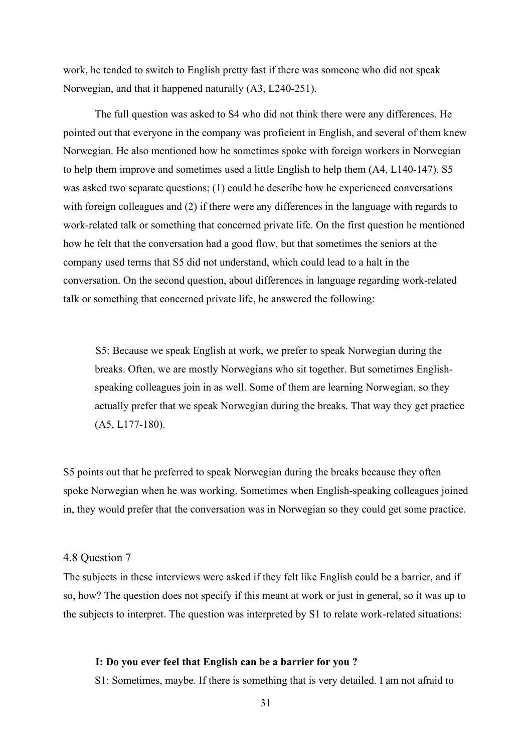work, he tended to switch to English pretty fast if there was someone who did not speak Norwegian, and that it happened naturally (A3, L240-251).

The full question was asked to S4 who did not think there were any differences. He pointed out that everyone in the company was proficient in English, and several of them knew Norwegian. He also mentioned how he sometimes spoke with foreign workers in Norwegian to help them improve and sometimes used a little English to help them (A4, L140-147). S5 was asked two separate questions; (1) could he describe how he experienced conversations with foreign colleagues and (2) if there were any differences in the language with regards to work-related talk or something that concerned private life. On the first question he mentioned how he felt that the conversation had a good flow, but that sometimes the seniors at the company used terms that S5 did not understand, which could lead to a halt in the conversation. On the second question, about differences in language regarding work-related talk or something that concerned private life, he answered the following:

 S5: Because we speak English at work, we prefer to speak Norwegian during the breaks. Often, we are mostly Norwegians who sit together. But sometimes Englishspeaking colleagues join in as well. Some of them are learning Norwegian, so they actually prefer that we speak Norwegian during the breaks. That way they get practice (A5, L177-180).

S5 points out that he preferred to speak Norwegian during the breaks because they often spoke Norwegian when he was working. Sometimes when English-speaking colleagues joined in, they would prefer that the conversation was in Norwegian so they could get some practice.

#### <span id="page-30-0"></span>4.8 Question 7

The subjects in these interviews were asked if they felt like English could be a barrier, and if so, how? The question does not specify if this meant at work or just in general, so it was up to the subjects to interpret. The question was interpreted by S1 to relate work-related situations:

#### **I: Do you ever feel that English can be a barrier for you ?**

S1: Sometimes, maybe. If there is something that is very detailed. I am not afraid to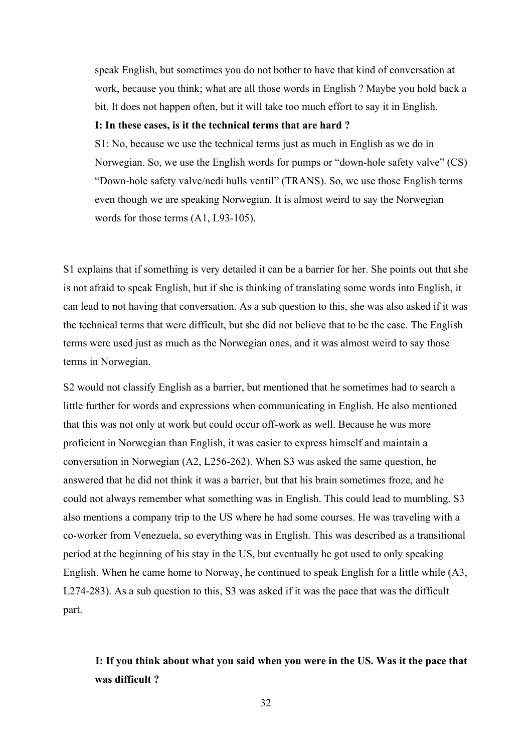speak English, but sometimes you do not bother to have that kind of conversation at work, because you think; what are all those words in English ? Maybe you hold back a bit. It does not happen often, but it will take too much effort to say it in English.

## **I: In these cases, is it the technical terms that are hard ?**

S1: No, because we use the technical terms just as much in English as we do in Norwegian. So, we use the English words for pumps or "down-hole safety valve" (CS) "Down-hole safety valve/nedi hulls ventil" (TRANS). So, we use those English terms even though we are speaking Norwegian. It is almost weird to say the Norwegian words for those terms (A1, L93-105).

S1 explains that if something is very detailed it can be a barrier for her. She points out that she is not afraid to speak English, but if she is thinking of translating some words into English, it can lead to not having that conversation. As a sub question to this, she was also asked if it was the technical terms that were difficult, but she did not believe that to be the case. The English terms were used just as much as the Norwegian ones, and it was almost weird to say those terms in Norwegian.

S2 would not classify English as a barrier, but mentioned that he sometimes had to search a little further for words and expressions when communicating in English. He also mentioned that this was not only at work but could occur off-work as well. Because he was more proficient in Norwegian than English, it was easier to express himself and maintain a conversation in Norwegian (A2, L256-262). When S3 was asked the same question, he answered that he did not think it was a barrier, but that his brain sometimes froze, and he could not always remember what something was in English. This could lead to mumbling. S3 also mentions a company trip to the US where he had some courses. He was traveling with a co-worker from Venezuela, so everything was in English. This was described as a transitional period at the beginning of his stay in the US, but eventually he got used to only speaking English. When he came home to Norway, he continued to speak English for a little while (A3, L274-283). As a sub question to this, S3 was asked if it was the pace that was the difficult part.

# **I: If you think about what you said when you were in the US. Was it the pace that was difficult ?**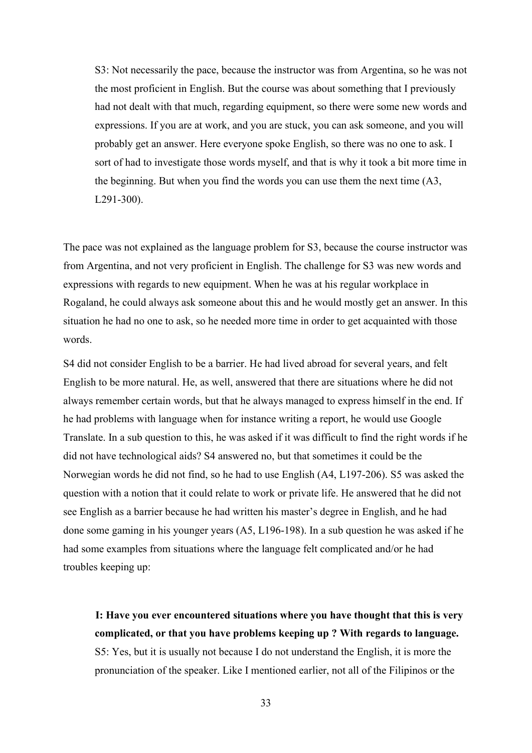S3: Not necessarily the pace, because the instructor was from Argentina, so he was not the most proficient in English. But the course was about something that I previously had not dealt with that much, regarding equipment, so there were some new words and expressions. If you are at work, and you are stuck, you can ask someone, and you will probably get an answer. Here everyone spoke English, so there was no one to ask. I sort of had to investigate those words myself, and that is why it took a bit more time in the beginning. But when you find the words you can use them the next time (A3, L291-300).

The pace was not explained as the language problem for S3, because the course instructor was from Argentina, and not very proficient in English. The challenge for S3 was new words and expressions with regards to new equipment. When he was at his regular workplace in Rogaland, he could always ask someone about this and he would mostly get an answer. In this situation he had no one to ask, so he needed more time in order to get acquainted with those words.

S4 did not consider English to be a barrier. He had lived abroad for several years, and felt English to be more natural. He, as well, answered that there are situations where he did not always remember certain words, but that he always managed to express himself in the end. If he had problems with language when for instance writing a report, he would use Google Translate. In a sub question to this, he was asked if it was difficult to find the right words if he did not have technological aids? S4 answered no, but that sometimes it could be the Norwegian words he did not find, so he had to use English (A4, L197-206). S5 was asked the question with a notion that it could relate to work or private life. He answered that he did not see English as a barrier because he had written his master's degree in English, and he had done some gaming in his younger years (A5, L196-198). In a sub question he was asked if he had some examples from situations where the language felt complicated and/or he had troubles keeping up:

 **I: Have you ever encountered situations where you have thought that this is very complicated, or that you have problems keeping up ? With regards to language.** S5: Yes, but it is usually not because I do not understand the English, it is more the pronunciation of the speaker. Like I mentioned earlier, not all of the Filipinos or the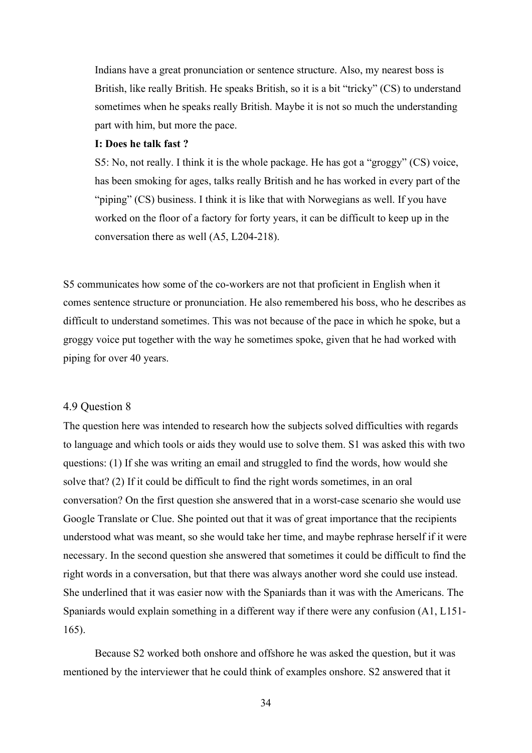Indians have a great pronunciation or sentence structure. Also, my nearest boss is British, like really British. He speaks British, so it is a bit "tricky" (CS) to understand sometimes when he speaks really British. Maybe it is not so much the understanding part with him, but more the pace.

## **I: Does he talk fast ?**

S5: No, not really. I think it is the whole package. He has got a "groggy" (CS) voice, has been smoking for ages, talks really British and he has worked in every part of the "piping" (CS) business. I think it is like that with Norwegians as well. If you have worked on the floor of a factory for forty years, it can be difficult to keep up in the conversation there as well (A5, L204-218).

S5 communicates how some of the co-workers are not that proficient in English when it comes sentence structure or pronunciation. He also remembered his boss, who he describes as difficult to understand sometimes. This was not because of the pace in which he spoke, but a groggy voice put together with the way he sometimes spoke, given that he had worked with piping for over 40 years.

#### <span id="page-33-0"></span>4.9 Question 8

The question here was intended to research how the subjects solved difficulties with regards to language and which tools or aids they would use to solve them. S1 was asked this with two questions: (1) If she was writing an email and struggled to find the words, how would she solve that? (2) If it could be difficult to find the right words sometimes, in an oral conversation? On the first question she answered that in a worst-case scenario she would use Google Translate or Clue. She pointed out that it was of great importance that the recipients understood what was meant, so she would take her time, and maybe rephrase herself if it were necessary. In the second question she answered that sometimes it could be difficult to find the right words in a conversation, but that there was always another word she could use instead. She underlined that it was easier now with the Spaniards than it was with the Americans. The Spaniards would explain something in a different way if there were any confusion (A1, L151- 165).

Because S2 worked both onshore and offshore he was asked the question, but it was mentioned by the interviewer that he could think of examples onshore. S2 answered that it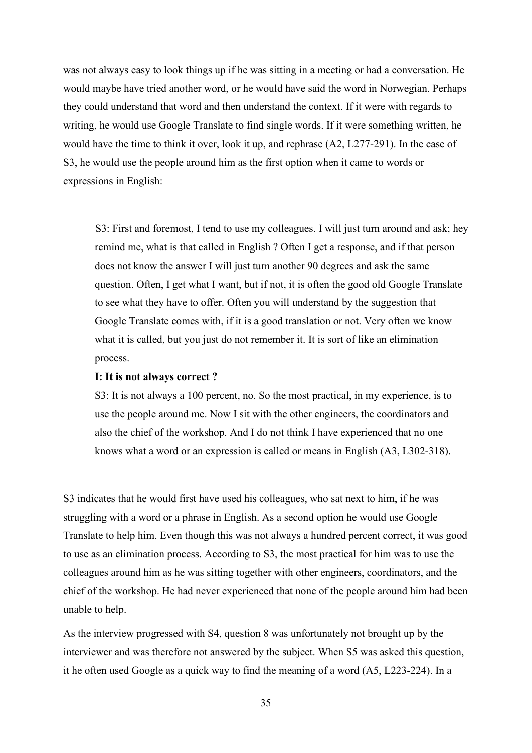was not always easy to look things up if he was sitting in a meeting or had a conversation. He would maybe have tried another word, or he would have said the word in Norwegian. Perhaps they could understand that word and then understand the context. If it were with regards to writing, he would use Google Translate to find single words. If it were something written, he would have the time to think it over, look it up, and rephrase (A2, L277-291). In the case of S3, he would use the people around him as the first option when it came to words or expressions in English:

 S3: First and foremost, I tend to use my colleagues. I will just turn around and ask; hey remind me, what is that called in English ? Often I get a response, and if that person does not know the answer I will just turn another 90 degrees and ask the same question. Often, I get what I want, but if not, it is often the good old Google Translate to see what they have to offer. Often you will understand by the suggestion that Google Translate comes with, if it is a good translation or not. Very often we know what it is called, but you just do not remember it. It is sort of like an elimination process.

#### **I: It is not always correct ?**

S3: It is not always a 100 percent, no. So the most practical, in my experience, is to use the people around me. Now I sit with the other engineers, the coordinators and also the chief of the workshop. And I do not think I have experienced that no one knows what a word or an expression is called or means in English (A3, L302-318).

S3 indicates that he would first have used his colleagues, who sat next to him, if he was struggling with a word or a phrase in English. As a second option he would use Google Translate to help him. Even though this was not always a hundred percent correct, it was good to use as an elimination process. According to S3, the most practical for him was to use the colleagues around him as he was sitting together with other engineers, coordinators, and the chief of the workshop. He had never experienced that none of the people around him had been unable to help.

As the interview progressed with S4, question 8 was unfortunately not brought up by the interviewer and was therefore not answered by the subject. When S5 was asked this question, it he often used Google as a quick way to find the meaning of a word (A5, L223-224). In a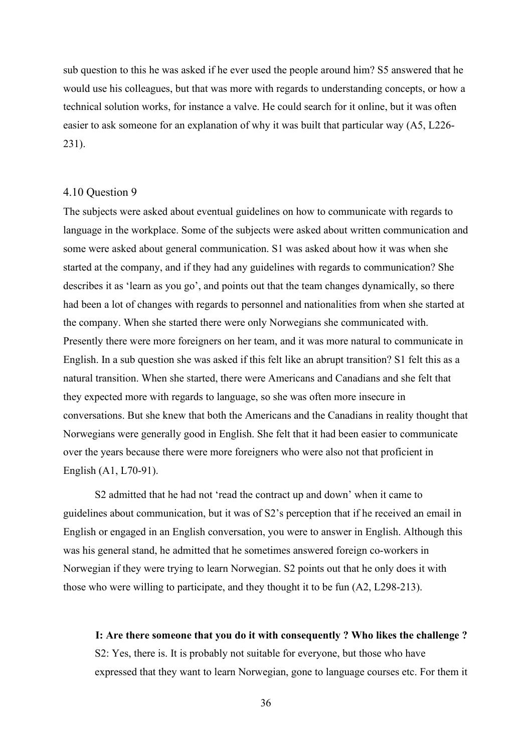sub question to this he was asked if he ever used the people around him? S5 answered that he would use his colleagues, but that was more with regards to understanding concepts, or how a technical solution works, for instance a valve. He could search for it online, but it was often easier to ask someone for an explanation of why it was built that particular way (A5, L226- 231).

## <span id="page-35-0"></span>4.10 Question 9

The subjects were asked about eventual guidelines on how to communicate with regards to language in the workplace. Some of the subjects were asked about written communication and some were asked about general communication. S1 was asked about how it was when she started at the company, and if they had any guidelines with regards to communication? She describes it as 'learn as you go', and points out that the team changes dynamically, so there had been a lot of changes with regards to personnel and nationalities from when she started at the company. When she started there were only Norwegians she communicated with. Presently there were more foreigners on her team, and it was more natural to communicate in English. In a sub question she was asked if this felt like an abrupt transition? S1 felt this as a natural transition. When she started, there were Americans and Canadians and she felt that they expected more with regards to language, so she was often more insecure in conversations. But she knew that both the Americans and the Canadians in reality thought that Norwegians were generally good in English. She felt that it had been easier to communicate over the years because there were more foreigners who were also not that proficient in English (A1, L70-91).

S2 admitted that he had not 'read the contract up and down' when it came to guidelines about communication, but it was of S2's perception that if he received an email in English or engaged in an English conversation, you were to answer in English. Although this was his general stand, he admitted that he sometimes answered foreign co-workers in Norwegian if they were trying to learn Norwegian. S2 points out that he only does it with those who were willing to participate, and they thought it to be fun (A2, L298-213).

 **I: Are there someone that you do it with consequently ? Who likes the challenge ?** S2: Yes, there is. It is probably not suitable for everyone, but those who have expressed that they want to learn Norwegian, gone to language courses etc. For them it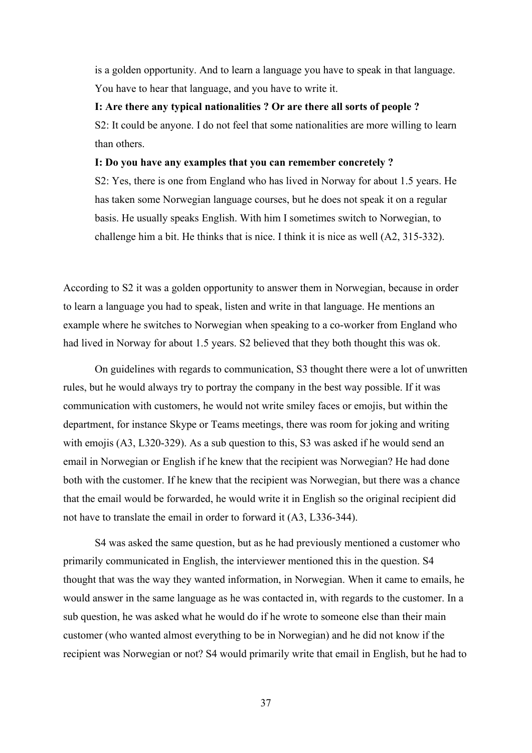is a golden opportunity. And to learn a language you have to speak in that language. You have to hear that language, and you have to write it.

## **I: Are there any typical nationalities ? Or are there all sorts of people ?**  S2: It could be anyone. I do not feel that some nationalities are more willing to learn than others.

#### **I: Do you have any examples that you can remember concretely ?**

S2: Yes, there is one from England who has lived in Norway for about 1.5 years. He has taken some Norwegian language courses, but he does not speak it on a regular basis. He usually speaks English. With him I sometimes switch to Norwegian, to challenge him a bit. He thinks that is nice. I think it is nice as well (A2, 315-332).

According to S2 it was a golden opportunity to answer them in Norwegian, because in order to learn a language you had to speak, listen and write in that language. He mentions an example where he switches to Norwegian when speaking to a co-worker from England who had lived in Norway for about 1.5 years. S2 believed that they both thought this was ok.

On guidelines with regards to communication, S3 thought there were a lot of unwritten rules, but he would always try to portray the company in the best way possible. If it was communication with customers, he would not write smiley faces or emojis, but within the department, for instance Skype or Teams meetings, there was room for joking and writing with emojis (A3, L320-329). As a sub question to this, S3 was asked if he would send an email in Norwegian or English if he knew that the recipient was Norwegian? He had done both with the customer. If he knew that the recipient was Norwegian, but there was a chance that the email would be forwarded, he would write it in English so the original recipient did not have to translate the email in order to forward it (A3, L336-344).

S4 was asked the same question, but as he had previously mentioned a customer who primarily communicated in English, the interviewer mentioned this in the question. S4 thought that was the way they wanted information, in Norwegian. When it came to emails, he would answer in the same language as he was contacted in, with regards to the customer. In a sub question, he was asked what he would do if he wrote to someone else than their main customer (who wanted almost everything to be in Norwegian) and he did not know if the recipient was Norwegian or not? S4 would primarily write that email in English, but he had to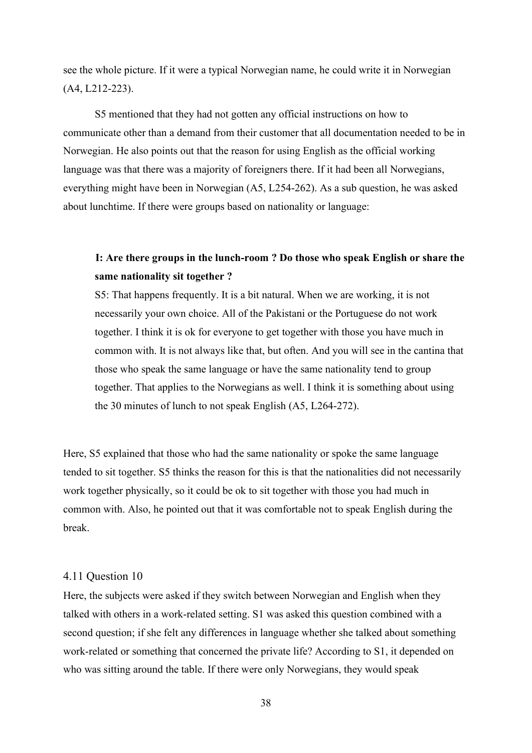see the whole picture. If it were a typical Norwegian name, he could write it in Norwegian (A4, L212-223).

S5 mentioned that they had not gotten any official instructions on how to communicate other than a demand from their customer that all documentation needed to be in Norwegian. He also points out that the reason for using English as the official working language was that there was a majority of foreigners there. If it had been all Norwegians, everything might have been in Norwegian (A5, L254-262). As a sub question, he was asked about lunchtime. If there were groups based on nationality or language:

## **I: Are there groups in the lunch-room ? Do those who speak English or share the same nationality sit together ?**

S5: That happens frequently. It is a bit natural. When we are working, it is not necessarily your own choice. All of the Pakistani or the Portuguese do not work together. I think it is ok for everyone to get together with those you have much in common with. It is not always like that, but often. And you will see in the cantina that those who speak the same language or have the same nationality tend to group together. That applies to the Norwegians as well. I think it is something about using the 30 minutes of lunch to not speak English (A5, L264-272).

Here, S5 explained that those who had the same nationality or spoke the same language tended to sit together. S5 thinks the reason for this is that the nationalities did not necessarily work together physically, so it could be ok to sit together with those you had much in common with. Also, he pointed out that it was comfortable not to speak English during the break.

#### 4.11 Question 10

Here, the subjects were asked if they switch between Norwegian and English when they talked with others in a work-related setting. S1 was asked this question combined with a second question; if she felt any differences in language whether she talked about something work-related or something that concerned the private life? According to S1, it depended on who was sitting around the table. If there were only Norwegians, they would speak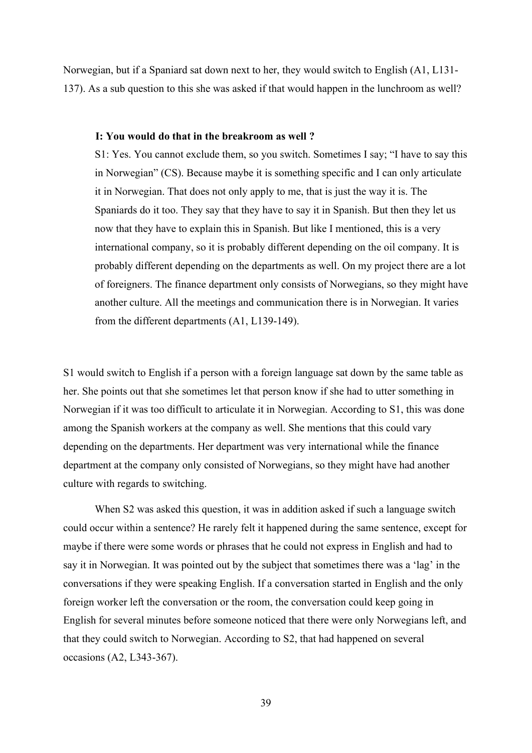Norwegian, but if a Spaniard sat down next to her, they would switch to English (A1, L131- 137). As a sub question to this she was asked if that would happen in the lunchroom as well?

#### **I: You would do that in the breakroom as well ?**

S1: Yes. You cannot exclude them, so you switch. Sometimes I say; "I have to say this in Norwegian" (CS). Because maybe it is something specific and I can only articulate it in Norwegian. That does not only apply to me, that is just the way it is. The Spaniards do it too. They say that they have to say it in Spanish. But then they let us now that they have to explain this in Spanish. But like I mentioned, this is a very international company, so it is probably different depending on the oil company. It is probably different depending on the departments as well. On my project there are a lot of foreigners. The finance department only consists of Norwegians, so they might have another culture. All the meetings and communication there is in Norwegian. It varies from the different departments (A1, L139-149).

S1 would switch to English if a person with a foreign language sat down by the same table as her. She points out that she sometimes let that person know if she had to utter something in Norwegian if it was too difficult to articulate it in Norwegian. According to S1, this was done among the Spanish workers at the company as well. She mentions that this could vary depending on the departments. Her department was very international while the finance department at the company only consisted of Norwegians, so they might have had another culture with regards to switching.

When S2 was asked this question, it was in addition asked if such a language switch could occur within a sentence? He rarely felt it happened during the same sentence, except for maybe if there were some words or phrases that he could not express in English and had to say it in Norwegian. It was pointed out by the subject that sometimes there was a 'lag' in the conversations if they were speaking English. If a conversation started in English and the only foreign worker left the conversation or the room, the conversation could keep going in English for several minutes before someone noticed that there were only Norwegians left, and that they could switch to Norwegian. According to S2, that had happened on several occasions (A2, L343-367).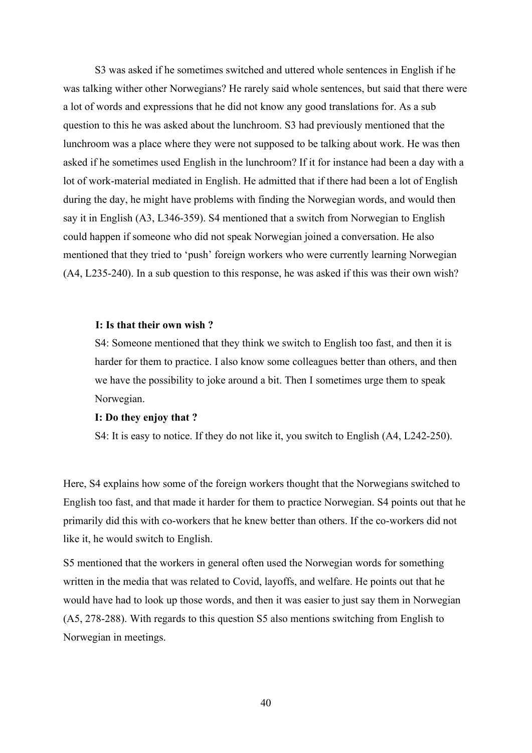S3 was asked if he sometimes switched and uttered whole sentences in English if he was talking wither other Norwegians? He rarely said whole sentences, but said that there were a lot of words and expressions that he did not know any good translations for. As a sub question to this he was asked about the lunchroom. S3 had previously mentioned that the lunchroom was a place where they were not supposed to be talking about work. He was then asked if he sometimes used English in the lunchroom? If it for instance had been a day with a lot of work-material mediated in English. He admitted that if there had been a lot of English during the day, he might have problems with finding the Norwegian words, and would then say it in English (A3, L346-359). S4 mentioned that a switch from Norwegian to English could happen if someone who did not speak Norwegian joined a conversation. He also mentioned that they tried to 'push' foreign workers who were currently learning Norwegian (A4, L235-240). In a sub question to this response, he was asked if this was their own wish?

#### **I: Is that their own wish ?**

S4: Someone mentioned that they think we switch to English too fast, and then it is harder for them to practice. I also know some colleagues better than others, and then we have the possibility to joke around a bit. Then I sometimes urge them to speak Norwegian.

#### **I: Do they enjoy that ?**

S4: It is easy to notice. If they do not like it, you switch to English (A4, L242-250).

Here, S4 explains how some of the foreign workers thought that the Norwegians switched to English too fast, and that made it harder for them to practice Norwegian. S4 points out that he primarily did this with co-workers that he knew better than others. If the co-workers did not like it, he would switch to English.

S5 mentioned that the workers in general often used the Norwegian words for something written in the media that was related to Covid, layoffs, and welfare. He points out that he would have had to look up those words, and then it was easier to just say them in Norwegian (A5, 278-288). With regards to this question S5 also mentions switching from English to Norwegian in meetings.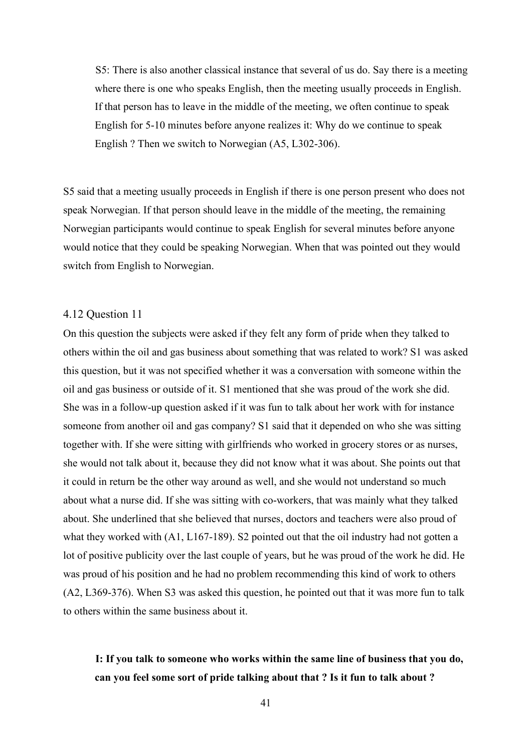S5: There is also another classical instance that several of us do. Say there is a meeting where there is one who speaks English, then the meeting usually proceeds in English. If that person has to leave in the middle of the meeting, we often continue to speak English for 5-10 minutes before anyone realizes it: Why do we continue to speak English ? Then we switch to Norwegian (A5, L302-306).

S5 said that a meeting usually proceeds in English if there is one person present who does not speak Norwegian. If that person should leave in the middle of the meeting, the remaining Norwegian participants would continue to speak English for several minutes before anyone would notice that they could be speaking Norwegian. When that was pointed out they would switch from English to Norwegian.

#### 4.12 Question 11

On this question the subjects were asked if they felt any form of pride when they talked to others within the oil and gas business about something that was related to work? S1 was asked this question, but it was not specified whether it was a conversation with someone within the oil and gas business or outside of it. S1 mentioned that she was proud of the work she did. She was in a follow-up question asked if it was fun to talk about her work with for instance someone from another oil and gas company? S1 said that it depended on who she was sitting together with. If she were sitting with girlfriends who worked in grocery stores or as nurses, she would not talk about it, because they did not know what it was about. She points out that it could in return be the other way around as well, and she would not understand so much about what a nurse did. If she was sitting with co-workers, that was mainly what they talked about. She underlined that she believed that nurses, doctors and teachers were also proud of what they worked with (A1, L167-189). S2 pointed out that the oil industry had not gotten a lot of positive publicity over the last couple of years, but he was proud of the work he did. He was proud of his position and he had no problem recommending this kind of work to others (A2, L369-376). When S3 was asked this question, he pointed out that it was more fun to talk to others within the same business about it.

## **I: If you talk to someone who works within the same line of business that you do, can you feel some sort of pride talking about that ? Is it fun to talk about ?**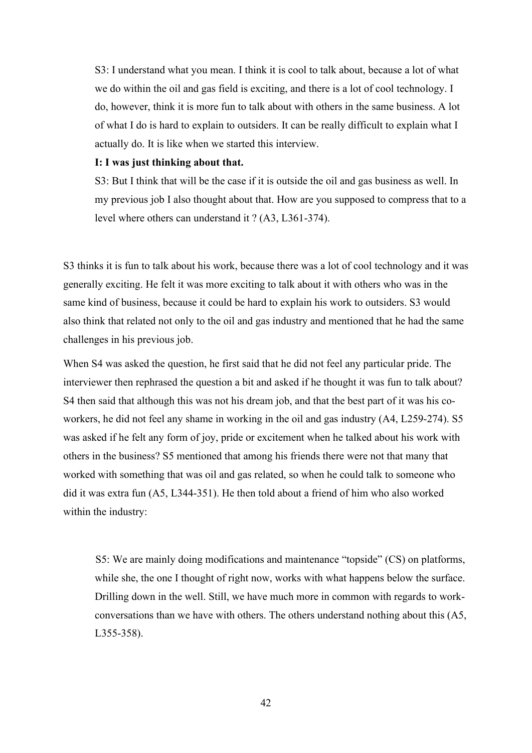S3: I understand what you mean. I think it is cool to talk about, because a lot of what we do within the oil and gas field is exciting, and there is a lot of cool technology. I do, however, think it is more fun to talk about with others in the same business. A lot of what I do is hard to explain to outsiders. It can be really difficult to explain what I actually do. It is like when we started this interview.

## **I: I was just thinking about that.**

S3: But I think that will be the case if it is outside the oil and gas business as well. In my previous job I also thought about that. How are you supposed to compress that to a level where others can understand it ? (A3, L361-374).

S3 thinks it is fun to talk about his work, because there was a lot of cool technology and it was generally exciting. He felt it was more exciting to talk about it with others who was in the same kind of business, because it could be hard to explain his work to outsiders. S3 would also think that related not only to the oil and gas industry and mentioned that he had the same challenges in his previous job.

When S4 was asked the question, he first said that he did not feel any particular pride. The interviewer then rephrased the question a bit and asked if he thought it was fun to talk about? S4 then said that although this was not his dream job, and that the best part of it was his coworkers, he did not feel any shame in working in the oil and gas industry (A4, L259-274). S5 was asked if he felt any form of joy, pride or excitement when he talked about his work with others in the business? S5 mentioned that among his friends there were not that many that worked with something that was oil and gas related, so when he could talk to someone who did it was extra fun (A5, L344-351). He then told about a friend of him who also worked within the industry:

 S5: We are mainly doing modifications and maintenance "topside" (CS) on platforms, while she, the one I thought of right now, works with what happens below the surface. Drilling down in the well. Still, we have much more in common with regards to workconversations than we have with others. The others understand nothing about this (A5, L355-358).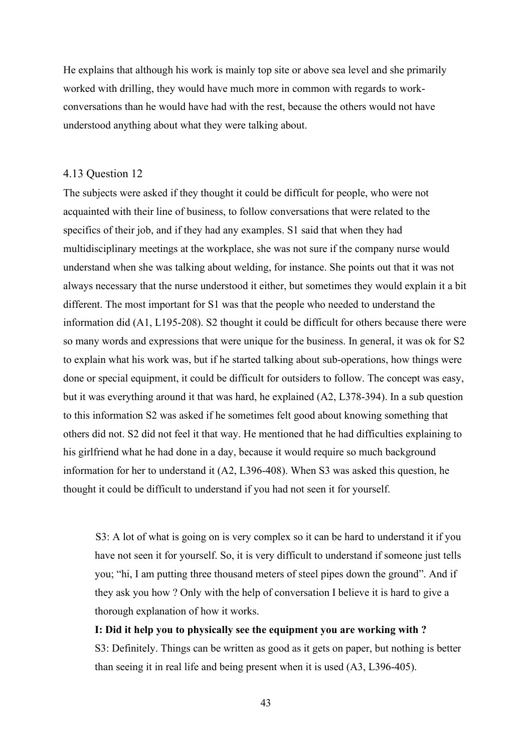He explains that although his work is mainly top site or above sea level and she primarily worked with drilling, they would have much more in common with regards to workconversations than he would have had with the rest, because the others would not have understood anything about what they were talking about.

## 4.13 Question 12

The subjects were asked if they thought it could be difficult for people, who were not acquainted with their line of business, to follow conversations that were related to the specifics of their job, and if they had any examples. S1 said that when they had multidisciplinary meetings at the workplace, she was not sure if the company nurse would understand when she was talking about welding, for instance. She points out that it was not always necessary that the nurse understood it either, but sometimes they would explain it a bit different. The most important for S1 was that the people who needed to understand the information did (A1, L195-208). S2 thought it could be difficult for others because there were so many words and expressions that were unique for the business. In general, it was ok for S2 to explain what his work was, but if he started talking about sub-operations, how things were done or special equipment, it could be difficult for outsiders to follow. The concept was easy, but it was everything around it that was hard, he explained (A2, L378-394). In a sub question to this information S2 was asked if he sometimes felt good about knowing something that others did not. S2 did not feel it that way. He mentioned that he had difficulties explaining to his girlfriend what he had done in a day, because it would require so much background information for her to understand it (A2, L396-408). When S3 was asked this question, he thought it could be difficult to understand if you had not seen it for yourself.

 S3: A lot of what is going on is very complex so it can be hard to understand it if you have not seen it for yourself. So, it is very difficult to understand if someone just tells you; "hi, I am putting three thousand meters of steel pipes down the ground". And if they ask you how ? Only with the help of conversation I believe it is hard to give a thorough explanation of how it works.

#### **I: Did it help you to physically see the equipment you are working with ?**

S3: Definitely. Things can be written as good as it gets on paper, but nothing is better than seeing it in real life and being present when it is used (A3, L396-405).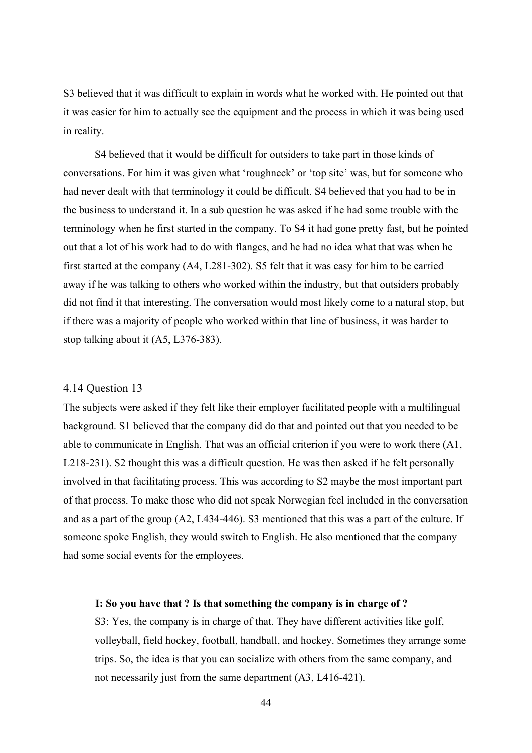S3 believed that it was difficult to explain in words what he worked with. He pointed out that it was easier for him to actually see the equipment and the process in which it was being used in reality.

S4 believed that it would be difficult for outsiders to take part in those kinds of conversations. For him it was given what 'roughneck' or 'top site' was, but for someone who had never dealt with that terminology it could be difficult. S4 believed that you had to be in the business to understand it. In a sub question he was asked if he had some trouble with the terminology when he first started in the company. To S4 it had gone pretty fast, but he pointed out that a lot of his work had to do with flanges, and he had no idea what that was when he first started at the company (A4, L281-302). S5 felt that it was easy for him to be carried away if he was talking to others who worked within the industry, but that outsiders probably did not find it that interesting. The conversation would most likely come to a natural stop, but if there was a majority of people who worked within that line of business, it was harder to stop talking about it (A5, L376-383).

## 4.14 Question 13

The subjects were asked if they felt like their employer facilitated people with a multilingual background. S1 believed that the company did do that and pointed out that you needed to be able to communicate in English. That was an official criterion if you were to work there (A1, L218-231). S2 thought this was a difficult question. He was then asked if he felt personally involved in that facilitating process. This was according to S2 maybe the most important part of that process. To make those who did not speak Norwegian feel included in the conversation and as a part of the group (A2, L434-446). S3 mentioned that this was a part of the culture. If someone spoke English, they would switch to English. He also mentioned that the company had some social events for the employees.

## **I: So you have that ? Is that something the company is in charge of ?**

S3: Yes, the company is in charge of that. They have different activities like golf, volleyball, field hockey, football, handball, and hockey. Sometimes they arrange some trips. So, the idea is that you can socialize with others from the same company, and not necessarily just from the same department (A3, L416-421).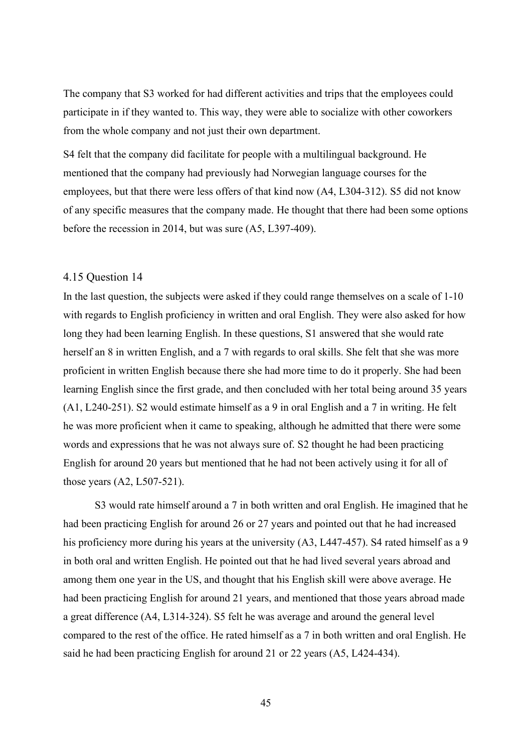The company that S3 worked for had different activities and trips that the employees could participate in if they wanted to. This way, they were able to socialize with other coworkers from the whole company and not just their own department.

S4 felt that the company did facilitate for people with a multilingual background. He mentioned that the company had previously had Norwegian language courses for the employees, but that there were less offers of that kind now (A4, L304-312). S5 did not know of any specific measures that the company made. He thought that there had been some options before the recession in 2014, but was sure (A5, L397-409).

## 4.15 Question 14

In the last question, the subjects were asked if they could range themselves on a scale of 1-10 with regards to English proficiency in written and oral English. They were also asked for how long they had been learning English. In these questions, S1 answered that she would rate herself an 8 in written English, and a 7 with regards to oral skills. She felt that she was more proficient in written English because there she had more time to do it properly. She had been learning English since the first grade, and then concluded with her total being around 35 years (A1, L240-251). S2 would estimate himself as a 9 in oral English and a 7 in writing. He felt he was more proficient when it came to speaking, although he admitted that there were some words and expressions that he was not always sure of. S2 thought he had been practicing English for around 20 years but mentioned that he had not been actively using it for all of those years (A2, L507-521).

S3 would rate himself around a 7 in both written and oral English. He imagined that he had been practicing English for around 26 or 27 years and pointed out that he had increased his proficiency more during his years at the university (A3, L447-457). S4 rated himself as a 9 in both oral and written English. He pointed out that he had lived several years abroad and among them one year in the US, and thought that his English skill were above average. He had been practicing English for around 21 years, and mentioned that those years abroad made a great difference (A4, L314-324). S5 felt he was average and around the general level compared to the rest of the office. He rated himself as a 7 in both written and oral English. He said he had been practicing English for around 21 or 22 years (A5, L424-434).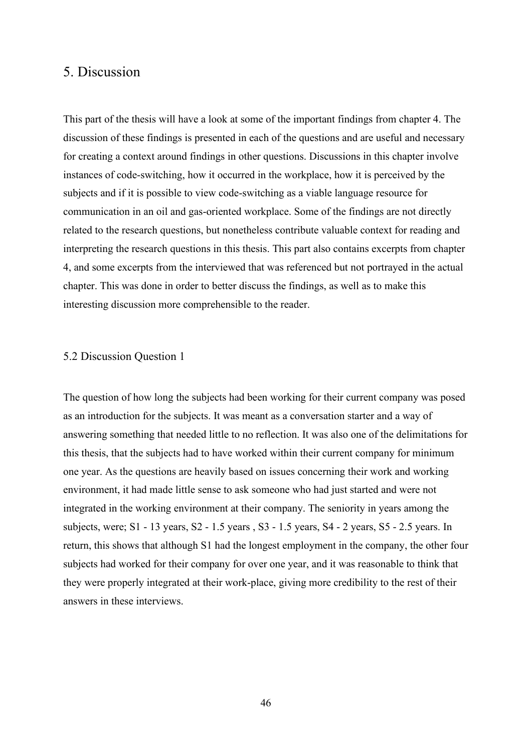## 5. Discussion

This part of the thesis will have a look at some of the important findings from chapter 4. The discussion of these findings is presented in each of the questions and are useful and necessary for creating a context around findings in other questions. Discussions in this chapter involve instances of code-switching, how it occurred in the workplace, how it is perceived by the subjects and if it is possible to view code-switching as a viable language resource for communication in an oil and gas-oriented workplace. Some of the findings are not directly related to the research questions, but nonetheless contribute valuable context for reading and interpreting the research questions in this thesis. This part also contains excerpts from chapter 4, and some excerpts from the interviewed that was referenced but not portrayed in the actual chapter. This was done in order to better discuss the findings, as well as to make this interesting discussion more comprehensible to the reader.

#### 5.2 Discussion Question 1

The question of how long the subjects had been working for their current company was posed as an introduction for the subjects. It was meant as a conversation starter and a way of answering something that needed little to no reflection. It was also one of the delimitations for this thesis, that the subjects had to have worked within their current company for minimum one year. As the questions are heavily based on issues concerning their work and working environment, it had made little sense to ask someone who had just started and were not integrated in the working environment at their company. The seniority in years among the subjects, were; S1 - 13 years, S2 - 1.5 years , S3 - 1.5 years, S4 - 2 years, S5 - 2.5 years. In return, this shows that although S1 had the longest employment in the company, the other four subjects had worked for their company for over one year, and it was reasonable to think that they were properly integrated at their work-place, giving more credibility to the rest of their answers in these interviews.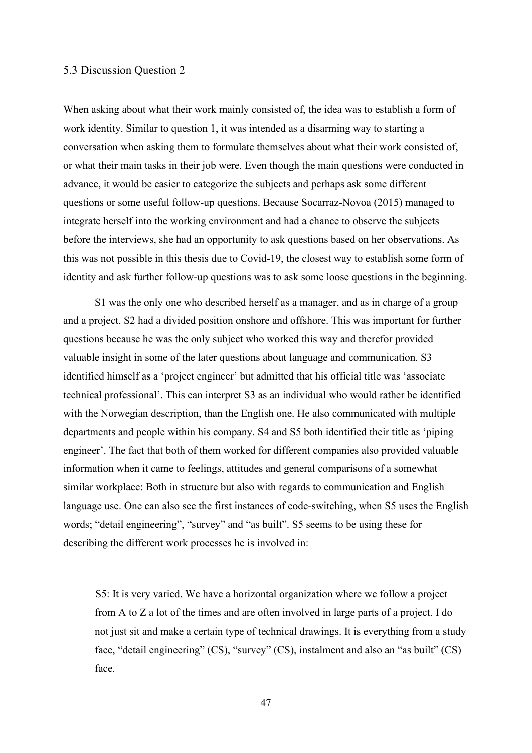## 5.3 Discussion Question 2

When asking about what their work mainly consisted of, the idea was to establish a form of work identity. Similar to question 1, it was intended as a disarming way to starting a conversation when asking them to formulate themselves about what their work consisted of, or what their main tasks in their job were. Even though the main questions were conducted in advance, it would be easier to categorize the subjects and perhaps ask some different questions or some useful follow-up questions. Because Socarraz-Novoa (2015) managed to integrate herself into the working environment and had a chance to observe the subjects before the interviews, she had an opportunity to ask questions based on her observations. As this was not possible in this thesis due to Covid-19, the closest way to establish some form of identity and ask further follow-up questions was to ask some loose questions in the beginning.

S1 was the only one who described herself as a manager, and as in charge of a group and a project. S2 had a divided position onshore and offshore. This was important for further questions because he was the only subject who worked this way and therefor provided valuable insight in some of the later questions about language and communication. S3 identified himself as a 'project engineer' but admitted that his official title was 'associate technical professional'. This can interpret S3 as an individual who would rather be identified with the Norwegian description, than the English one. He also communicated with multiple departments and people within his company. S4 and S5 both identified their title as 'piping engineer'. The fact that both of them worked for different companies also provided valuable information when it came to feelings, attitudes and general comparisons of a somewhat similar workplace: Both in structure but also with regards to communication and English language use. One can also see the first instances of code-switching, when S5 uses the English words; "detail engineering", "survey" and "as built". S5 seems to be using these for describing the different work processes he is involved in:

 S5: It is very varied. We have a horizontal organization where we follow a project from A to Z a lot of the times and are often involved in large parts of a project. I do not just sit and make a certain type of technical drawings. It is everything from a study face, "detail engineering" (CS), "survey" (CS), instalment and also an "as built" (CS) face.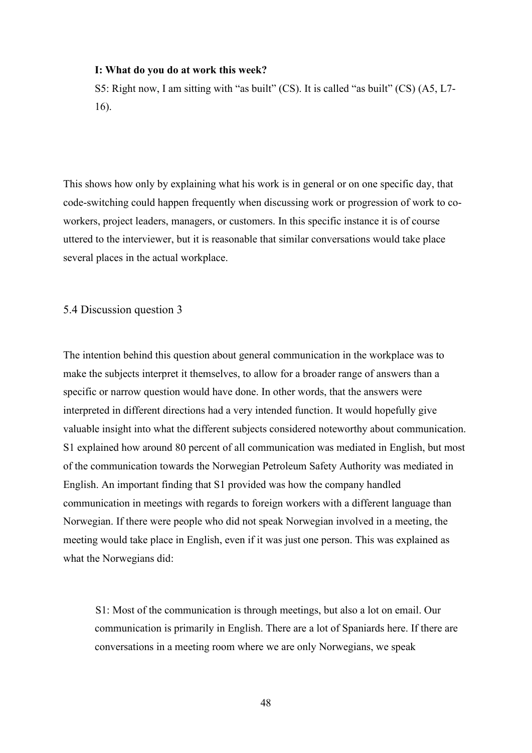#### **I: What do you do at work this week?**

S5: Right now, I am sitting with "as built" (CS). It is called "as built" (CS) (A5, L7- 16).

This shows how only by explaining what his work is in general or on one specific day, that code-switching could happen frequently when discussing work or progression of work to coworkers, project leaders, managers, or customers. In this specific instance it is of course uttered to the interviewer, but it is reasonable that similar conversations would take place several places in the actual workplace.

5.4 Discussion question 3

The intention behind this question about general communication in the workplace was to make the subjects interpret it themselves, to allow for a broader range of answers than a specific or narrow question would have done. In other words, that the answers were interpreted in different directions had a very intended function. It would hopefully give valuable insight into what the different subjects considered noteworthy about communication. S1 explained how around 80 percent of all communication was mediated in English, but most of the communication towards the Norwegian Petroleum Safety Authority was mediated in English. An important finding that S1 provided was how the company handled communication in meetings with regards to foreign workers with a different language than Norwegian. If there were people who did not speak Norwegian involved in a meeting, the meeting would take place in English, even if it was just one person. This was explained as what the Norwegians did:

 S1: Most of the communication is through meetings, but also a lot on email. Our communication is primarily in English. There are a lot of Spaniards here. If there are conversations in a meeting room where we are only Norwegians, we speak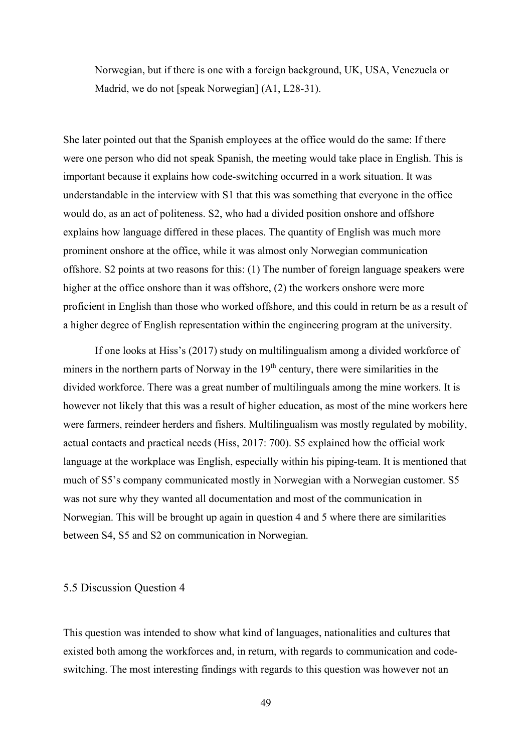Norwegian, but if there is one with a foreign background, UK, USA, Venezuela or Madrid, we do not [speak Norwegian] (A1, L28-31).

She later pointed out that the Spanish employees at the office would do the same: If there were one person who did not speak Spanish, the meeting would take place in English. This is important because it explains how code-switching occurred in a work situation. It was understandable in the interview with S1 that this was something that everyone in the office would do, as an act of politeness. S2, who had a divided position onshore and offshore explains how language differed in these places. The quantity of English was much more prominent onshore at the office, while it was almost only Norwegian communication offshore. S2 points at two reasons for this: (1) The number of foreign language speakers were higher at the office onshore than it was offshore, (2) the workers onshore were more proficient in English than those who worked offshore, and this could in return be as a result of a higher degree of English representation within the engineering program at the university.

If one looks at Hiss's (2017) study on multilingualism among a divided workforce of miners in the northern parts of Norway in the  $19<sup>th</sup>$  century, there were similarities in the divided workforce. There was a great number of multilinguals among the mine workers. It is however not likely that this was a result of higher education, as most of the mine workers here were farmers, reindeer herders and fishers. Multilingualism was mostly regulated by mobility, actual contacts and practical needs (Hiss, 2017: 700). S5 explained how the official work language at the workplace was English, especially within his piping-team. It is mentioned that much of S5's company communicated mostly in Norwegian with a Norwegian customer. S5 was not sure why they wanted all documentation and most of the communication in Norwegian. This will be brought up again in question 4 and 5 where there are similarities between S4, S5 and S2 on communication in Norwegian.

## 5.5 Discussion Question 4

This question was intended to show what kind of languages, nationalities and cultures that existed both among the workforces and, in return, with regards to communication and codeswitching. The most interesting findings with regards to this question was however not an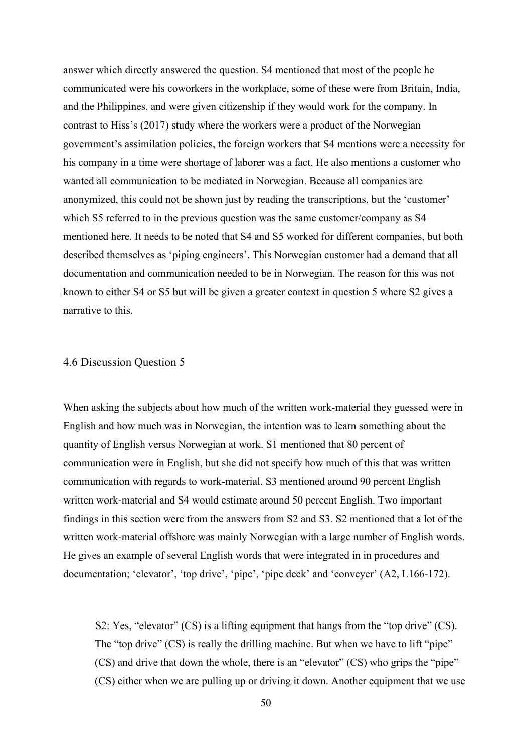answer which directly answered the question. S4 mentioned that most of the people he communicated were his coworkers in the workplace, some of these were from Britain, India, and the Philippines, and were given citizenship if they would work for the company. In contrast to Hiss's (2017) study where the workers were a product of the Norwegian government's assimilation policies, the foreign workers that S4 mentions were a necessity for his company in a time were shortage of laborer was a fact. He also mentions a customer who wanted all communication to be mediated in Norwegian. Because all companies are anonymized, this could not be shown just by reading the transcriptions, but the 'customer' which S5 referred to in the previous question was the same customer/company as S4 mentioned here. It needs to be noted that S4 and S5 worked for different companies, but both described themselves as 'piping engineers'. This Norwegian customer had a demand that all documentation and communication needed to be in Norwegian. The reason for this was not known to either S4 or S5 but will be given a greater context in question 5 where S2 gives a narrative to this.

## 4.6 Discussion Question 5

When asking the subjects about how much of the written work-material they guessed were in English and how much was in Norwegian, the intention was to learn something about the quantity of English versus Norwegian at work. S1 mentioned that 80 percent of communication were in English, but she did not specify how much of this that was written communication with regards to work-material. S3 mentioned around 90 percent English written work-material and S4 would estimate around 50 percent English. Two important findings in this section were from the answers from S2 and S3. S2 mentioned that a lot of the written work-material offshore was mainly Norwegian with a large number of English words. He gives an example of several English words that were integrated in in procedures and documentation; 'elevator', 'top drive', 'pipe', 'pipe deck' and 'conveyer' (A2, L166-172).

 S2: Yes, "elevator" (CS) is a lifting equipment that hangs from the "top drive" (CS). The "top drive" (CS) is really the drilling machine. But when we have to lift "pipe" (CS) and drive that down the whole, there is an "elevator" (CS) who grips the "pipe" (CS) either when we are pulling up or driving it down. Another equipment that we use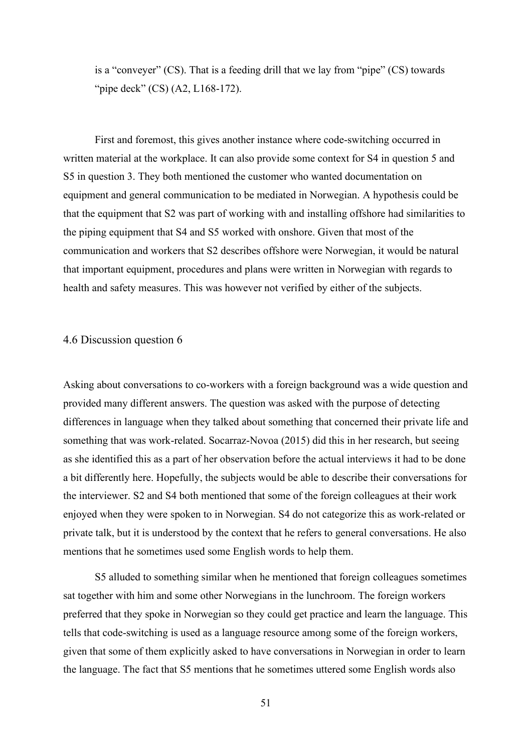is a "conveyer" (CS). That is a feeding drill that we lay from "pipe" (CS) towards "pipe deck" (CS) (A2, L168-172).

First and foremost, this gives another instance where code-switching occurred in written material at the workplace. It can also provide some context for S4 in question 5 and S5 in question 3. They both mentioned the customer who wanted documentation on equipment and general communication to be mediated in Norwegian. A hypothesis could be that the equipment that S2 was part of working with and installing offshore had similarities to the piping equipment that S4 and S5 worked with onshore. Given that most of the communication and workers that S2 describes offshore were Norwegian, it would be natural that important equipment, procedures and plans were written in Norwegian with regards to health and safety measures. This was however not verified by either of the subjects.

## 4.6 Discussion question 6

Asking about conversations to co-workers with a foreign background was a wide question and provided many different answers. The question was asked with the purpose of detecting differences in language when they talked about something that concerned their private life and something that was work-related. Socarraz-Novoa (2015) did this in her research, but seeing as she identified this as a part of her observation before the actual interviews it had to be done a bit differently here. Hopefully, the subjects would be able to describe their conversations for the interviewer. S2 and S4 both mentioned that some of the foreign colleagues at their work enjoyed when they were spoken to in Norwegian. S4 do not categorize this as work-related or private talk, but it is understood by the context that he refers to general conversations. He also mentions that he sometimes used some English words to help them.

S5 alluded to something similar when he mentioned that foreign colleagues sometimes sat together with him and some other Norwegians in the lunchroom. The foreign workers preferred that they spoke in Norwegian so they could get practice and learn the language. This tells that code-switching is used as a language resource among some of the foreign workers, given that some of them explicitly asked to have conversations in Norwegian in order to learn the language. The fact that S5 mentions that he sometimes uttered some English words also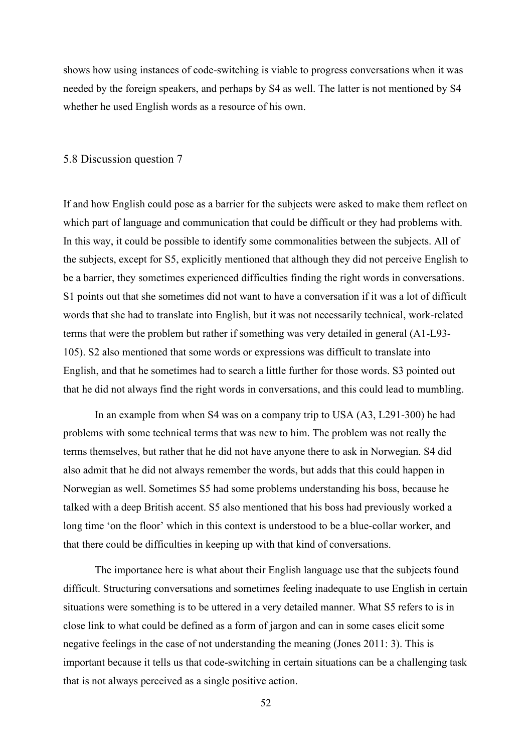shows how using instances of code-switching is viable to progress conversations when it was needed by the foreign speakers, and perhaps by S4 as well. The latter is not mentioned by S4 whether he used English words as a resource of his own.

#### 5.8 Discussion question 7

If and how English could pose as a barrier for the subjects were asked to make them reflect on which part of language and communication that could be difficult or they had problems with. In this way, it could be possible to identify some commonalities between the subjects. All of the subjects, except for S5, explicitly mentioned that although they did not perceive English to be a barrier, they sometimes experienced difficulties finding the right words in conversations. S1 points out that she sometimes did not want to have a conversation if it was a lot of difficult words that she had to translate into English, but it was not necessarily technical, work-related terms that were the problem but rather if something was very detailed in general (A1-L93- 105). S2 also mentioned that some words or expressions was difficult to translate into English, and that he sometimes had to search a little further for those words. S3 pointed out that he did not always find the right words in conversations, and this could lead to mumbling.

In an example from when S4 was on a company trip to USA (A3, L291-300) he had problems with some technical terms that was new to him. The problem was not really the terms themselves, but rather that he did not have anyone there to ask in Norwegian. S4 did also admit that he did not always remember the words, but adds that this could happen in Norwegian as well. Sometimes S5 had some problems understanding his boss, because he talked with a deep British accent. S5 also mentioned that his boss had previously worked a long time 'on the floor' which in this context is understood to be a blue-collar worker, and that there could be difficulties in keeping up with that kind of conversations.

The importance here is what about their English language use that the subjects found difficult. Structuring conversations and sometimes feeling inadequate to use English in certain situations were something is to be uttered in a very detailed manner. What S5 refers to is in close link to what could be defined as a form of jargon and can in some cases elicit some negative feelings in the case of not understanding the meaning (Jones 2011: 3). This is important because it tells us that code-switching in certain situations can be a challenging task that is not always perceived as a single positive action.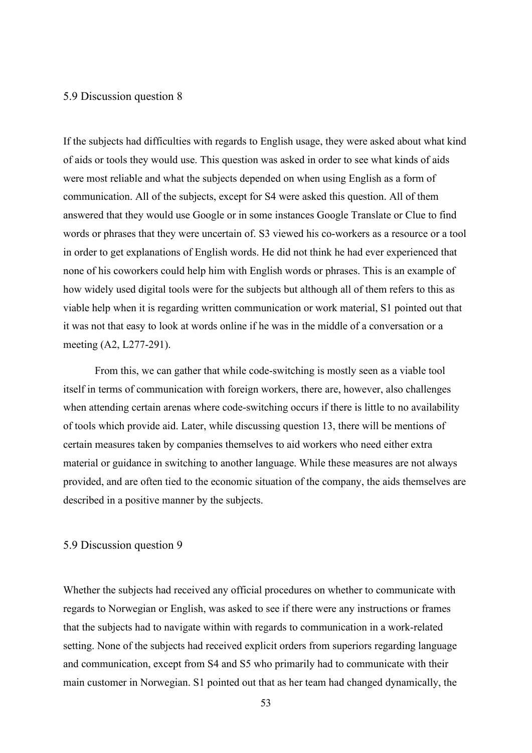## 5.9 Discussion question 8

If the subjects had difficulties with regards to English usage, they were asked about what kind of aids or tools they would use. This question was asked in order to see what kinds of aids were most reliable and what the subjects depended on when using English as a form of communication. All of the subjects, except for S4 were asked this question. All of them answered that they would use Google or in some instances Google Translate or Clue to find words or phrases that they were uncertain of. S3 viewed his co-workers as a resource or a tool in order to get explanations of English words. He did not think he had ever experienced that none of his coworkers could help him with English words or phrases. This is an example of how widely used digital tools were for the subjects but although all of them refers to this as viable help when it is regarding written communication or work material, S1 pointed out that it was not that easy to look at words online if he was in the middle of a conversation or a meeting (A2, L277-291).

From this, we can gather that while code-switching is mostly seen as a viable tool itself in terms of communication with foreign workers, there are, however, also challenges when attending certain arenas where code-switching occurs if there is little to no availability of tools which provide aid. Later, while discussing question 13, there will be mentions of certain measures taken by companies themselves to aid workers who need either extra material or guidance in switching to another language. While these measures are not always provided, and are often tied to the economic situation of the company, the aids themselves are described in a positive manner by the subjects.

### 5.9 Discussion question 9

Whether the subjects had received any official procedures on whether to communicate with regards to Norwegian or English, was asked to see if there were any instructions or frames that the subjects had to navigate within with regards to communication in a work-related setting. None of the subjects had received explicit orders from superiors regarding language and communication, except from S4 and S5 who primarily had to communicate with their main customer in Norwegian. S1 pointed out that as her team had changed dynamically, the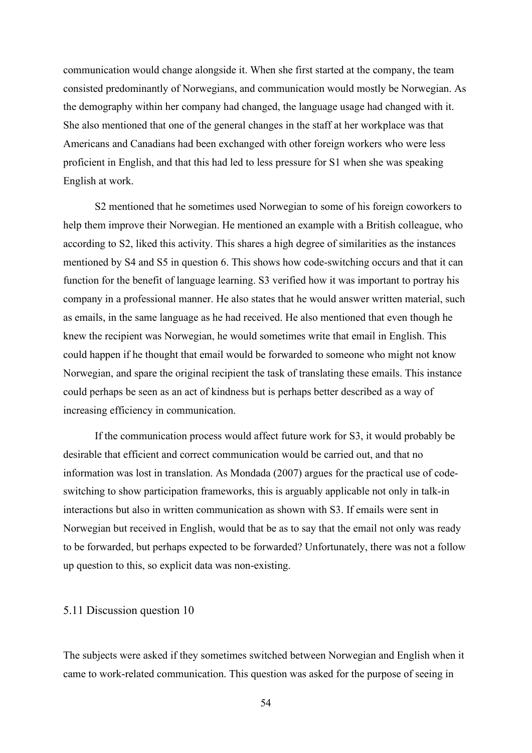communication would change alongside it. When she first started at the company, the team consisted predominantly of Norwegians, and communication would mostly be Norwegian. As the demography within her company had changed, the language usage had changed with it. She also mentioned that one of the general changes in the staff at her workplace was that Americans and Canadians had been exchanged with other foreign workers who were less proficient in English, and that this had led to less pressure for S1 when she was speaking English at work.

S2 mentioned that he sometimes used Norwegian to some of his foreign coworkers to help them improve their Norwegian. He mentioned an example with a British colleague, who according to S2, liked this activity. This shares a high degree of similarities as the instances mentioned by S4 and S5 in question 6. This shows how code-switching occurs and that it can function for the benefit of language learning. S3 verified how it was important to portray his company in a professional manner. He also states that he would answer written material, such as emails, in the same language as he had received. He also mentioned that even though he knew the recipient was Norwegian, he would sometimes write that email in English. This could happen if he thought that email would be forwarded to someone who might not know Norwegian, and spare the original recipient the task of translating these emails. This instance could perhaps be seen as an act of kindness but is perhaps better described as a way of increasing efficiency in communication.

If the communication process would affect future work for S3, it would probably be desirable that efficient and correct communication would be carried out, and that no information was lost in translation. As Mondada (2007) argues for the practical use of codeswitching to show participation frameworks, this is arguably applicable not only in talk-in interactions but also in written communication as shown with S3. If emails were sent in Norwegian but received in English, would that be as to say that the email not only was ready to be forwarded, but perhaps expected to be forwarded? Unfortunately, there was not a follow up question to this, so explicit data was non-existing.

#### 5.11 Discussion question 10

The subjects were asked if they sometimes switched between Norwegian and English when it came to work-related communication. This question was asked for the purpose of seeing in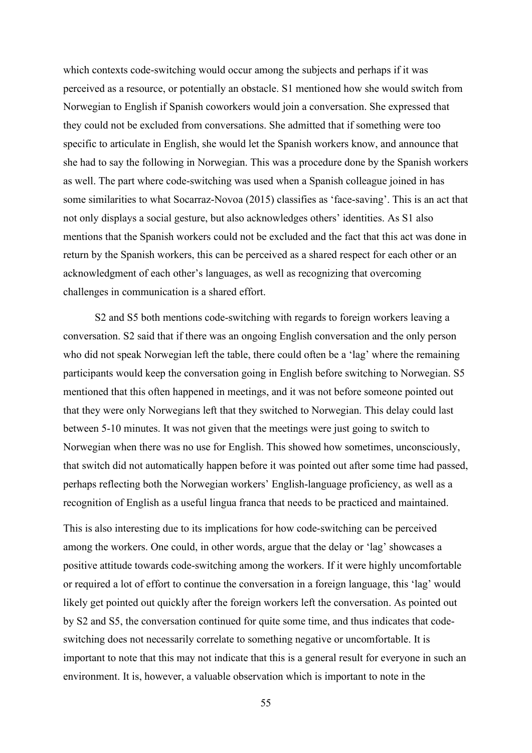which contexts code-switching would occur among the subjects and perhaps if it was perceived as a resource, or potentially an obstacle. S1 mentioned how she would switch from Norwegian to English if Spanish coworkers would join a conversation. She expressed that they could not be excluded from conversations. She admitted that if something were too specific to articulate in English, she would let the Spanish workers know, and announce that she had to say the following in Norwegian. This was a procedure done by the Spanish workers as well. The part where code-switching was used when a Spanish colleague joined in has some similarities to what Socarraz-Novoa (2015) classifies as 'face-saving'. This is an act that not only displays a social gesture, but also acknowledges others' identities. As S1 also mentions that the Spanish workers could not be excluded and the fact that this act was done in return by the Spanish workers, this can be perceived as a shared respect for each other or an acknowledgment of each other's languages, as well as recognizing that overcoming challenges in communication is a shared effort.

S2 and S5 both mentions code-switching with regards to foreign workers leaving a conversation. S2 said that if there was an ongoing English conversation and the only person who did not speak Norwegian left the table, there could often be a 'lag' where the remaining participants would keep the conversation going in English before switching to Norwegian. S5 mentioned that this often happened in meetings, and it was not before someone pointed out that they were only Norwegians left that they switched to Norwegian. This delay could last between 5-10 minutes. It was not given that the meetings were just going to switch to Norwegian when there was no use for English. This showed how sometimes, unconsciously, that switch did not automatically happen before it was pointed out after some time had passed, perhaps reflecting both the Norwegian workers' English-language proficiency, as well as a recognition of English as a useful lingua franca that needs to be practiced and maintained.

This is also interesting due to its implications for how code-switching can be perceived among the workers. One could, in other words, argue that the delay or 'lag' showcases a positive attitude towards code-switching among the workers. If it were highly uncomfortable or required a lot of effort to continue the conversation in a foreign language, this 'lag' would likely get pointed out quickly after the foreign workers left the conversation. As pointed out by S2 and S5, the conversation continued for quite some time, and thus indicates that codeswitching does not necessarily correlate to something negative or uncomfortable. It is important to note that this may not indicate that this is a general result for everyone in such an environment. It is, however, a valuable observation which is important to note in the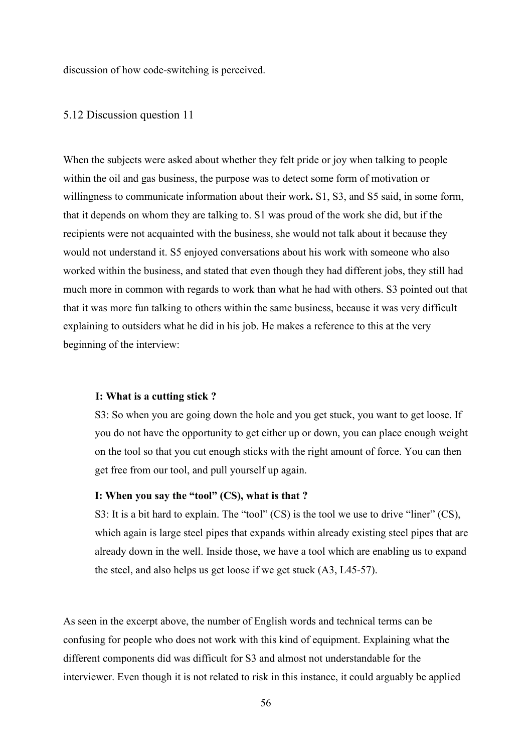discussion of how code-switching is perceived.

## 5.12 Discussion question 11

When the subjects were asked about whether they felt pride or joy when talking to people within the oil and gas business, the purpose was to detect some form of motivation or willingness to communicate information about their work**.** S1, S3, and S5 said, in some form, that it depends on whom they are talking to. S1 was proud of the work she did, but if the recipients were not acquainted with the business, she would not talk about it because they would not understand it. S5 enjoyed conversations about his work with someone who also worked within the business, and stated that even though they had different jobs, they still had much more in common with regards to work than what he had with others. S3 pointed out that that it was more fun talking to others within the same business, because it was very difficult explaining to outsiders what he did in his job. He makes a reference to this at the very beginning of the interview:

### **I: What is a cutting stick ?**

S3: So when you are going down the hole and you get stuck, you want to get loose. If you do not have the opportunity to get either up or down, you can place enough weight on the tool so that you cut enough sticks with the right amount of force. You can then get free from our tool, and pull yourself up again.

## **I: When you say the "tool" (CS), what is that ?**

S3: It is a bit hard to explain. The "tool" (CS) is the tool we use to drive "liner" (CS), which again is large steel pipes that expands within already existing steel pipes that are already down in the well. Inside those, we have a tool which are enabling us to expand the steel, and also helps us get loose if we get stuck (A3, L45-57).

As seen in the excerpt above, the number of English words and technical terms can be confusing for people who does not work with this kind of equipment. Explaining what the different components did was difficult for S3 and almost not understandable for the interviewer. Even though it is not related to risk in this instance, it could arguably be applied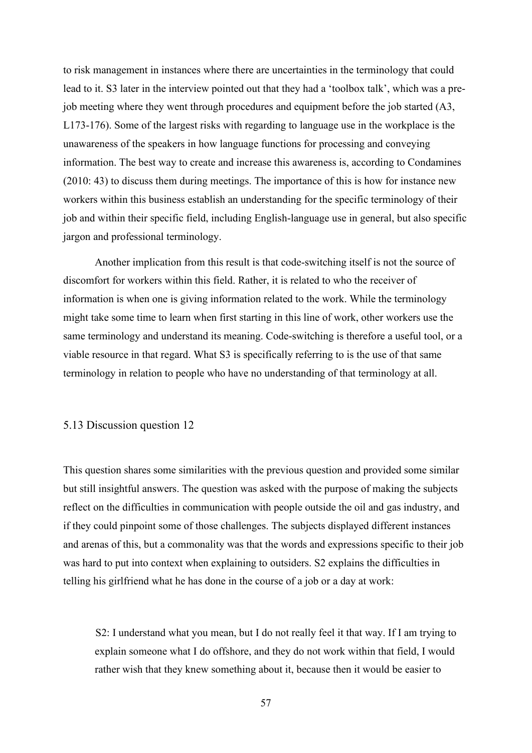to risk management in instances where there are uncertainties in the terminology that could lead to it. S3 later in the interview pointed out that they had a 'toolbox talk', which was a prejob meeting where they went through procedures and equipment before the job started (A3, L173-176). Some of the largest risks with regarding to language use in the workplace is the unawareness of the speakers in how language functions for processing and conveying information. The best way to create and increase this awareness is, according to Condamines (2010: 43) to discuss them during meetings. The importance of this is how for instance new workers within this business establish an understanding for the specific terminology of their job and within their specific field, including English-language use in general, but also specific jargon and professional terminology.

Another implication from this result is that code-switching itself is not the source of discomfort for workers within this field. Rather, it is related to who the receiver of information is when one is giving information related to the work. While the terminology might take some time to learn when first starting in this line of work, other workers use the same terminology and understand its meaning. Code-switching is therefore a useful tool, or a viable resource in that regard. What S3 is specifically referring to is the use of that same terminology in relation to people who have no understanding of that terminology at all.

## 5.13 Discussion question 12

This question shares some similarities with the previous question and provided some similar but still insightful answers. The question was asked with the purpose of making the subjects reflect on the difficulties in communication with people outside the oil and gas industry, and if they could pinpoint some of those challenges. The subjects displayed different instances and arenas of this, but a commonality was that the words and expressions specific to their job was hard to put into context when explaining to outsiders. S2 explains the difficulties in telling his girlfriend what he has done in the course of a job or a day at work:

 S2: I understand what you mean, but I do not really feel it that way. If I am trying to explain someone what I do offshore, and they do not work within that field, I would rather wish that they knew something about it, because then it would be easier to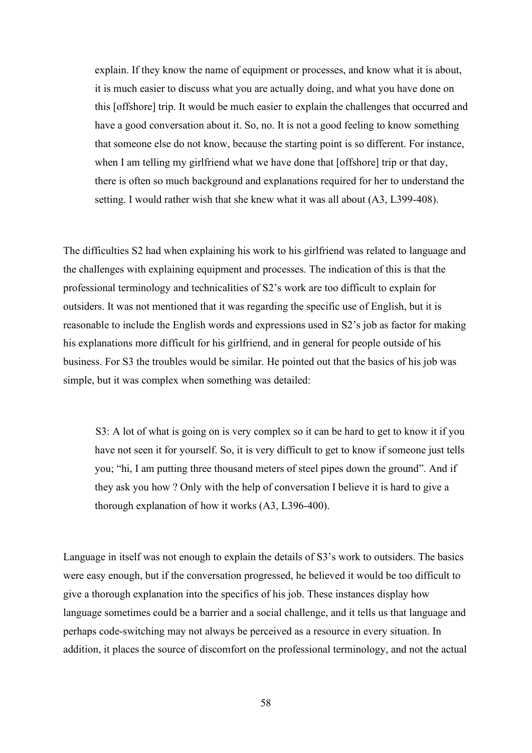explain. If they know the name of equipment or processes, and know what it is about, it is much easier to discuss what you are actually doing, and what you have done on this [offshore] trip. It would be much easier to explain the challenges that occurred and have a good conversation about it. So, no. It is not a good feeling to know something that someone else do not know, because the starting point is so different. For instance, when I am telling my girlfriend what we have done that [offshore] trip or that day, there is often so much background and explanations required for her to understand the setting. I would rather wish that she knew what it was all about (A3, L399-408).

The difficulties S2 had when explaining his work to his girlfriend was related to language and the challenges with explaining equipment and processes. The indication of this is that the professional terminology and technicalities of S2's work are too difficult to explain for outsiders. It was not mentioned that it was regarding the specific use of English, but it is reasonable to include the English words and expressions used in S2's job as factor for making his explanations more difficult for his girlfriend, and in general for people outside of his business. For S3 the troubles would be similar. He pointed out that the basics of his job was simple, but it was complex when something was detailed:

 S3: A lot of what is going on is very complex so it can be hard to get to know it if you have not seen it for yourself. So, it is very difficult to get to know if someone just tells you; "hi, I am putting three thousand meters of steel pipes down the ground". And if they ask you how ? Only with the help of conversation I believe it is hard to give a thorough explanation of how it works (A3, L396-400).

Language in itself was not enough to explain the details of S3's work to outsiders. The basics were easy enough, but if the conversation progressed, he believed it would be too difficult to give a thorough explanation into the specifics of his job. These instances display how language sometimes could be a barrier and a social challenge, and it tells us that language and perhaps code-switching may not always be perceived as a resource in every situation. In addition, it places the source of discomfort on the professional terminology, and not the actual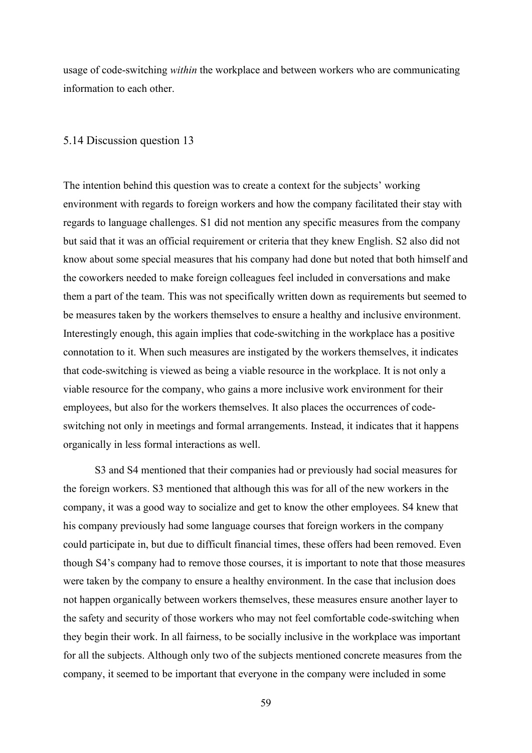usage of code-switching *within* the workplace and between workers who are communicating information to each other.

#### 5.14 Discussion question 13

The intention behind this question was to create a context for the subjects' working environment with regards to foreign workers and how the company facilitated their stay with regards to language challenges. S1 did not mention any specific measures from the company but said that it was an official requirement or criteria that they knew English. S2 also did not know about some special measures that his company had done but noted that both himself and the coworkers needed to make foreign colleagues feel included in conversations and make them a part of the team. This was not specifically written down as requirements but seemed to be measures taken by the workers themselves to ensure a healthy and inclusive environment. Interestingly enough, this again implies that code-switching in the workplace has a positive connotation to it. When such measures are instigated by the workers themselves, it indicates that code-switching is viewed as being a viable resource in the workplace. It is not only a viable resource for the company, who gains a more inclusive work environment for their employees, but also for the workers themselves. It also places the occurrences of codeswitching not only in meetings and formal arrangements. Instead, it indicates that it happens organically in less formal interactions as well.

S3 and S4 mentioned that their companies had or previously had social measures for the foreign workers. S3 mentioned that although this was for all of the new workers in the company, it was a good way to socialize and get to know the other employees. S4 knew that his company previously had some language courses that foreign workers in the company could participate in, but due to difficult financial times, these offers had been removed. Even though S4's company had to remove those courses, it is important to note that those measures were taken by the company to ensure a healthy environment. In the case that inclusion does not happen organically between workers themselves, these measures ensure another layer to the safety and security of those workers who may not feel comfortable code-switching when they begin their work. In all fairness, to be socially inclusive in the workplace was important for all the subjects. Although only two of the subjects mentioned concrete measures from the company, it seemed to be important that everyone in the company were included in some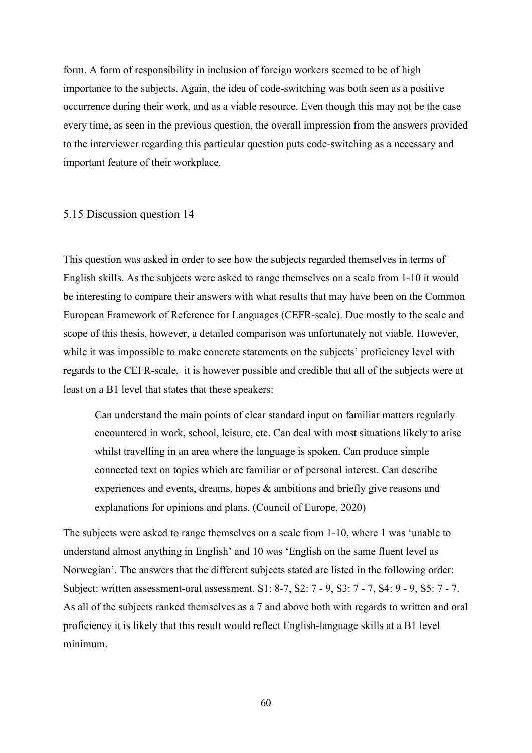form. A form of responsibility in inclusion of foreign workers seemed to be of high importance to the subjects. Again, the idea of code-switching was both seen as a positive occurrence during their work, and as a viable resource. Even though this may not be the case every time, as seen in the previous question, the overall impression from the answers provided to the interviewer regarding this particular question puts code-switching as a necessary and important feature of their workplace.

## 5.15 Discussion question 14

This question was asked in order to see how the subjects regarded themselves in terms of English skills. As the subjects were asked to range themselves on a scale from 1-10 it would be interesting to compare their answers with what results that may have been on the Common European Framework of Reference for Languages (CEFR-scale). Due mostly to the scale and scope of this thesis, however, a detailed comparison was unfortunately not viable. However, while it was impossible to make concrete statements on the subjects' proficiency level with regards to the CEFR-scale, it is however possible and credible that all of the subjects were at least on a B1 level that states that these speakers:

Can understand the main points of clear standard input on familiar matters regularly encountered in work, school, leisure, etc. Can deal with most situations likely to arise whilst travelling in an area where the language is spoken. Can produce simple connected text on topics which are familiar or of personal interest. Can describe experiences and events, dreams, hopes & ambitions and briefly give reasons and explanations for opinions and plans. (Council of Europe, 2020)

The subjects were asked to range themselves on a scale from 1-10, where 1 was 'unable to understand almost anything in English' and 10 was 'English on the same fluent level as Norwegian'. The answers that the different subjects stated are listed in the following order: Subject: written assessment-oral assessment. S1: 8-7, S2: 7 - 9, S3: 7 - 7, S4: 9 - 9, S5: 7 - 7. As all of the subjects ranked themselves as a 7 and above both with regards to written and oral proficiency it is likely that this result would reflect English-language skills at a B1 level minimum.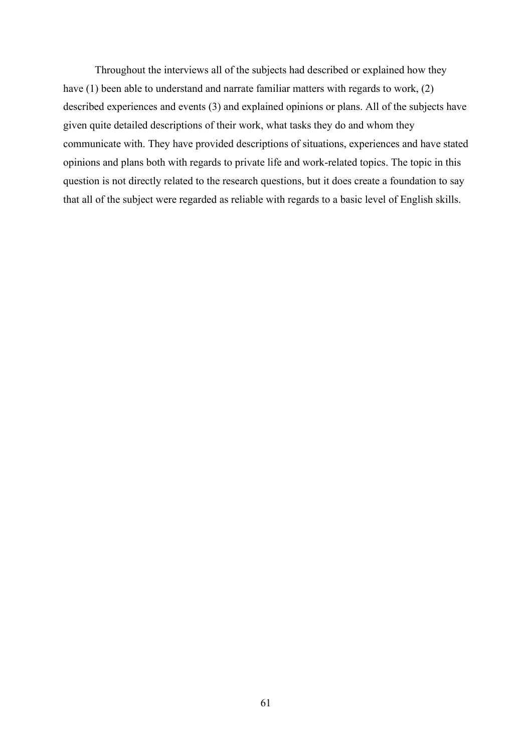Throughout the interviews all of the subjects had described or explained how they have (1) been able to understand and narrate familiar matters with regards to work, (2) described experiences and events (3) and explained opinions or plans. All of the subjects have given quite detailed descriptions of their work, what tasks they do and whom they communicate with. They have provided descriptions of situations, experiences and have stated opinions and plans both with regards to private life and work-related topics. The topic in this question is not directly related to the research questions, but it does create a foundation to say that all of the subject were regarded as reliable with regards to a basic level of English skills.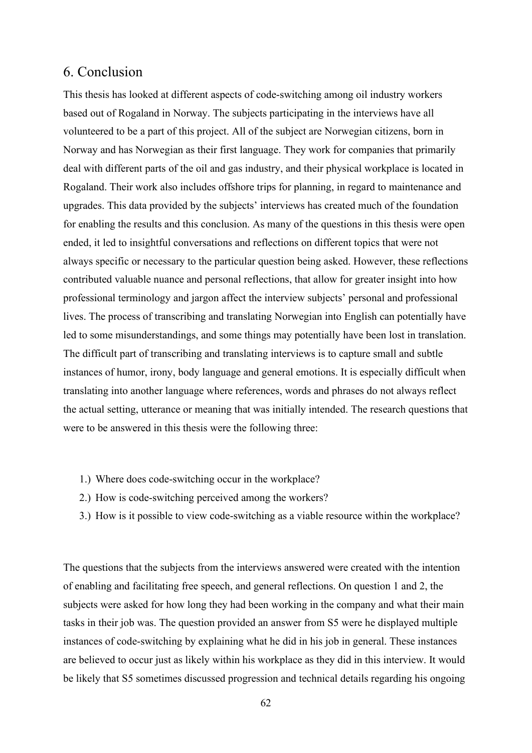## 6. Conclusion

This thesis has looked at different aspects of code-switching among oil industry workers based out of Rogaland in Norway. The subjects participating in the interviews have all volunteered to be a part of this project. All of the subject are Norwegian citizens, born in Norway and has Norwegian as their first language. They work for companies that primarily deal with different parts of the oil and gas industry, and their physical workplace is located in Rogaland. Their work also includes offshore trips for planning, in regard to maintenance and upgrades. This data provided by the subjects' interviews has created much of the foundation for enabling the results and this conclusion. As many of the questions in this thesis were open ended, it led to insightful conversations and reflections on different topics that were not always specific or necessary to the particular question being asked. However, these reflections contributed valuable nuance and personal reflections, that allow for greater insight into how professional terminology and jargon affect the interview subjects' personal and professional lives. The process of transcribing and translating Norwegian into English can potentially have led to some misunderstandings, and some things may potentially have been lost in translation. The difficult part of transcribing and translating interviews is to capture small and subtle instances of humor, irony, body language and general emotions. It is especially difficult when translating into another language where references, words and phrases do not always reflect the actual setting, utterance or meaning that was initially intended. The research questions that were to be answered in this thesis were the following three:

- 1.) Where does code-switching occur in the workplace?
- 2.) How is code-switching perceived among the workers?
- 3.) How is it possible to view code-switching as a viable resource within the workplace?

The questions that the subjects from the interviews answered were created with the intention of enabling and facilitating free speech, and general reflections. On question 1 and 2, the subjects were asked for how long they had been working in the company and what their main tasks in their job was. The question provided an answer from S5 were he displayed multiple instances of code-switching by explaining what he did in his job in general. These instances are believed to occur just as likely within his workplace as they did in this interview. It would be likely that S5 sometimes discussed progression and technical details regarding his ongoing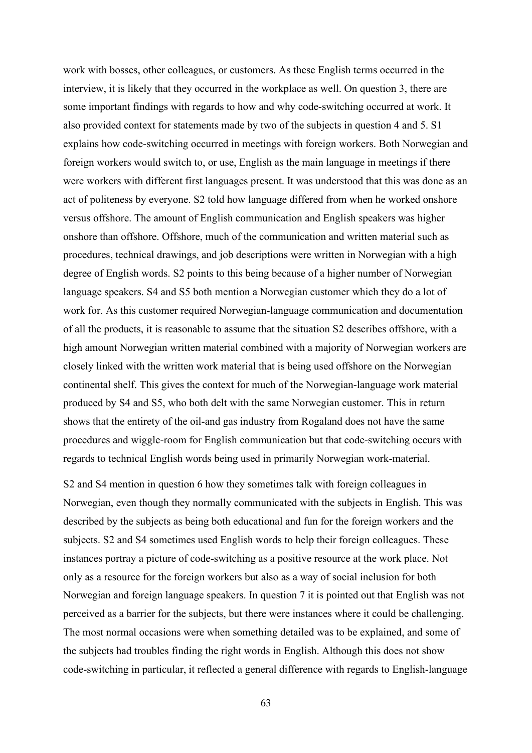work with bosses, other colleagues, or customers. As these English terms occurred in the interview, it is likely that they occurred in the workplace as well. On question 3, there are some important findings with regards to how and why code-switching occurred at work. It also provided context for statements made by two of the subjects in question 4 and 5. S1 explains how code-switching occurred in meetings with foreign workers. Both Norwegian and foreign workers would switch to, or use, English as the main language in meetings if there were workers with different first languages present. It was understood that this was done as an act of politeness by everyone. S2 told how language differed from when he worked onshore versus offshore. The amount of English communication and English speakers was higher onshore than offshore. Offshore, much of the communication and written material such as procedures, technical drawings, and job descriptions were written in Norwegian with a high degree of English words. S2 points to this being because of a higher number of Norwegian language speakers. S4 and S5 both mention a Norwegian customer which they do a lot of work for. As this customer required Norwegian-language communication and documentation of all the products, it is reasonable to assume that the situation S2 describes offshore, with a high amount Norwegian written material combined with a majority of Norwegian workers are closely linked with the written work material that is being used offshore on the Norwegian continental shelf. This gives the context for much of the Norwegian-language work material produced by S4 and S5, who both delt with the same Norwegian customer. This in return shows that the entirety of the oil-and gas industry from Rogaland does not have the same procedures and wiggle-room for English communication but that code-switching occurs with regards to technical English words being used in primarily Norwegian work-material.

S2 and S4 mention in question 6 how they sometimes talk with foreign colleagues in Norwegian, even though they normally communicated with the subjects in English. This was described by the subjects as being both educational and fun for the foreign workers and the subjects. S2 and S4 sometimes used English words to help their foreign colleagues. These instances portray a picture of code-switching as a positive resource at the work place. Not only as a resource for the foreign workers but also as a way of social inclusion for both Norwegian and foreign language speakers. In question 7 it is pointed out that English was not perceived as a barrier for the subjects, but there were instances where it could be challenging. The most normal occasions were when something detailed was to be explained, and some of the subjects had troubles finding the right words in English. Although this does not show code-switching in particular, it reflected a general difference with regards to English-language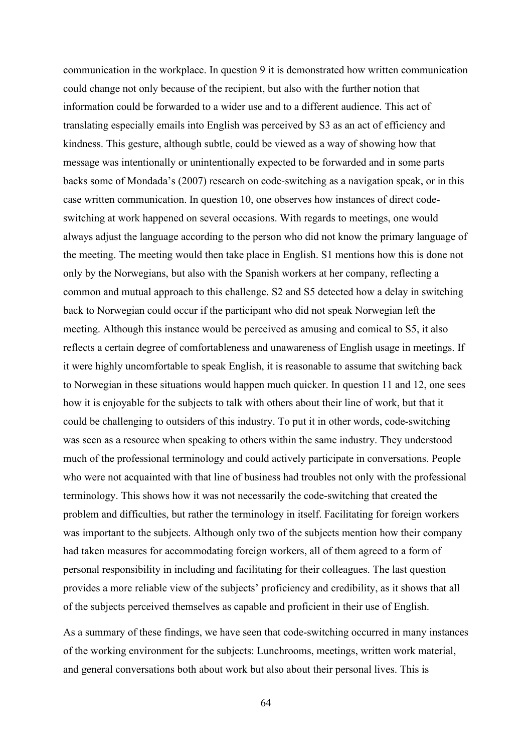communication in the workplace. In question 9 it is demonstrated how written communication could change not only because of the recipient, but also with the further notion that information could be forwarded to a wider use and to a different audience. This act of translating especially emails into English was perceived by S3 as an act of efficiency and kindness. This gesture, although subtle, could be viewed as a way of showing how that message was intentionally or unintentionally expected to be forwarded and in some parts backs some of Mondada's (2007) research on code-switching as a navigation speak, or in this case written communication. In question 10, one observes how instances of direct codeswitching at work happened on several occasions. With regards to meetings, one would always adjust the language according to the person who did not know the primary language of the meeting. The meeting would then take place in English. S1 mentions how this is done not only by the Norwegians, but also with the Spanish workers at her company, reflecting a common and mutual approach to this challenge. S2 and S5 detected how a delay in switching back to Norwegian could occur if the participant who did not speak Norwegian left the meeting. Although this instance would be perceived as amusing and comical to S5, it also reflects a certain degree of comfortableness and unawareness of English usage in meetings. If it were highly uncomfortable to speak English, it is reasonable to assume that switching back to Norwegian in these situations would happen much quicker. In question 11 and 12, one sees how it is enjoyable for the subjects to talk with others about their line of work, but that it could be challenging to outsiders of this industry. To put it in other words, code-switching was seen as a resource when speaking to others within the same industry. They understood much of the professional terminology and could actively participate in conversations. People who were not acquainted with that line of business had troubles not only with the professional terminology. This shows how it was not necessarily the code-switching that created the problem and difficulties, but rather the terminology in itself. Facilitating for foreign workers was important to the subjects. Although only two of the subjects mention how their company had taken measures for accommodating foreign workers, all of them agreed to a form of personal responsibility in including and facilitating for their colleagues. The last question provides a more reliable view of the subjects' proficiency and credibility, as it shows that all of the subjects perceived themselves as capable and proficient in their use of English.

As a summary of these findings, we have seen that code-switching occurred in many instances of the working environment for the subjects: Lunchrooms, meetings, written work material, and general conversations both about work but also about their personal lives. This is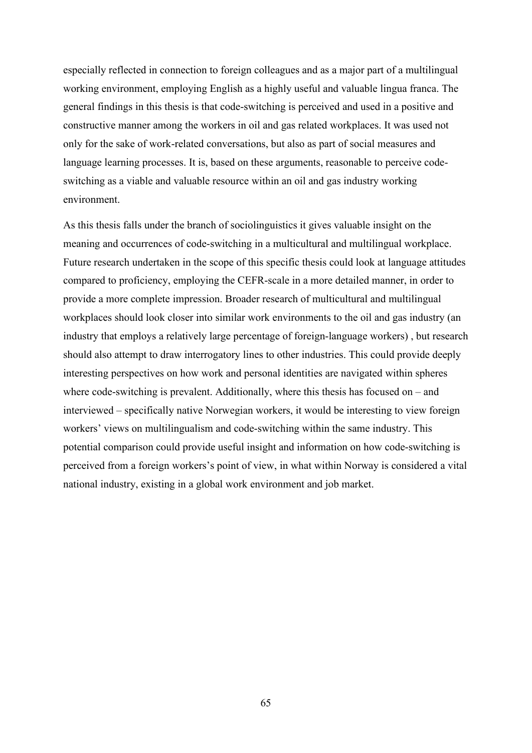especially reflected in connection to foreign colleagues and as a major part of a multilingual working environment, employing English as a highly useful and valuable lingua franca. The general findings in this thesis is that code-switching is perceived and used in a positive and constructive manner among the workers in oil and gas related workplaces. It was used not only for the sake of work-related conversations, but also as part of social measures and language learning processes. It is, based on these arguments, reasonable to perceive codeswitching as a viable and valuable resource within an oil and gas industry working environment.

As this thesis falls under the branch of sociolinguistics it gives valuable insight on the meaning and occurrences of code-switching in a multicultural and multilingual workplace. Future research undertaken in the scope of this specific thesis could look at language attitudes compared to proficiency, employing the CEFR-scale in a more detailed manner, in order to provide a more complete impression. Broader research of multicultural and multilingual workplaces should look closer into similar work environments to the oil and gas industry (an industry that employs a relatively large percentage of foreign-language workers) , but research should also attempt to draw interrogatory lines to other industries. This could provide deeply interesting perspectives on how work and personal identities are navigated within spheres where code-switching is prevalent. Additionally, where this thesis has focused on – and interviewed – specifically native Norwegian workers, it would be interesting to view foreign workers' views on multilingualism and code-switching within the same industry. This potential comparison could provide useful insight and information on how code-switching is perceived from a foreign workers's point of view, in what within Norway is considered a vital national industry, existing in a global work environment and job market.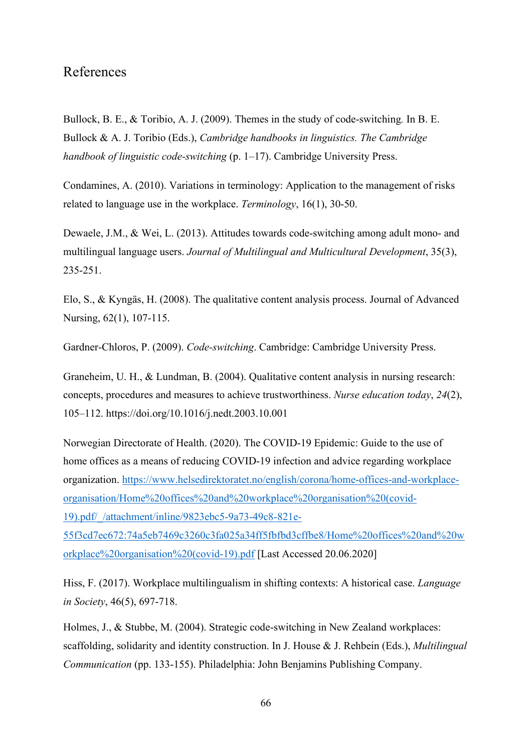## References

Bullock, B. E., & Toribio, A. J. (2009). Themes in the study of code-switching*.* In B. E. Bullock & A. J. Toribio (Eds.), *Cambridge handbooks in linguistics. The Cambridge handbook of linguistic code-switching* (p. 1–17). Cambridge University Press.

Condamines, A. (2010). Variations in terminology: Application to the management of risks related to language use in the workplace. *Terminology*, 16(1), 30-50.

Dewaele, J.M., & Wei, L. (2013). Attitudes towards code-switching among adult mono- and multilingual language users. *Journal of Multilingual and Multicultural Development*, 35(3), 235-251.

Elo, S., & Kyngäs, H. (2008). The qualitative content analysis process. Journal of Advanced Nursing, 62(1), 107-115.

Gardner-Chloros, P. (2009). *Code-switching*. Cambridge: Cambridge University Press.

Graneheim, U. H., & Lundman, B. (2004). Qualitative content analysis in nursing research: concepts, procedures and measures to achieve trustworthiness. *Nurse education today*, *24*(2), 105–112. https://doi.org/10.1016/j.nedt.2003.10.001

Norwegian Directorate of Health. (2020). The COVID-19 Epidemic: Guide to the use of home offices as a means of reducing COVID-19 infection and advice regarding workplace organization. [https://www.helsedirektoratet.no/english/corona/home-offices-and-workplace](https://www.helsedirektoratet.no/english/corona/home-offices-and-workplace-organisation/Home%20offices%20and%20workplace%20organisation%20(covid-19).pdf/_/attachment/inline/9823ebc5-9a73-49c8-821e-55f3cd7ec672:74a5eb7469c3260c3fa025a34ff5fbfbd3cffbe8/Home%20offices%20and%20workplace%20organisation%20(covid-19).pdf)[organisation/Home%20offices%20and%20workplace%20organisation%20\(covid-](https://www.helsedirektoratet.no/english/corona/home-offices-and-workplace-organisation/Home%20offices%20and%20workplace%20organisation%20(covid-19).pdf/_/attachment/inline/9823ebc5-9a73-49c8-821e-55f3cd7ec672:74a5eb7469c3260c3fa025a34ff5fbfbd3cffbe8/Home%20offices%20and%20workplace%20organisation%20(covid-19).pdf)[19\).pdf/\\_/attachment/inline/9823ebc5-9a73-49c8-821e-](https://www.helsedirektoratet.no/english/corona/home-offices-and-workplace-organisation/Home%20offices%20and%20workplace%20organisation%20(covid-19).pdf/_/attachment/inline/9823ebc5-9a73-49c8-821e-55f3cd7ec672:74a5eb7469c3260c3fa025a34ff5fbfbd3cffbe8/Home%20offices%20and%20workplace%20organisation%20(covid-19).pdf)

[55f3cd7ec672:74a5eb7469c3260c3fa025a34ff5fbfbd3cffbe8/Home%20offices%20and%20w](https://www.helsedirektoratet.no/english/corona/home-offices-and-workplace-organisation/Home%20offices%20and%20workplace%20organisation%20(covid-19).pdf/_/attachment/inline/9823ebc5-9a73-49c8-821e-55f3cd7ec672:74a5eb7469c3260c3fa025a34ff5fbfbd3cffbe8/Home%20offices%20and%20workplace%20organisation%20(covid-19).pdf) [orkplace%20organisation%20\(covid-19\).pdf](https://www.helsedirektoratet.no/english/corona/home-offices-and-workplace-organisation/Home%20offices%20and%20workplace%20organisation%20(covid-19).pdf/_/attachment/inline/9823ebc5-9a73-49c8-821e-55f3cd7ec672:74a5eb7469c3260c3fa025a34ff5fbfbd3cffbe8/Home%20offices%20and%20workplace%20organisation%20(covid-19).pdf) [Last Accessed 20.06.2020]

Hiss, F. (2017). Workplace multilingualism in shifting contexts: A historical case. *Language in Society*, 46(5), 697-718.

Holmes, J., & Stubbe, M. (2004). Strategic code-switching in New Zealand workplaces: scaffolding, solidarity and identity construction. In J. House & J. Rehbein (Eds.), *Multilingual Communication* (pp. 133-155). Philadelphia: John Benjamins Publishing Company.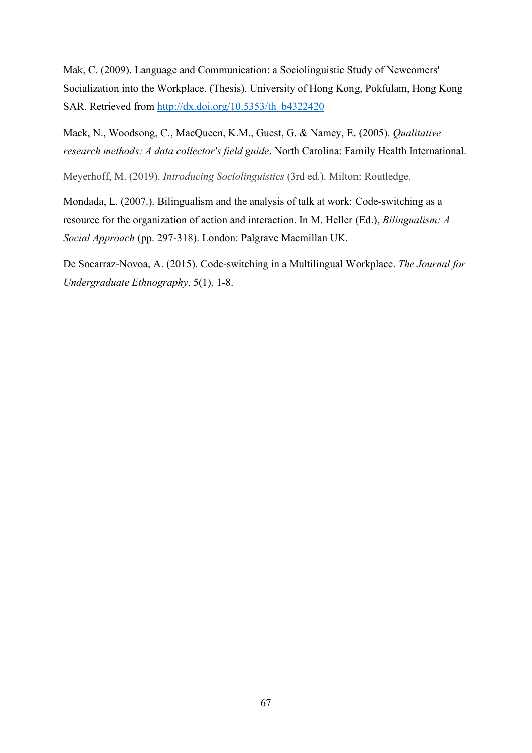Mak, C. (2009). Language and Communication: a Sociolinguistic Study of Newcomers' Socialization into the Workplace. (Thesis). University of Hong Kong, Pokfulam, Hong Kong SAR. Retrieved from [http://dx.doi.org/10.5353/th\\_b4322420](http://dx.doi.org/10.5353/th_b4322420)

Mack, N., Woodsong, C., MacQueen, K.M., Guest, G. & Namey, E. (2005). *Qualitative research methods: A data collector's field guide*. North Carolina: Family Health International.

Meyerhoff, M. (2019). *Introducing Sociolinguistics* (3rd ed.). Milton: Routledge.

Mondada, L. (2007.). Bilingualism and the analysis of talk at work: Code-switching as a resource for the organization of action and interaction. In M. Heller (Ed.), *Bilingualism: A Social Approach* (pp. 297-318). London: Palgrave Macmillan UK.

De Socarraz-Novoa, A. (2015). Code-switching in a Multilingual Workplace. *The Journal for Undergraduate Ethnography*, 5(1), 1-8.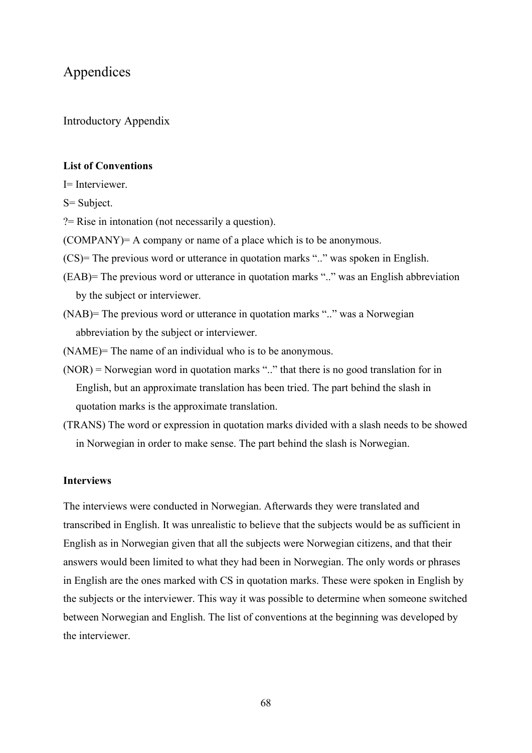## Appendices

Introductory Appendix

### **List of Conventions**

I= Interviewer.

S= Subject.

?= Rise in intonation (not necessarily a question).

(COMPANY)= A company or name of a place which is to be anonymous.

(CS)= The previous word or utterance in quotation marks ".." was spoken in English.

- (EAB)= The previous word or utterance in quotation marks ".." was an English abbreviation by the subject or interviewer.
- (NAB)= The previous word or utterance in quotation marks ".." was a Norwegian abbreviation by the subject or interviewer.

(NAME)= The name of an individual who is to be anonymous.

- (NOR) = Norwegian word in quotation marks ".." that there is no good translation for in English, but an approximate translation has been tried. The part behind the slash in quotation marks is the approximate translation.
- (TRANS) The word or expression in quotation marks divided with a slash needs to be showed in Norwegian in order to make sense. The part behind the slash is Norwegian.

## **Interviews**

The interviews were conducted in Norwegian. Afterwards they were translated and transcribed in English. It was unrealistic to believe that the subjects would be as sufficient in English as in Norwegian given that all the subjects were Norwegian citizens, and that their answers would been limited to what they had been in Norwegian. The only words or phrases in English are the ones marked with CS in quotation marks. These were spoken in English by the subjects or the interviewer. This way it was possible to determine when someone switched between Norwegian and English. The list of conventions at the beginning was developed by the interviewer.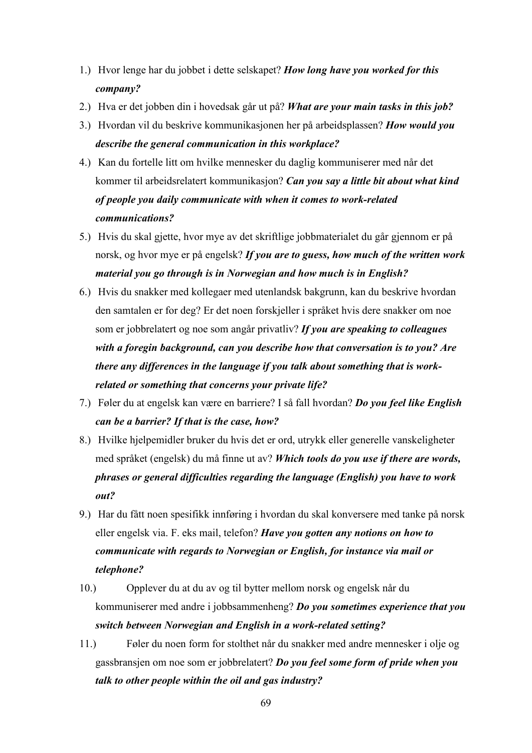- 1.) Hvor lenge har du jobbet i dette selskapet? *How long have you worked for this company?*
- 2.) Hva er det jobben din i hovedsak går ut på? *What are your main tasks in this job?*
- 3.) Hvordan vil du beskrive kommunikasjonen her på arbeidsplassen? *How would you describe the general communication in this workplace?*
- 4.) Kan du fortelle litt om hvilke mennesker du daglig kommuniserer med når det kommer til arbeidsrelatert kommunikasjon? *Can you say a little bit about what kind of people you daily communicate with when it comes to work-related communications?*
- 5.) Hvis du skal gjette, hvor mye av det skriftlige jobbmaterialet du går gjennom er på norsk, og hvor mye er på engelsk? *If you are to guess, how much of the written work material you go through is in Norwegian and how much is in English?*
- 6.) Hvis du snakker med kollegaer med utenlandsk bakgrunn, kan du beskrive hvordan den samtalen er for deg? Er det noen forskjeller i språket hvis dere snakker om noe som er jobbrelatert og noe som angår privatliv? *If you are speaking to colleagues with a foregin background, can you describe how that conversation is to you? Are there any differences in the language if you talk about something that is workrelated or something that concerns your private life?*
- 7.) Føler du at engelsk kan være en barriere? I så fall hvordan? *Do you feel like English can be a barrier? If that is the case, how?*
- 8.) Hvilke hjelpemidler bruker du hvis det er ord, utrykk eller generelle vanskeligheter med språket (engelsk) du må finne ut av? *Which tools do you use if there are words, phrases or general difficulties regarding the language (English) you have to work out?*
- 9.) Har du fått noen spesifikk innføring i hvordan du skal konversere med tanke på norsk eller engelsk via. F. eks mail, telefon? *Have you gotten any notions on how to communicate with regards to Norwegian or English, for instance via mail or telephone?*
- 10.) Opplever du at du av og til bytter mellom norsk og engelsk når du kommuniserer med andre i jobbsammenheng? *Do you sometimes experience that you switch between Norwegian and English in a work-related setting?*
- 11.) Føler du noen form for stolthet når du snakker med andre mennesker i olje og gassbransjen om noe som er jobbrelatert? *Do you feel some form of pride when you talk to other people within the oil and gas industry?*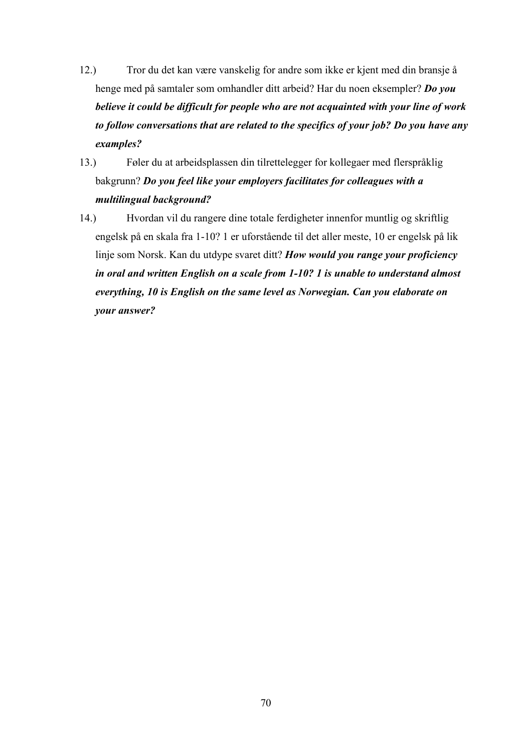- 12.) Tror du det kan være vanskelig for andre som ikke er kjent med din bransje å henge med på samtaler som omhandler ditt arbeid? Har du noen eksempler? *Do you believe it could be difficult for people who are not acquainted with your line of work to follow conversations that are related to the specifics of your job? Do you have any examples?*
- 13.) Føler du at arbeidsplassen din tilrettelegger for kollegaer med flerspråklig bakgrunn? *Do you feel like your employers facilitates for colleagues with a multilingual background?*
- 14.) Hvordan vil du rangere dine totale ferdigheter innenfor muntlig og skriftlig engelsk på en skala fra 1-10? 1 er uforstående til det aller meste, 10 er engelsk på lik linje som Norsk. Kan du utdype svaret ditt? *How would you range your proficiency in oral and written English on a scale from 1-10? 1 is unable to understand almost everything, 10 is English on the same level as Norwegian. Can you elaborate on your answer?*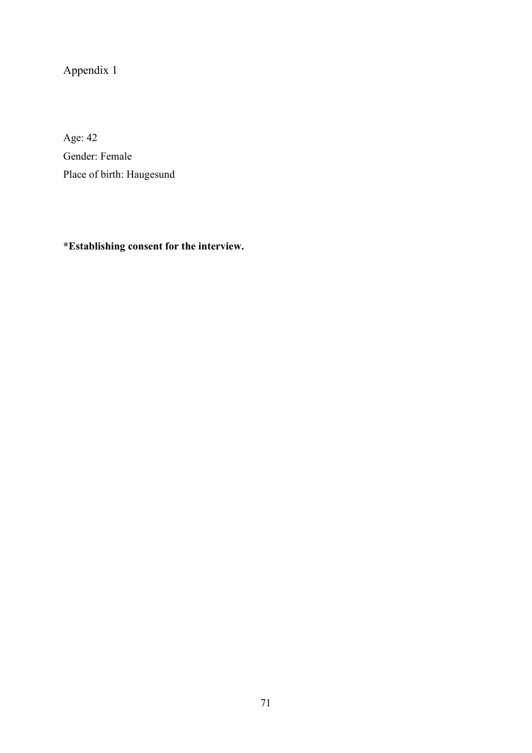# Appendix 1

Age: 42 Gender: Female Place of birth: Haugesund

**\*Establishing consent for the interview.**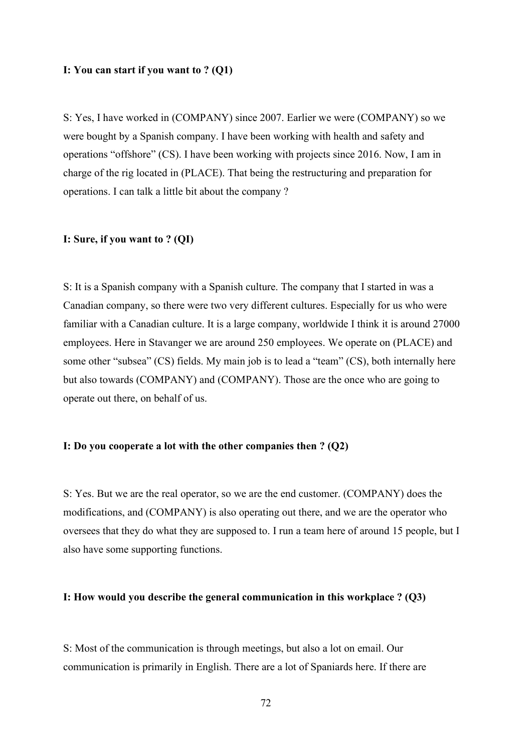### **I: You can start if you want to ? (Q1)**

S: Yes, I have worked in (COMPANY) since 2007. Earlier we were (COMPANY) so we were bought by a Spanish company. I have been working with health and safety and operations "offshore" (CS). I have been working with projects since 2016. Now, I am in charge of the rig located in (PLACE). That being the restructuring and preparation for operations. I can talk a little bit about the company ?

## **I: Sure, if you want to ? (QI)**

S: It is a Spanish company with a Spanish culture. The company that I started in was a Canadian company, so there were two very different cultures. Especially for us who were familiar with a Canadian culture. It is a large company, worldwide I think it is around 27000 employees. Here in Stavanger we are around 250 employees. We operate on (PLACE) and some other "subsea" (CS) fields. My main job is to lead a "team" (CS), both internally here but also towards (COMPANY) and (COMPANY). Those are the once who are going to operate out there, on behalf of us.

### **I: Do you cooperate a lot with the other companies then ? (Q2)**

S: Yes. But we are the real operator, so we are the end customer. (COMPANY) does the modifications, and (COMPANY) is also operating out there, and we are the operator who oversees that they do what they are supposed to. I run a team here of around 15 people, but I also have some supporting functions.

### **I: How would you describe the general communication in this workplace ? (Q3)**

S: Most of the communication is through meetings, but also a lot on email. Our communication is primarily in English. There are a lot of Spaniards here. If there are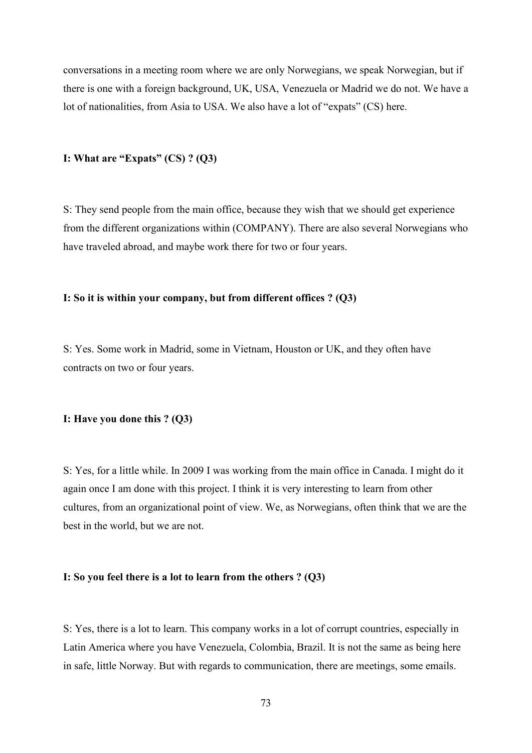conversations in a meeting room where we are only Norwegians, we speak Norwegian, but if there is one with a foreign background, UK, USA, Venezuela or Madrid we do not. We have a lot of nationalities, from Asia to USA. We also have a lot of "expats" (CS) here.

#### **I: What are "Expats" (CS) ? (Q3)**

S: They send people from the main office, because they wish that we should get experience from the different organizations within (COMPANY). There are also several Norwegians who have traveled abroad, and maybe work there for two or four years.

#### **I: So it is within your company, but from different offices ? (Q3)**

S: Yes. Some work in Madrid, some in Vietnam, Houston or UK, and they often have contracts on two or four years.

#### **I: Have you done this ? (Q3)**

S: Yes, for a little while. In 2009 I was working from the main office in Canada. I might do it again once I am done with this project. I think it is very interesting to learn from other cultures, from an organizational point of view. We, as Norwegians, often think that we are the best in the world, but we are not.

#### **I: So you feel there is a lot to learn from the others ? (Q3)**

S: Yes, there is a lot to learn. This company works in a lot of corrupt countries, especially in Latin America where you have Venezuela, Colombia, Brazil. It is not the same as being here in safe, little Norway. But with regards to communication, there are meetings, some emails.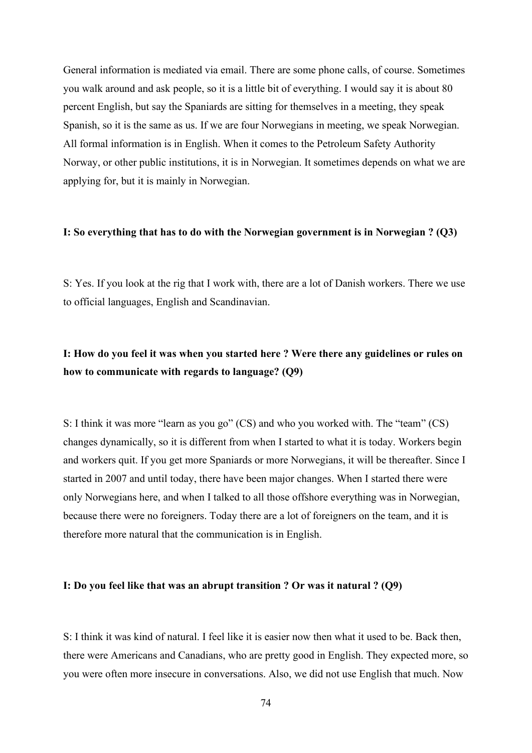General information is mediated via email. There are some phone calls, of course. Sometimes you walk around and ask people, so it is a little bit of everything. I would say it is about 80 percent English, but say the Spaniards are sitting for themselves in a meeting, they speak Spanish, so it is the same as us. If we are four Norwegians in meeting, we speak Norwegian. All formal information is in English. When it comes to the Petroleum Safety Authority Norway, or other public institutions, it is in Norwegian. It sometimes depends on what we are applying for, but it is mainly in Norwegian.

#### **I: So everything that has to do with the Norwegian government is in Norwegian ? (Q3)**

S: Yes. If you look at the rig that I work with, there are a lot of Danish workers. There we use to official languages, English and Scandinavian.

# **I: How do you feel it was when you started here ? Were there any guidelines or rules on how to communicate with regards to language? (Q9)**

S: I think it was more "learn as you go" (CS) and who you worked with. The "team" (CS) changes dynamically, so it is different from when I started to what it is today. Workers begin and workers quit. If you get more Spaniards or more Norwegians, it will be thereafter. Since I started in 2007 and until today, there have been major changes. When I started there were only Norwegians here, and when I talked to all those offshore everything was in Norwegian, because there were no foreigners. Today there are a lot of foreigners on the team, and it is therefore more natural that the communication is in English.

#### **I: Do you feel like that was an abrupt transition ? Or was it natural ? (Q9)**

S: I think it was kind of natural. I feel like it is easier now then what it used to be. Back then, there were Americans and Canadians, who are pretty good in English. They expected more, so you were often more insecure in conversations. Also, we did not use English that much. Now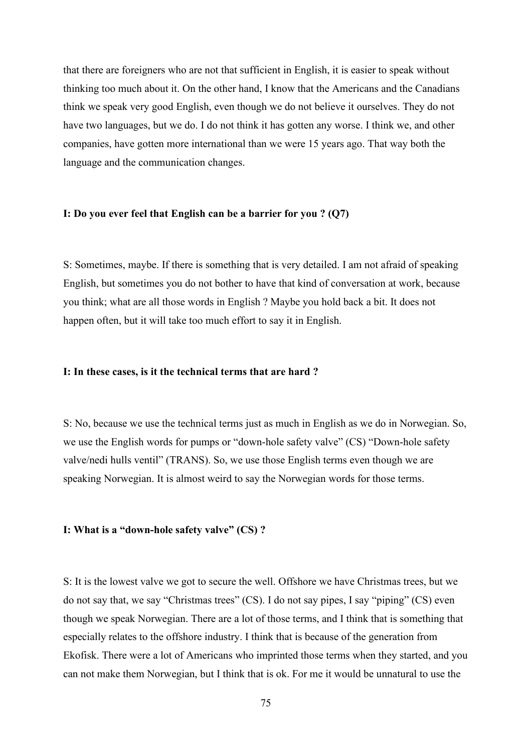that there are foreigners who are not that sufficient in English, it is easier to speak without thinking too much about it. On the other hand, I know that the Americans and the Canadians think we speak very good English, even though we do not believe it ourselves. They do not have two languages, but we do. I do not think it has gotten any worse. I think we, and other companies, have gotten more international than we were 15 years ago. That way both the language and the communication changes.

#### **I: Do you ever feel that English can be a barrier for you ? (Q7)**

S: Sometimes, maybe. If there is something that is very detailed. I am not afraid of speaking English, but sometimes you do not bother to have that kind of conversation at work, because you think; what are all those words in English ? Maybe you hold back a bit. It does not happen often, but it will take too much effort to say it in English.

#### **I: In these cases, is it the technical terms that are hard ?**

S: No, because we use the technical terms just as much in English as we do in Norwegian. So, we use the English words for pumps or "down-hole safety valve" (CS) "Down-hole safety valve/nedi hulls ventil" (TRANS). So, we use those English terms even though we are speaking Norwegian. It is almost weird to say the Norwegian words for those terms.

#### **I: What is a "down-hole safety valve" (CS) ?**

S: It is the lowest valve we got to secure the well. Offshore we have Christmas trees, but we do not say that, we say "Christmas trees" (CS). I do not say pipes, I say "piping" (CS) even though we speak Norwegian. There are a lot of those terms, and I think that is something that especially relates to the offshore industry. I think that is because of the generation from Ekofisk. There were a lot of Americans who imprinted those terms when they started, and you can not make them Norwegian, but I think that is ok. For me it would be unnatural to use the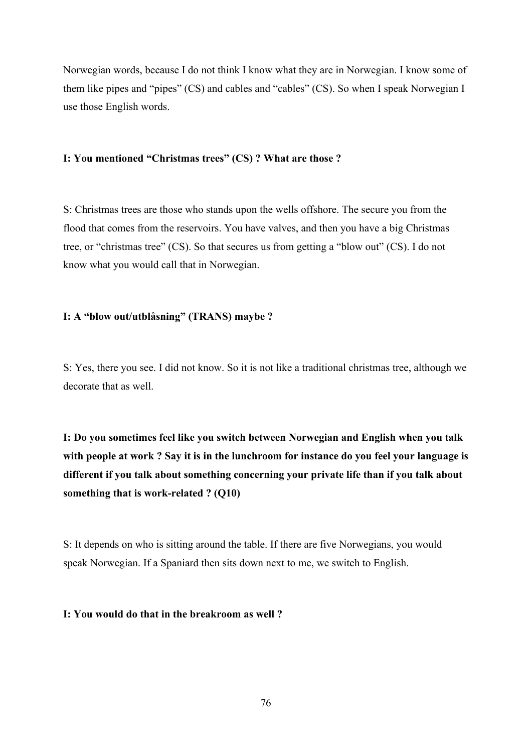Norwegian words, because I do not think I know what they are in Norwegian. I know some of them like pipes and "pipes" (CS) and cables and "cables" (CS). So when I speak Norwegian I use those English words.

#### **I: You mentioned "Christmas trees" (CS) ? What are those ?**

S: Christmas trees are those who stands upon the wells offshore. The secure you from the flood that comes from the reservoirs. You have valves, and then you have a big Christmas tree, or "christmas tree" (CS). So that secures us from getting a "blow out" (CS). I do not know what you would call that in Norwegian.

## **I: A "blow out/utblåsning" (TRANS) maybe ?**

S: Yes, there you see. I did not know. So it is not like a traditional christmas tree, although we decorate that as well.

**I: Do you sometimes feel like you switch between Norwegian and English when you talk with people at work ? Say it is in the lunchroom for instance do you feel your language is different if you talk about something concerning your private life than if you talk about something that is work-related ? (Q10)**

S: It depends on who is sitting around the table. If there are five Norwegians, you would speak Norwegian. If a Spaniard then sits down next to me, we switch to English.

### **I: You would do that in the breakroom as well ?**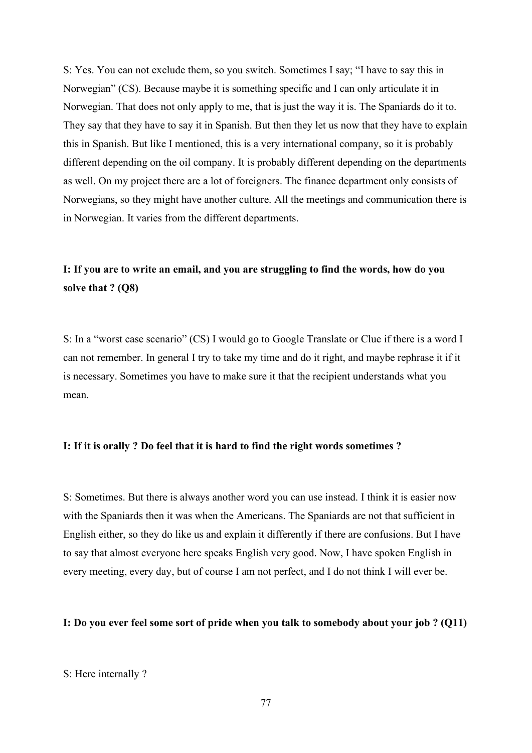S: Yes. You can not exclude them, so you switch. Sometimes I say; "I have to say this in Norwegian" (CS). Because maybe it is something specific and I can only articulate it in Norwegian. That does not only apply to me, that is just the way it is. The Spaniards do it to. They say that they have to say it in Spanish. But then they let us now that they have to explain this in Spanish. But like I mentioned, this is a very international company, so it is probably different depending on the oil company. It is probably different depending on the departments as well. On my project there are a lot of foreigners. The finance department only consists of Norwegians, so they might have another culture. All the meetings and communication there is in Norwegian. It varies from the different departments.

# **I: If you are to write an email, and you are struggling to find the words, how do you solve that ? (Q8)**

S: In a "worst case scenario" (CS) I would go to Google Translate or Clue if there is a word I can not remember. In general I try to take my time and do it right, and maybe rephrase it if it is necessary. Sometimes you have to make sure it that the recipient understands what you mean.

## **I: If it is orally ? Do feel that it is hard to find the right words sometimes ?**

S: Sometimes. But there is always another word you can use instead. I think it is easier now with the Spaniards then it was when the Americans. The Spaniards are not that sufficient in English either, so they do like us and explain it differently if there are confusions. But I have to say that almost everyone here speaks English very good. Now, I have spoken English in every meeting, every day, but of course I am not perfect, and I do not think I will ever be.

#### **I: Do you ever feel some sort of pride when you talk to somebody about your job ? (Q11)**

#### S: Here internally ?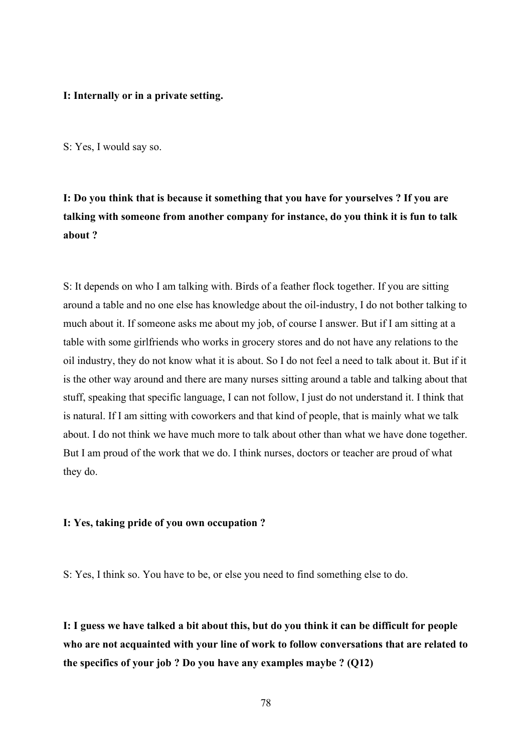#### **I: Internally or in a private setting.**

S: Yes, I would say so.

**I: Do you think that is because it something that you have for yourselves ? If you are talking with someone from another company for instance, do you think it is fun to talk about ?**

S: It depends on who I am talking with. Birds of a feather flock together. If you are sitting around a table and no one else has knowledge about the oil-industry, I do not bother talking to much about it. If someone asks me about my job, of course I answer. But if I am sitting at a table with some girlfriends who works in grocery stores and do not have any relations to the oil industry, they do not know what it is about. So I do not feel a need to talk about it. But if it is the other way around and there are many nurses sitting around a table and talking about that stuff, speaking that specific language, I can not follow, I just do not understand it. I think that is natural. If I am sitting with coworkers and that kind of people, that is mainly what we talk about. I do not think we have much more to talk about other than what we have done together. But I am proud of the work that we do. I think nurses, doctors or teacher are proud of what they do.

### **I: Yes, taking pride of you own occupation ?**

S: Yes, I think so. You have to be, or else you need to find something else to do.

**I: I guess we have talked a bit about this, but do you think it can be difficult for people who are not acquainted with your line of work to follow conversations that are related to the specifics of your job ? Do you have any examples maybe ? (Q12)**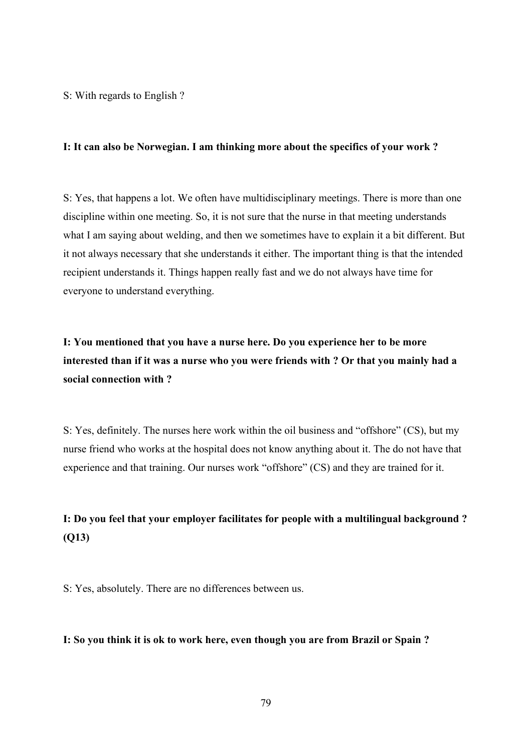S: With regards to English ?

#### **I: It can also be Norwegian. I am thinking more about the specifics of your work ?**

S: Yes, that happens a lot. We often have multidisciplinary meetings. There is more than one discipline within one meeting. So, it is not sure that the nurse in that meeting understands what I am saying about welding, and then we sometimes have to explain it a bit different. But it not always necessary that she understands it either. The important thing is that the intended recipient understands it. Things happen really fast and we do not always have time for everyone to understand everything.

**I: You mentioned that you have a nurse here. Do you experience her to be more interested than if it was a nurse who you were friends with ? Or that you mainly had a social connection with ?**

S: Yes, definitely. The nurses here work within the oil business and "offshore" (CS), but my nurse friend who works at the hospital does not know anything about it. The do not have that experience and that training. Our nurses work "offshore" (CS) and they are trained for it.

# **I: Do you feel that your employer facilitates for people with a multilingual background ? (Q13)**

S: Yes, absolutely. There are no differences between us.

**I: So you think it is ok to work here, even though you are from Brazil or Spain ?**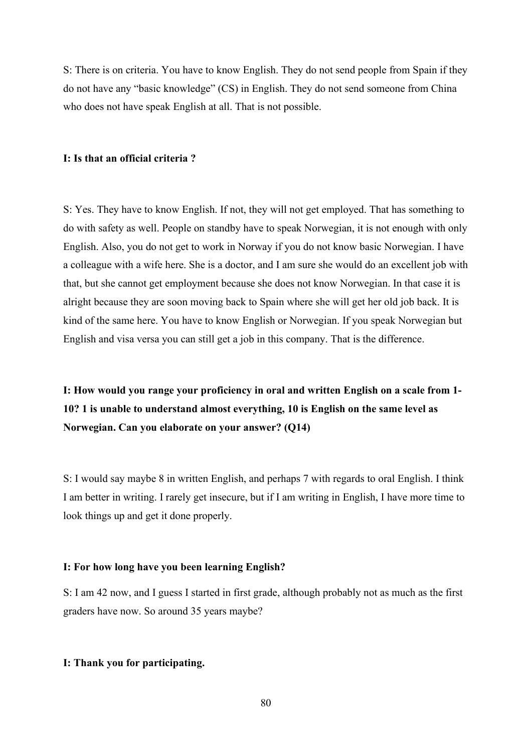S: There is on criteria. You have to know English. They do not send people from Spain if they do not have any "basic knowledge" (CS) in English. They do not send someone from China who does not have speak English at all. That is not possible.

#### **I: Is that an official criteria ?**

S: Yes. They have to know English. If not, they will not get employed. That has something to do with safety as well. People on standby have to speak Norwegian, it is not enough with only English. Also, you do not get to work in Norway if you do not know basic Norwegian. I have a colleague with a wife here. She is a doctor, and I am sure she would do an excellent job with that, but she cannot get employment because she does not know Norwegian. In that case it is alright because they are soon moving back to Spain where she will get her old job back. It is kind of the same here. You have to know English or Norwegian. If you speak Norwegian but English and visa versa you can still get a job in this company. That is the difference.

**I: How would you range your proficiency in oral and written English on a scale from 1- 10? 1 is unable to understand almost everything, 10 is English on the same level as Norwegian. Can you elaborate on your answer? (Q14)**

S: I would say maybe 8 in written English, and perhaps 7 with regards to oral English. I think I am better in writing. I rarely get insecure, but if I am writing in English, I have more time to look things up and get it done properly.

#### **I: For how long have you been learning English?**

S: I am 42 now, and I guess I started in first grade, although probably not as much as the first graders have now. So around 35 years maybe?

### **I: Thank you for participating.**

80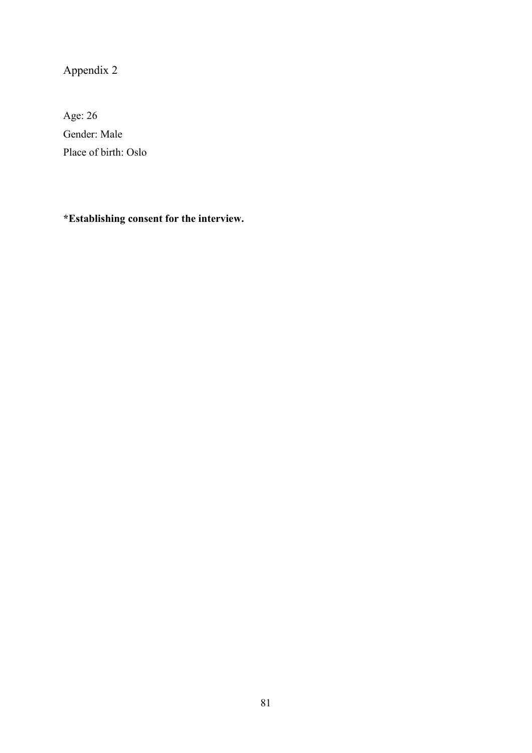Appendix 2

Age: 26 Gender: Male Place of birth: Oslo

**\*Establishing consent for the interview.**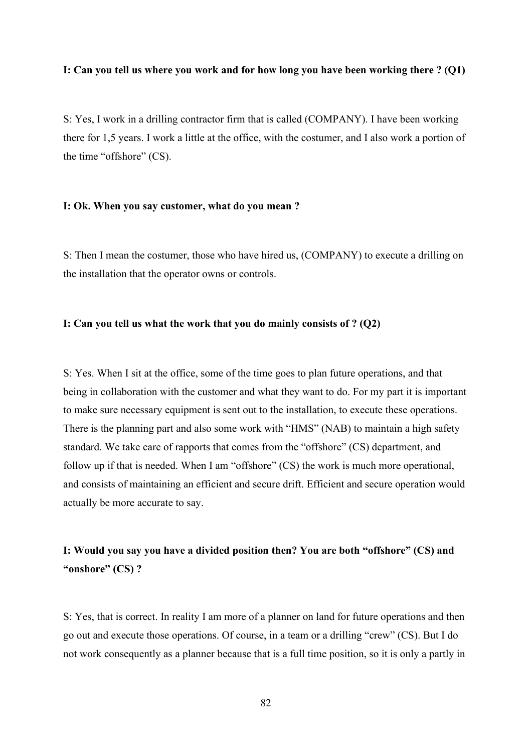#### **I: Can you tell us where you work and for how long you have been working there ? (Q1)**

S: Yes, I work in a drilling contractor firm that is called (COMPANY). I have been working there for 1,5 years. I work a little at the office, with the costumer, and I also work a portion of the time "offshore" (CS).

#### **I: Ok. When you say customer, what do you mean ?**

S: Then I mean the costumer, those who have hired us, (COMPANY) to execute a drilling on the installation that the operator owns or controls.

#### **I: Can you tell us what the work that you do mainly consists of ? (Q2)**

S: Yes. When I sit at the office, some of the time goes to plan future operations, and that being in collaboration with the customer and what they want to do. For my part it is important to make sure necessary equipment is sent out to the installation, to execute these operations. There is the planning part and also some work with "HMS" (NAB) to maintain a high safety standard. We take care of rapports that comes from the "offshore" (CS) department, and follow up if that is needed. When I am "offshore" (CS) the work is much more operational, and consists of maintaining an efficient and secure drift. Efficient and secure operation would actually be more accurate to say.

## **I: Would you say you have a divided position then? You are both "offshore" (CS) and "onshore" (CS) ?**

S: Yes, that is correct. In reality I am more of a planner on land for future operations and then go out and execute those operations. Of course, in a team or a drilling "crew" (CS). But I do not work consequently as a planner because that is a full time position, so it is only a partly in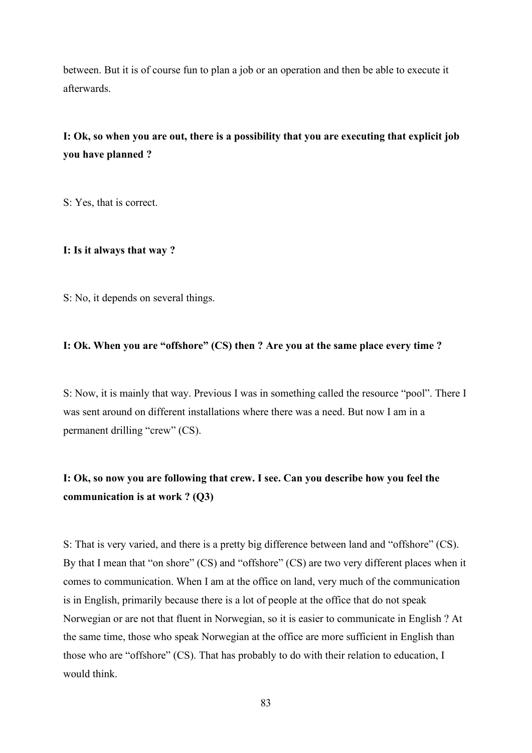between. But it is of course fun to plan a job or an operation and then be able to execute it afterwards.

# **I: Ok, so when you are out, there is a possibility that you are executing that explicit job you have planned ?**

S: Yes, that is correct.

#### **I: Is it always that way ?**

S: No, it depends on several things.

## **I: Ok. When you are "offshore" (CS) then ? Are you at the same place every time ?**

S: Now, it is mainly that way. Previous I was in something called the resource "pool". There I was sent around on different installations where there was a need. But now I am in a permanent drilling "crew" (CS).

# **I: Ok, so now you are following that crew. I see. Can you describe how you feel the communication is at work ? (Q3)**

S: That is very varied, and there is a pretty big difference between land and "offshore" (CS). By that I mean that "on shore" (CS) and "offshore" (CS) are two very different places when it comes to communication. When I am at the office on land, very much of the communication is in English, primarily because there is a lot of people at the office that do not speak Norwegian or are not that fluent in Norwegian, so it is easier to communicate in English ? At the same time, those who speak Norwegian at the office are more sufficient in English than those who are "offshore" (CS). That has probably to do with their relation to education, I would think.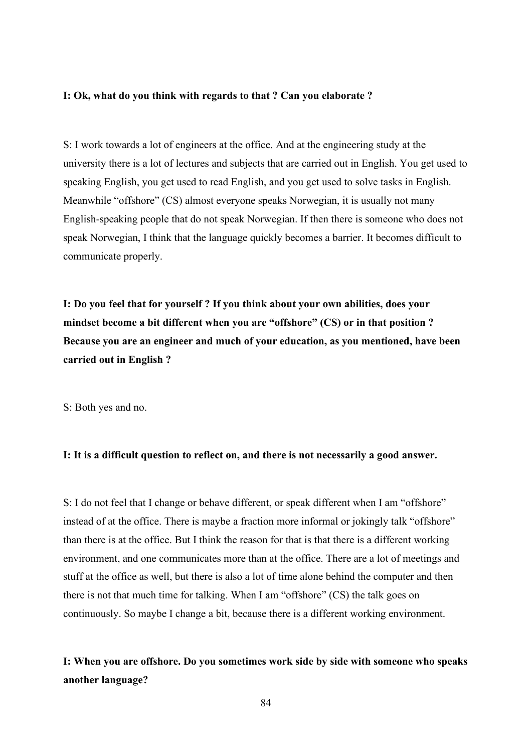#### **I: Ok, what do you think with regards to that ? Can you elaborate ?**

S: I work towards a lot of engineers at the office. And at the engineering study at the university there is a lot of lectures and subjects that are carried out in English. You get used to speaking English, you get used to read English, and you get used to solve tasks in English. Meanwhile "offshore" (CS) almost everyone speaks Norwegian, it is usually not many English-speaking people that do not speak Norwegian. If then there is someone who does not speak Norwegian, I think that the language quickly becomes a barrier. It becomes difficult to communicate properly.

**I: Do you feel that for yourself ? If you think about your own abilities, does your mindset become a bit different when you are "offshore" (CS) or in that position ? Because you are an engineer and much of your education, as you mentioned, have been carried out in English ?**

S: Both yes and no.

## **I: It is a difficult question to reflect on, and there is not necessarily a good answer.**

S: I do not feel that I change or behave different, or speak different when I am "offshore" instead of at the office. There is maybe a fraction more informal or jokingly talk "offshore" than there is at the office. But I think the reason for that is that there is a different working environment, and one communicates more than at the office. There are a lot of meetings and stuff at the office as well, but there is also a lot of time alone behind the computer and then there is not that much time for talking. When I am "offshore" (CS) the talk goes on continuously. So maybe I change a bit, because there is a different working environment.

# **I: When you are offshore. Do you sometimes work side by side with someone who speaks another language?**

84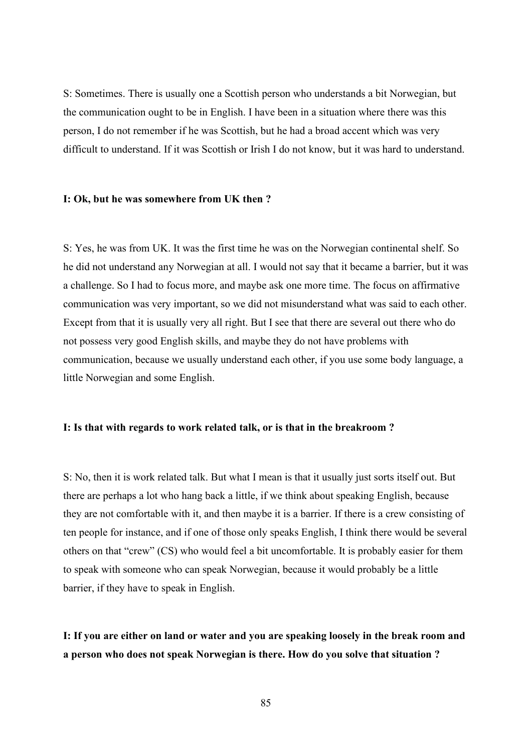S: Sometimes. There is usually one a Scottish person who understands a bit Norwegian, but the communication ought to be in English. I have been in a situation where there was this person, I do not remember if he was Scottish, but he had a broad accent which was very difficult to understand. If it was Scottish or Irish I do not know, but it was hard to understand.

#### **I: Ok, but he was somewhere from UK then ?**

S: Yes, he was from UK. It was the first time he was on the Norwegian continental shelf. So he did not understand any Norwegian at all. I would not say that it became a barrier, but it was a challenge. So I had to focus more, and maybe ask one more time. The focus on affirmative communication was very important, so we did not misunderstand what was said to each other. Except from that it is usually very all right. But I see that there are several out there who do not possess very good English skills, and maybe they do not have problems with communication, because we usually understand each other, if you use some body language, a little Norwegian and some English.

### **I: Is that with regards to work related talk, or is that in the breakroom ?**

S: No, then it is work related talk. But what I mean is that it usually just sorts itself out. But there are perhaps a lot who hang back a little, if we think about speaking English, because they are not comfortable with it, and then maybe it is a barrier. If there is a crew consisting of ten people for instance, and if one of those only speaks English, I think there would be several others on that "crew" (CS) who would feel a bit uncomfortable. It is probably easier for them to speak with someone who can speak Norwegian, because it would probably be a little barrier, if they have to speak in English.

**I: If you are either on land or water and you are speaking loosely in the break room and a person who does not speak Norwegian is there. How do you solve that situation ?**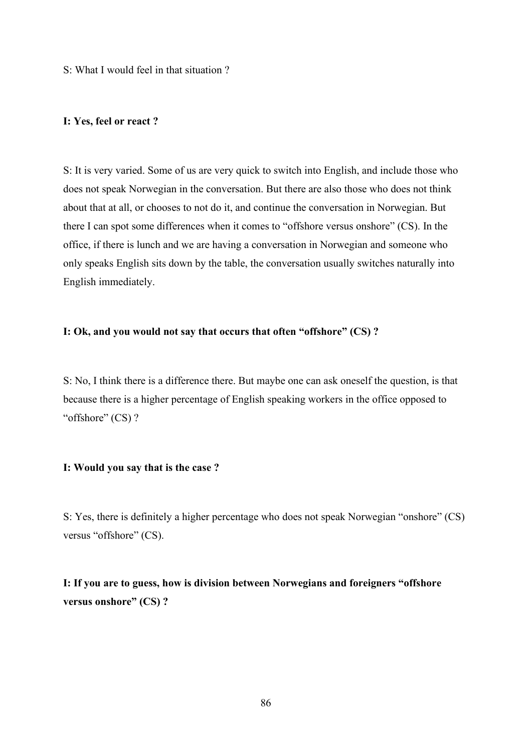S: What I would feel in that situation ?

#### **I: Yes, feel or react ?**

S: It is very varied. Some of us are very quick to switch into English, and include those who does not speak Norwegian in the conversation. But there are also those who does not think about that at all, or chooses to not do it, and continue the conversation in Norwegian. But there I can spot some differences when it comes to "offshore versus onshore" (CS). In the office, if there is lunch and we are having a conversation in Norwegian and someone who only speaks English sits down by the table, the conversation usually switches naturally into English immediately.

#### **I: Ok, and you would not say that occurs that often "offshore" (CS) ?**

S: No, I think there is a difference there. But maybe one can ask oneself the question, is that because there is a higher percentage of English speaking workers in the office opposed to "offshore" (CS)?

#### **I: Would you say that is the case ?**

S: Yes, there is definitely a higher percentage who does not speak Norwegian "onshore" (CS) versus "offshore" (CS).

**I: If you are to guess, how is division between Norwegians and foreigners "offshore versus onshore" (CS) ?**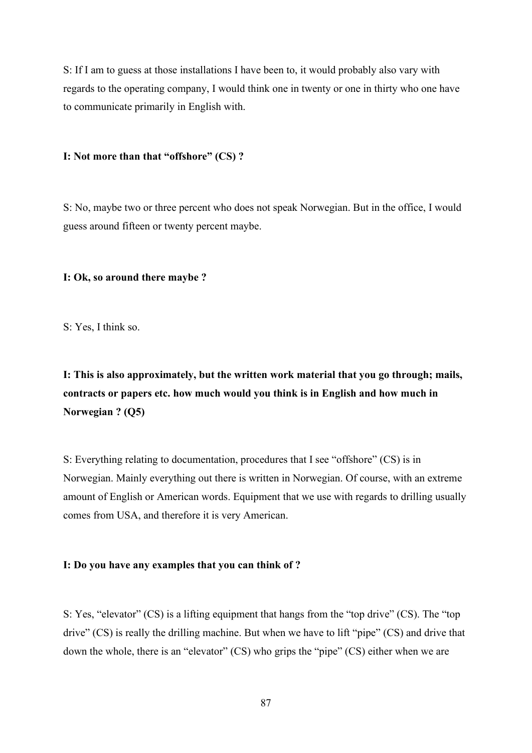S: If I am to guess at those installations I have been to, it would probably also vary with regards to the operating company, I would think one in twenty or one in thirty who one have to communicate primarily in English with.

#### **I: Not more than that "offshore" (CS) ?**

S: No, maybe two or three percent who does not speak Norwegian. But in the office, I would guess around fifteen or twenty percent maybe.

#### **I: Ok, so around there maybe ?**

S: Yes, I think so.

**I: This is also approximately, but the written work material that you go through; mails, contracts or papers etc. how much would you think is in English and how much in Norwegian ? (Q5)**

S: Everything relating to documentation, procedures that I see "offshore" (CS) is in Norwegian. Mainly everything out there is written in Norwegian. Of course, with an extreme amount of English or American words. Equipment that we use with regards to drilling usually comes from USA, and therefore it is very American.

#### **I: Do you have any examples that you can think of ?**

S: Yes, "elevator" (CS) is a lifting equipment that hangs from the "top drive" (CS). The "top drive" (CS) is really the drilling machine. But when we have to lift "pipe" (CS) and drive that down the whole, there is an "elevator" (CS) who grips the "pipe" (CS) either when we are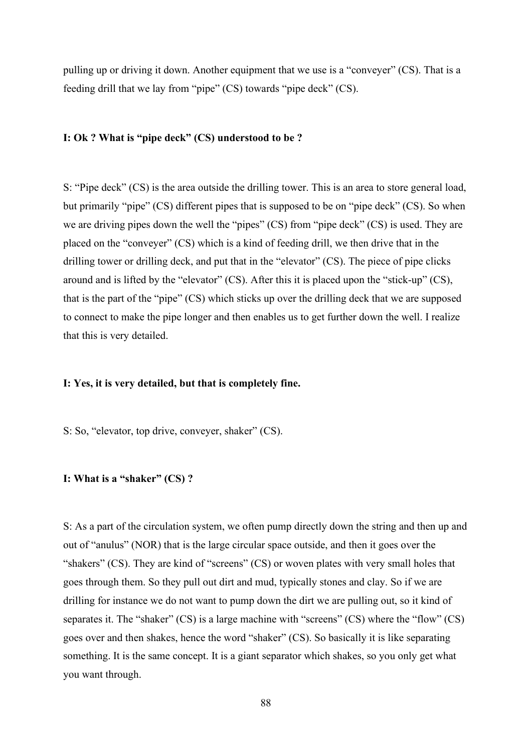pulling up or driving it down. Another equipment that we use is a "conveyer" (CS). That is a feeding drill that we lay from "pipe" (CS) towards "pipe deck" (CS).

#### **I: Ok ? What is "pipe deck" (CS) understood to be ?**

S: "Pipe deck" (CS) is the area outside the drilling tower. This is an area to store general load, but primarily "pipe" (CS) different pipes that is supposed to be on "pipe deck" (CS). So when we are driving pipes down the well the "pipes" (CS) from "pipe deck" (CS) is used. They are placed on the "conveyer" (CS) which is a kind of feeding drill, we then drive that in the drilling tower or drilling deck, and put that in the "elevator" (CS). The piece of pipe clicks around and is lifted by the "elevator" (CS). After this it is placed upon the "stick-up" (CS), that is the part of the "pipe" (CS) which sticks up over the drilling deck that we are supposed to connect to make the pipe longer and then enables us to get further down the well. I realize that this is very detailed.

## **I: Yes, it is very detailed, but that is completely fine.**

S: So, "elevator, top drive, conveyer, shaker" (CS).

## **I: What is a "shaker" (CS) ?**

S: As a part of the circulation system, we often pump directly down the string and then up and out of "anulus" (NOR) that is the large circular space outside, and then it goes over the "shakers" (CS). They are kind of "screens" (CS) or woven plates with very small holes that goes through them. So they pull out dirt and mud, typically stones and clay. So if we are drilling for instance we do not want to pump down the dirt we are pulling out, so it kind of separates it. The "shaker" (CS) is a large machine with "screens" (CS) where the "flow" (CS) goes over and then shakes, hence the word "shaker" (CS). So basically it is like separating something. It is the same concept. It is a giant separator which shakes, so you only get what you want through.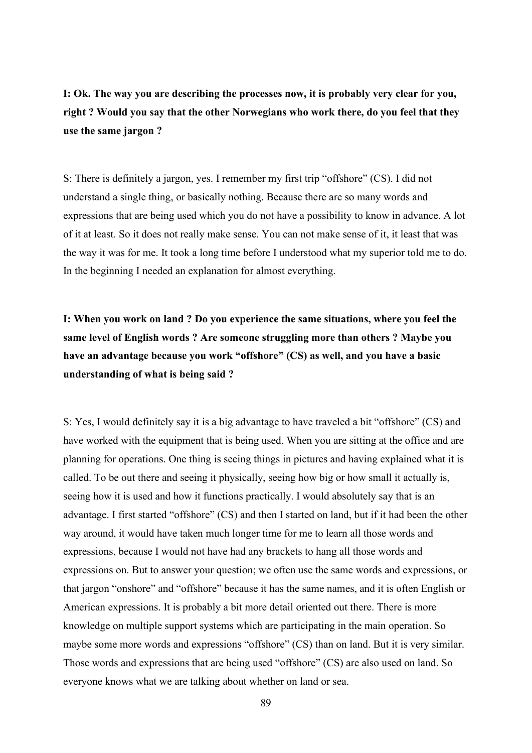**I: Ok. The way you are describing the processes now, it is probably very clear for you, right ? Would you say that the other Norwegians who work there, do you feel that they use the same jargon ?** 

S: There is definitely a jargon, yes. I remember my first trip "offshore" (CS). I did not understand a single thing, or basically nothing. Because there are so many words and expressions that are being used which you do not have a possibility to know in advance. A lot of it at least. So it does not really make sense. You can not make sense of it, it least that was the way it was for me. It took a long time before I understood what my superior told me to do. In the beginning I needed an explanation for almost everything.

**I: When you work on land ? Do you experience the same situations, where you feel the same level of English words ? Are someone struggling more than others ? Maybe you have an advantage because you work "offshore" (CS) as well, and you have a basic understanding of what is being said ?** 

S: Yes, I would definitely say it is a big advantage to have traveled a bit "offshore" (CS) and have worked with the equipment that is being used. When you are sitting at the office and are planning for operations. One thing is seeing things in pictures and having explained what it is called. To be out there and seeing it physically, seeing how big or how small it actually is, seeing how it is used and how it functions practically. I would absolutely say that is an advantage. I first started "offshore" (CS) and then I started on land, but if it had been the other way around, it would have taken much longer time for me to learn all those words and expressions, because I would not have had any brackets to hang all those words and expressions on. But to answer your question; we often use the same words and expressions, or that jargon "onshore" and "offshore" because it has the same names, and it is often English or American expressions. It is probably a bit more detail oriented out there. There is more knowledge on multiple support systems which are participating in the main operation. So maybe some more words and expressions "offshore" (CS) than on land. But it is very similar. Those words and expressions that are being used "offshore" (CS) are also used on land. So everyone knows what we are talking about whether on land or sea.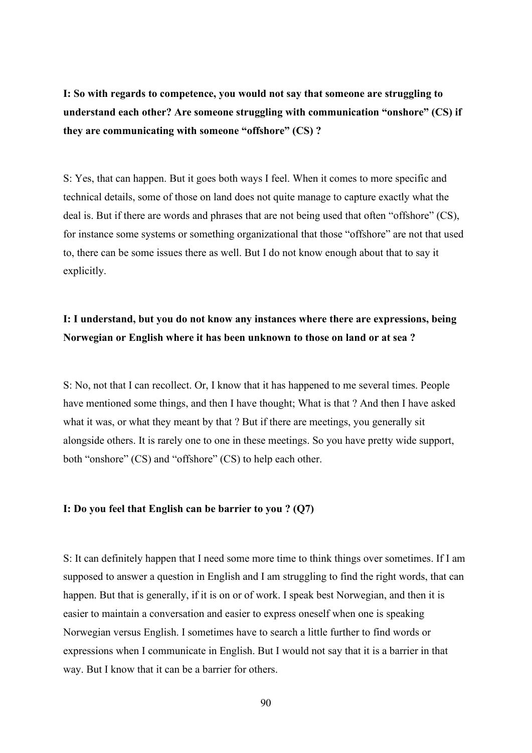**I: So with regards to competence, you would not say that someone are struggling to understand each other? Are someone struggling with communication "onshore" (CS) if they are communicating with someone "offshore" (CS) ?**

S: Yes, that can happen. But it goes both ways I feel. When it comes to more specific and technical details, some of those on land does not quite manage to capture exactly what the deal is. But if there are words and phrases that are not being used that often "offshore" (CS), for instance some systems or something organizational that those "offshore" are not that used to, there can be some issues there as well. But I do not know enough about that to say it explicitly.

## **I: I understand, but you do not know any instances where there are expressions, being Norwegian or English where it has been unknown to those on land or at sea ?**

S: No, not that I can recollect. Or, I know that it has happened to me several times. People have mentioned some things, and then I have thought; What is that ? And then I have asked what it was, or what they meant by that ? But if there are meetings, you generally sit alongside others. It is rarely one to one in these meetings. So you have pretty wide support, both "onshore" (CS) and "offshore" (CS) to help each other.

#### **I: Do you feel that English can be barrier to you ? (Q7)**

S: It can definitely happen that I need some more time to think things over sometimes. If I am supposed to answer a question in English and I am struggling to find the right words, that can happen. But that is generally, if it is on or of work. I speak best Norwegian, and then it is easier to maintain a conversation and easier to express oneself when one is speaking Norwegian versus English. I sometimes have to search a little further to find words or expressions when I communicate in English. But I would not say that it is a barrier in that way. But I know that it can be a barrier for others.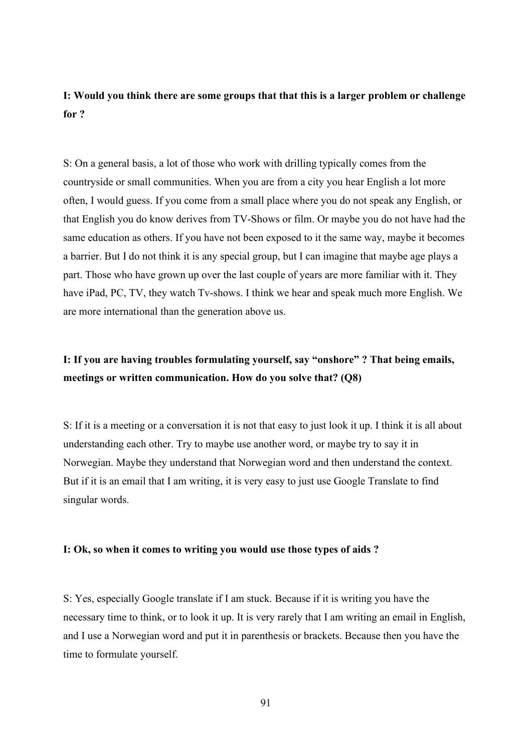## **I: Would you think there are some groups that that this is a larger problem or challenge for ?**

S: On a general basis, a lot of those who work with drilling typically comes from the countryside or small communities. When you are from a city you hear English a lot more often, I would guess. If you come from a small place where you do not speak any English, or that English you do know derives from TV-Shows or film. Or maybe you do not have had the same education as others. If you have not been exposed to it the same way, maybe it becomes a barrier. But I do not think it is any special group, but I can imagine that maybe age plays a part. Those who have grown up over the last couple of years are more familiar with it. They have iPad, PC, TV, they watch Tv-shows. I think we hear and speak much more English. We are more international than the generation above us.

# **I: If you are having troubles formulating yourself, say "onshore" ? That being emails, meetings or written communication. How do you solve that? (Q8)**

S: If it is a meeting or a conversation it is not that easy to just look it up. I think it is all about understanding each other. Try to maybe use another word, or maybe try to say it in Norwegian. Maybe they understand that Norwegian word and then understand the context. But if it is an email that I am writing, it is very easy to just use Google Translate to find singular words.

### **I: Ok, so when it comes to writing you would use those types of aids ?**

S: Yes, especially Google translate if I am stuck. Because if it is writing you have the necessary time to think, or to look it up. It is very rarely that I am writing an email in English, and I use a Norwegian word and put it in parenthesis or brackets. Because then you have the time to formulate yourself.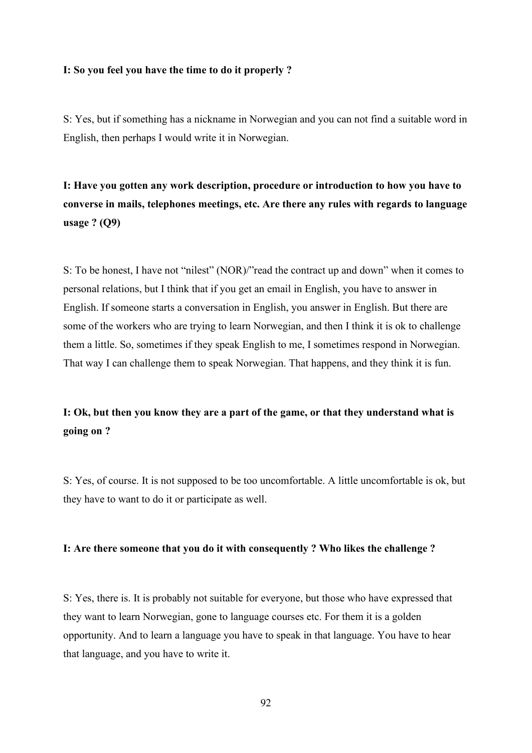#### **I: So you feel you have the time to do it properly ?**

S: Yes, but if something has a nickname in Norwegian and you can not find a suitable word in English, then perhaps I would write it in Norwegian.

**I: Have you gotten any work description, procedure or introduction to how you have to converse in mails, telephones meetings, etc. Are there any rules with regards to language usage ? (Q9)**

S: To be honest, I have not "nilest" (NOR)/"read the contract up and down" when it comes to personal relations, but I think that if you get an email in English, you have to answer in English. If someone starts a conversation in English, you answer in English. But there are some of the workers who are trying to learn Norwegian, and then I think it is ok to challenge them a little. So, sometimes if they speak English to me, I sometimes respond in Norwegian. That way I can challenge them to speak Norwegian. That happens, and they think it is fun.

## **I: Ok, but then you know they are a part of the game, or that they understand what is going on ?**

S: Yes, of course. It is not supposed to be too uncomfortable. A little uncomfortable is ok, but they have to want to do it or participate as well.

#### **I: Are there someone that you do it with consequently ? Who likes the challenge ?**

S: Yes, there is. It is probably not suitable for everyone, but those who have expressed that they want to learn Norwegian, gone to language courses etc. For them it is a golden opportunity. And to learn a language you have to speak in that language. You have to hear that language, and you have to write it.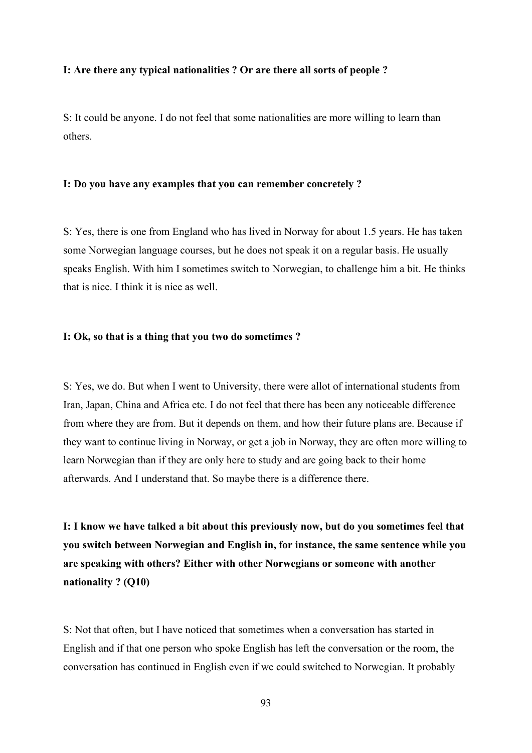#### **I: Are there any typical nationalities ? Or are there all sorts of people ?**

S: It could be anyone. I do not feel that some nationalities are more willing to learn than others.

#### **I: Do you have any examples that you can remember concretely ?**

S: Yes, there is one from England who has lived in Norway for about 1.5 years. He has taken some Norwegian language courses, but he does not speak it on a regular basis. He usually speaks English. With him I sometimes switch to Norwegian, to challenge him a bit. He thinks that is nice. I think it is nice as well.

#### **I: Ok, so that is a thing that you two do sometimes ?**

S: Yes, we do. But when I went to University, there were allot of international students from Iran, Japan, China and Africa etc. I do not feel that there has been any noticeable difference from where they are from. But it depends on them, and how their future plans are. Because if they want to continue living in Norway, or get a job in Norway, they are often more willing to learn Norwegian than if they are only here to study and are going back to their home afterwards. And I understand that. So maybe there is a difference there.

**I: I know we have talked a bit about this previously now, but do you sometimes feel that you switch between Norwegian and English in, for instance, the same sentence while you are speaking with others? Either with other Norwegians or someone with another nationality ? (Q10)**

S: Not that often, but I have noticed that sometimes when a conversation has started in English and if that one person who spoke English has left the conversation or the room, the conversation has continued in English even if we could switched to Norwegian. It probably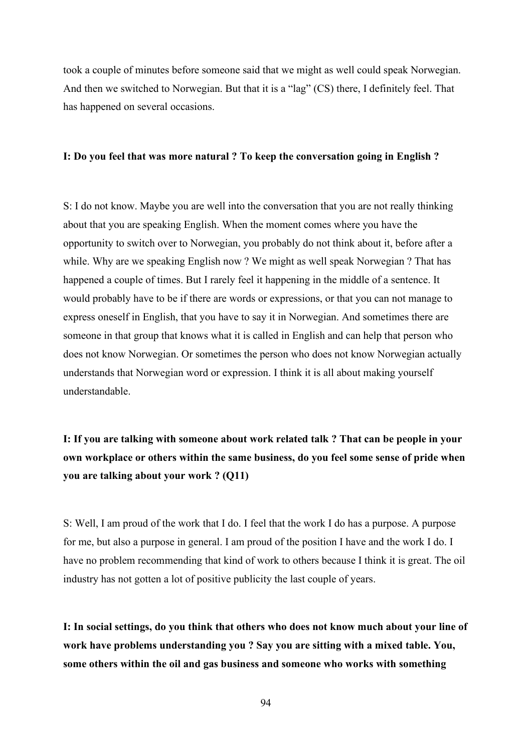took a couple of minutes before someone said that we might as well could speak Norwegian. And then we switched to Norwegian. But that it is a "lag" (CS) there, I definitely feel. That has happened on several occasions.

#### **I: Do you feel that was more natural ? To keep the conversation going in English ?**

S: I do not know. Maybe you are well into the conversation that you are not really thinking about that you are speaking English. When the moment comes where you have the opportunity to switch over to Norwegian, you probably do not think about it, before after a while. Why are we speaking English now ? We might as well speak Norwegian ? That has happened a couple of times. But I rarely feel it happening in the middle of a sentence. It would probably have to be if there are words or expressions, or that you can not manage to express oneself in English, that you have to say it in Norwegian. And sometimes there are someone in that group that knows what it is called in English and can help that person who does not know Norwegian. Or sometimes the person who does not know Norwegian actually understands that Norwegian word or expression. I think it is all about making yourself understandable.

**I: If you are talking with someone about work related talk ? That can be people in your own workplace or others within the same business, do you feel some sense of pride when you are talking about your work ? (Q11)**

S: Well, I am proud of the work that I do. I feel that the work I do has a purpose. A purpose for me, but also a purpose in general. I am proud of the position I have and the work I do. I have no problem recommending that kind of work to others because I think it is great. The oil industry has not gotten a lot of positive publicity the last couple of years.

**I: In social settings, do you think that others who does not know much about your line of work have problems understanding you ? Say you are sitting with a mixed table. You, some others within the oil and gas business and someone who works with something** 

94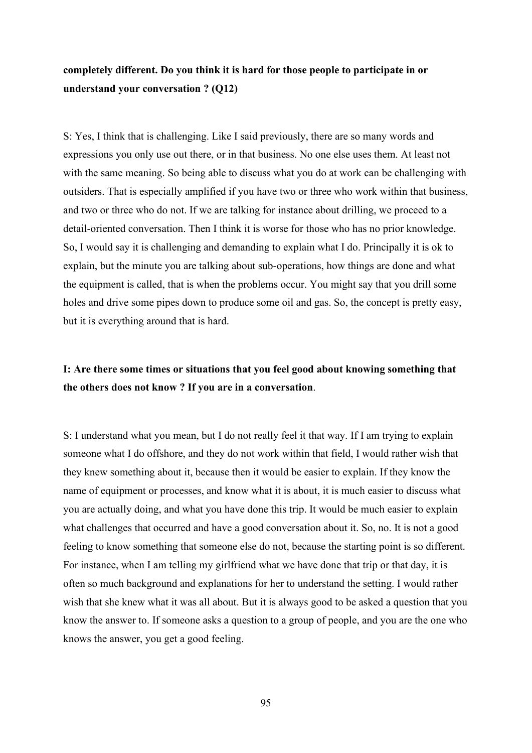## **completely different. Do you think it is hard for those people to participate in or understand your conversation ? (Q12)**

S: Yes, I think that is challenging. Like I said previously, there are so many words and expressions you only use out there, or in that business. No one else uses them. At least not with the same meaning. So being able to discuss what you do at work can be challenging with outsiders. That is especially amplified if you have two or three who work within that business, and two or three who do not. If we are talking for instance about drilling, we proceed to a detail-oriented conversation. Then I think it is worse for those who has no prior knowledge. So, I would say it is challenging and demanding to explain what I do. Principally it is ok to explain, but the minute you are talking about sub-operations, how things are done and what the equipment is called, that is when the problems occur. You might say that you drill some holes and drive some pipes down to produce some oil and gas. So, the concept is pretty easy, but it is everything around that is hard.

## **I: Are there some times or situations that you feel good about knowing something that the others does not know ? If you are in a conversation**.

S: I understand what you mean, but I do not really feel it that way. If I am trying to explain someone what I do offshore, and they do not work within that field, I would rather wish that they knew something about it, because then it would be easier to explain. If they know the name of equipment or processes, and know what it is about, it is much easier to discuss what you are actually doing, and what you have done this trip. It would be much easier to explain what challenges that occurred and have a good conversation about it. So, no. It is not a good feeling to know something that someone else do not, because the starting point is so different. For instance, when I am telling my girlfriend what we have done that trip or that day, it is often so much background and explanations for her to understand the setting. I would rather wish that she knew what it was all about. But it is always good to be asked a question that you know the answer to. If someone asks a question to a group of people, and you are the one who knows the answer, you get a good feeling.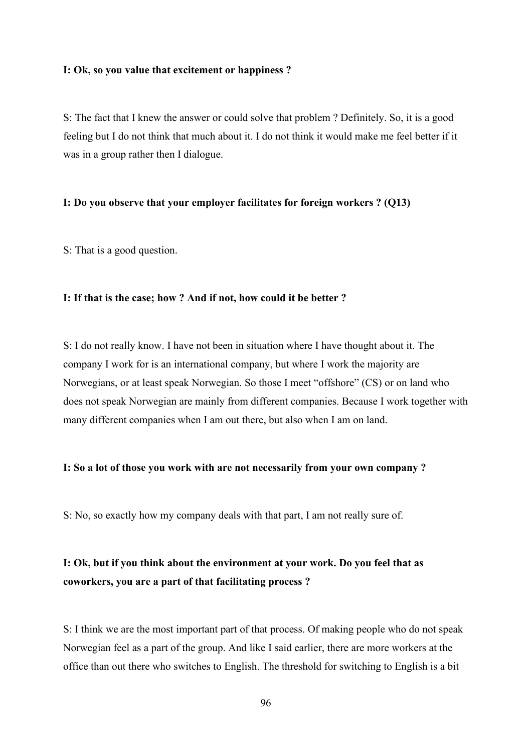#### **I: Ok, so you value that excitement or happiness ?**

S: The fact that I knew the answer or could solve that problem ? Definitely. So, it is a good feeling but I do not think that much about it. I do not think it would make me feel better if it was in a group rather then I dialogue.

#### **I: Do you observe that your employer facilitates for foreign workers ? (Q13)**

S: That is a good question.

#### **I: If that is the case; how ? And if not, how could it be better ?**

S: I do not really know. I have not been in situation where I have thought about it. The company I work for is an international company, but where I work the majority are Norwegians, or at least speak Norwegian. So those I meet "offshore" (CS) or on land who does not speak Norwegian are mainly from different companies. Because I work together with many different companies when I am out there, but also when I am on land.

#### **I: So a lot of those you work with are not necessarily from your own company ?**

S: No, so exactly how my company deals with that part, I am not really sure of.

# **I: Ok, but if you think about the environment at your work. Do you feel that as coworkers, you are a part of that facilitating process ?**

S: I think we are the most important part of that process. Of making people who do not speak Norwegian feel as a part of the group. And like I said earlier, there are more workers at the office than out there who switches to English. The threshold for switching to English is a bit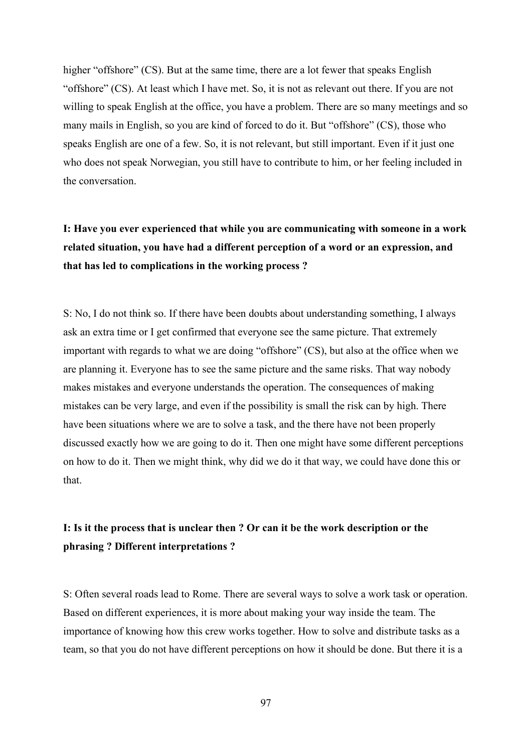higher "offshore" (CS). But at the same time, there are a lot fewer that speaks English "offshore" (CS). At least which I have met. So, it is not as relevant out there. If you are not willing to speak English at the office, you have a problem. There are so many meetings and so many mails in English, so you are kind of forced to do it. But "offshore" (CS), those who speaks English are one of a few. So, it is not relevant, but still important. Even if it just one who does not speak Norwegian, you still have to contribute to him, or her feeling included in the conversation.

# **I: Have you ever experienced that while you are communicating with someone in a work related situation, you have had a different perception of a word or an expression, and that has led to complications in the working process ?**

S: No, I do not think so. If there have been doubts about understanding something, I always ask an extra time or I get confirmed that everyone see the same picture. That extremely important with regards to what we are doing "offshore" (CS), but also at the office when we are planning it. Everyone has to see the same picture and the same risks. That way nobody makes mistakes and everyone understands the operation. The consequences of making mistakes can be very large, and even if the possibility is small the risk can by high. There have been situations where we are to solve a task, and the there have not been properly discussed exactly how we are going to do it. Then one might have some different perceptions on how to do it. Then we might think, why did we do it that way, we could have done this or that.

## **I: Is it the process that is unclear then ? Or can it be the work description or the phrasing ? Different interpretations ?**

S: Often several roads lead to Rome. There are several ways to solve a work task or operation. Based on different experiences, it is more about making your way inside the team. The importance of knowing how this crew works together. How to solve and distribute tasks as a team, so that you do not have different perceptions on how it should be done. But there it is a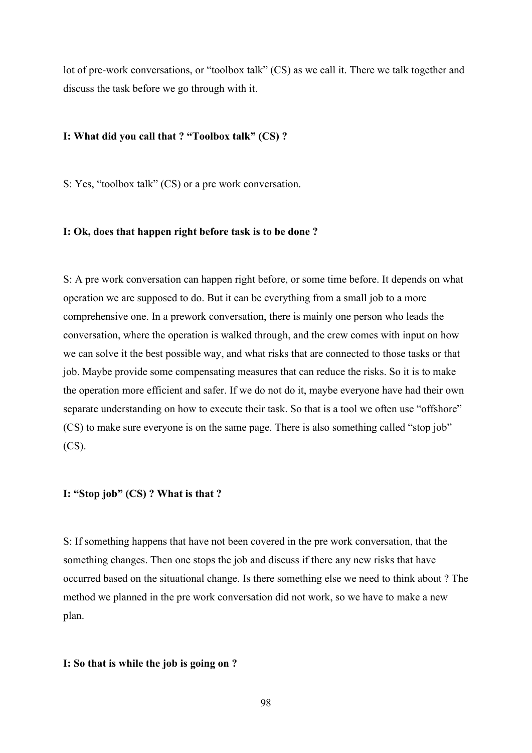lot of pre-work conversations, or "toolbox talk" (CS) as we call it. There we talk together and discuss the task before we go through with it.

## **I: What did you call that ? "Toolbox talk" (CS) ?**

S: Yes, "toolbox talk" (CS) or a pre work conversation.

## **I: Ok, does that happen right before task is to be done ?**

S: A pre work conversation can happen right before, or some time before. It depends on what operation we are supposed to do. But it can be everything from a small job to a more comprehensive one. In a prework conversation, there is mainly one person who leads the conversation, where the operation is walked through, and the crew comes with input on how we can solve it the best possible way, and what risks that are connected to those tasks or that job. Maybe provide some compensating measures that can reduce the risks. So it is to make the operation more efficient and safer. If we do not do it, maybe everyone have had their own separate understanding on how to execute their task. So that is a tool we often use "offshore" (CS) to make sure everyone is on the same page. There is also something called "stop job"  $(CS)$ .

## **I: "Stop job" (CS) ? What is that ?**

S: If something happens that have not been covered in the pre work conversation, that the something changes. Then one stops the job and discuss if there any new risks that have occurred based on the situational change. Is there something else we need to think about ? The method we planned in the pre work conversation did not work, so we have to make a new plan.

#### **I: So that is while the job is going on ?**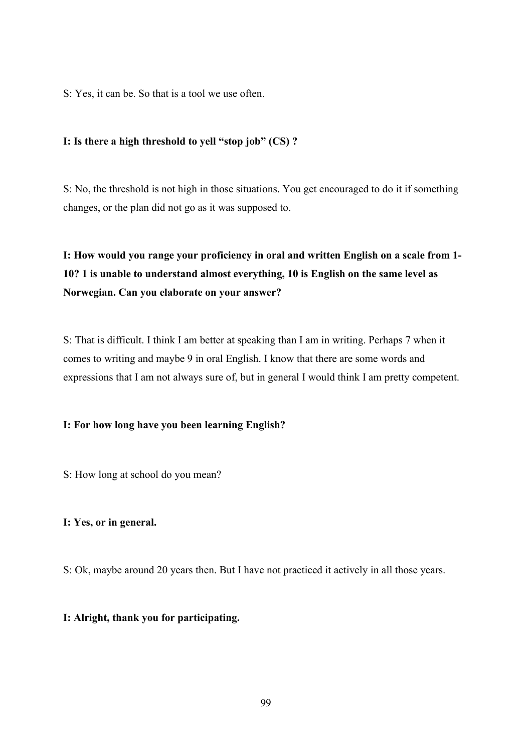S: Yes, it can be. So that is a tool we use often.

## **I: Is there a high threshold to yell "stop job" (CS) ?**

S: No, the threshold is not high in those situations. You get encouraged to do it if something changes, or the plan did not go as it was supposed to.

# **I: How would you range your proficiency in oral and written English on a scale from 1- 10? 1 is unable to understand almost everything, 10 is English on the same level as Norwegian. Can you elaborate on your answer?**

S: That is difficult. I think I am better at speaking than I am in writing. Perhaps 7 when it comes to writing and maybe 9 in oral English. I know that there are some words and expressions that I am not always sure of, but in general I would think I am pretty competent.

## **I: For how long have you been learning English?**

S: How long at school do you mean?

## **I: Yes, or in general.**

S: Ok, maybe around 20 years then. But I have not practiced it actively in all those years.

## **I: Alright, thank you for participating.**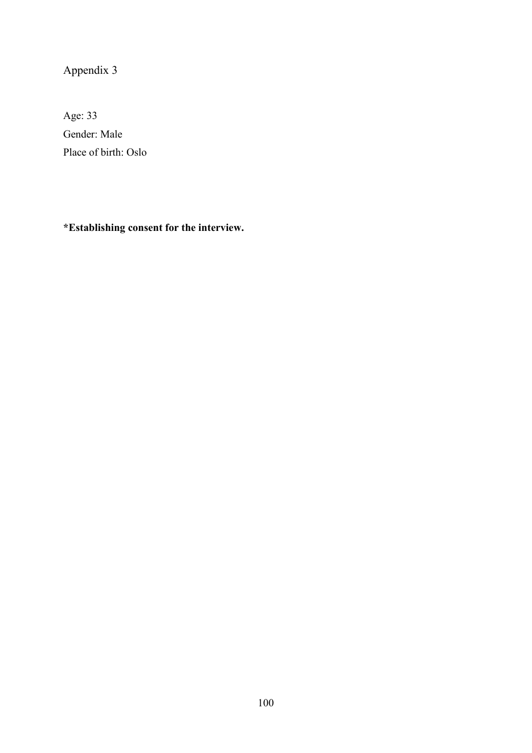Appendix 3

Age: 33 Gender: Male Place of birth: Oslo

**\*Establishing consent for the interview.**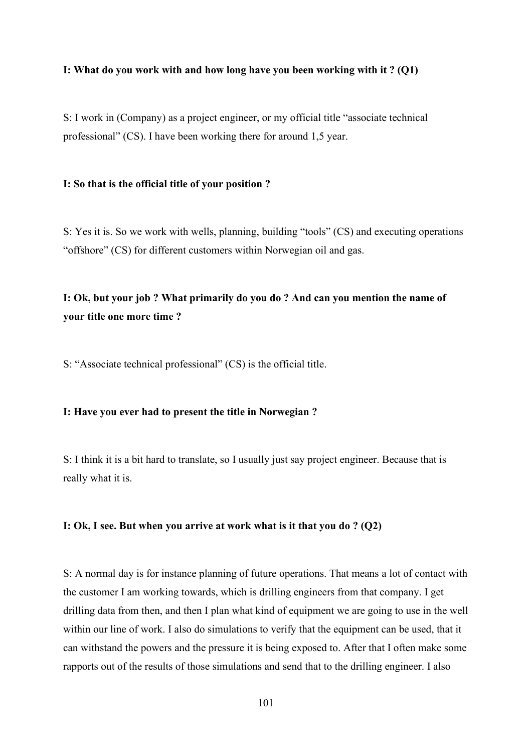#### **I: What do you work with and how long have you been working with it ? (Q1)**

S: I work in (Company) as a project engineer, or my official title "associate technical professional" (CS). I have been working there for around 1,5 year.

#### **I: So that is the official title of your position ?**

S: Yes it is. So we work with wells, planning, building "tools" (CS) and executing operations "offshore" (CS) for different customers within Norwegian oil and gas.

# **I: Ok, but your job ? What primarily do you do ? And can you mention the name of your title one more time ?**

S: "Associate technical professional" (CS) is the official title.

### **I: Have you ever had to present the title in Norwegian ?**

S: I think it is a bit hard to translate, so I usually just say project engineer. Because that is really what it is.

#### **I: Ok, I see. But when you arrive at work what is it that you do ? (Q2)**

S: A normal day is for instance planning of future operations. That means a lot of contact with the customer I am working towards, which is drilling engineers from that company. I get drilling data from then, and then I plan what kind of equipment we are going to use in the well within our line of work. I also do simulations to verify that the equipment can be used, that it can withstand the powers and the pressure it is being exposed to. After that I often make some rapports out of the results of those simulations and send that to the drilling engineer. I also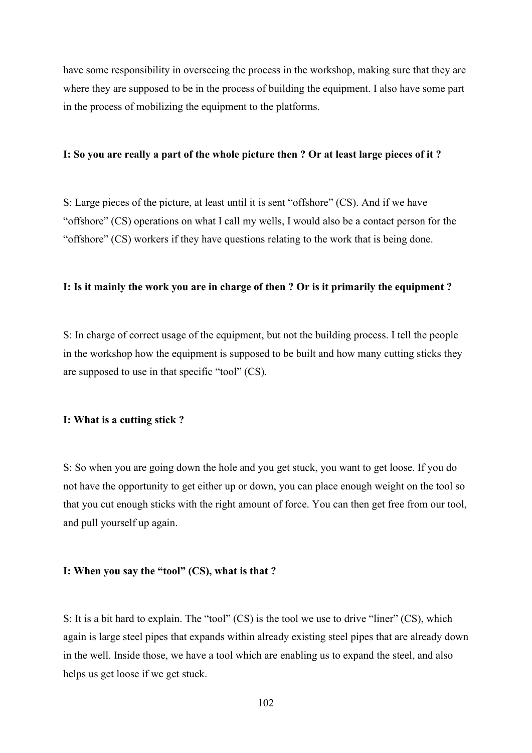have some responsibility in overseeing the process in the workshop, making sure that they are where they are supposed to be in the process of building the equipment. I also have some part in the process of mobilizing the equipment to the platforms.

#### **I: So you are really a part of the whole picture then ? Or at least large pieces of it ?**

S: Large pieces of the picture, at least until it is sent "offshore" (CS). And if we have "offshore" (CS) operations on what I call my wells, I would also be a contact person for the "offshore" (CS) workers if they have questions relating to the work that is being done.

#### **I: Is it mainly the work you are in charge of then ? Or is it primarily the equipment ?**

S: In charge of correct usage of the equipment, but not the building process. I tell the people in the workshop how the equipment is supposed to be built and how many cutting sticks they are supposed to use in that specific "tool" (CS).

#### **I: What is a cutting stick ?**

S: So when you are going down the hole and you get stuck, you want to get loose. If you do not have the opportunity to get either up or down, you can place enough weight on the tool so that you cut enough sticks with the right amount of force. You can then get free from our tool, and pull yourself up again.

#### **I: When you say the "tool" (CS), what is that ?**

S: It is a bit hard to explain. The "tool" (CS) is the tool we use to drive "liner" (CS), which again is large steel pipes that expands within already existing steel pipes that are already down in the well. Inside those, we have a tool which are enabling us to expand the steel, and also helps us get loose if we get stuck.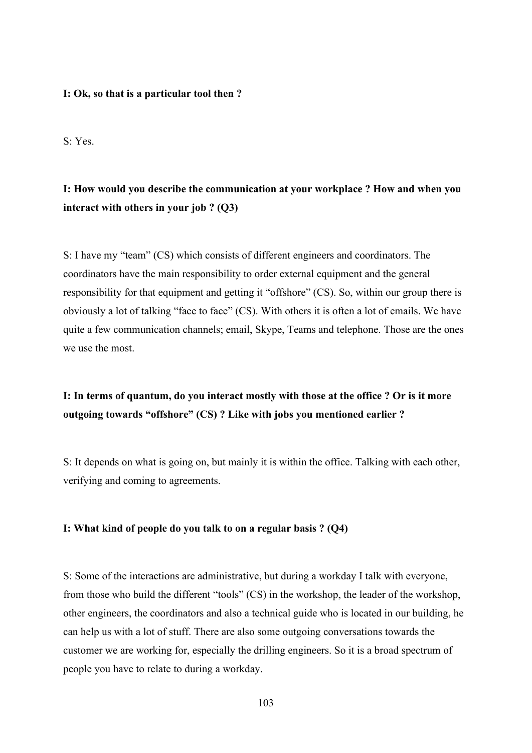#### **I: Ok, so that is a particular tool then ?**

S: Yes.

# **I: How would you describe the communication at your workplace ? How and when you interact with others in your job ? (Q3)**

S: I have my "team" (CS) which consists of different engineers and coordinators. The coordinators have the main responsibility to order external equipment and the general responsibility for that equipment and getting it "offshore" (CS). So, within our group there is obviously a lot of talking "face to face" (CS). With others it is often a lot of emails. We have quite a few communication channels; email, Skype, Teams and telephone. Those are the ones we use the most.

## **I: In terms of quantum, do you interact mostly with those at the office ? Or is it more outgoing towards "offshore" (CS) ? Like with jobs you mentioned earlier ?**

S: It depends on what is going on, but mainly it is within the office. Talking with each other, verifying and coming to agreements.

## **I: What kind of people do you talk to on a regular basis ? (Q4)**

S: Some of the interactions are administrative, but during a workday I talk with everyone, from those who build the different "tools" (CS) in the workshop, the leader of the workshop, other engineers, the coordinators and also a technical guide who is located in our building, he can help us with a lot of stuff. There are also some outgoing conversations towards the customer we are working for, especially the drilling engineers. So it is a broad spectrum of people you have to relate to during a workday.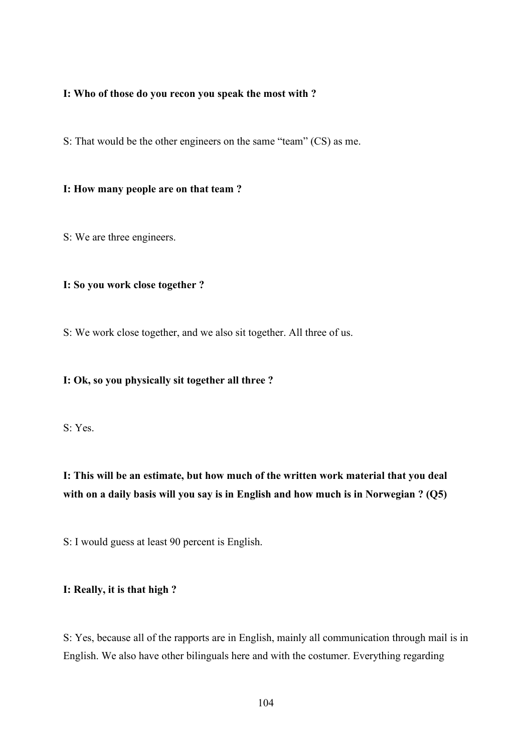## **I: Who of those do you recon you speak the most with ?**

S: That would be the other engineers on the same "team" (CS) as me.

### **I: How many people are on that team ?**

S: We are three engineers.

## **I: So you work close together ?**

S: We work close together, and we also sit together. All three of us.

## **I: Ok, so you physically sit together all three ?**

S: Yes.

# **I: This will be an estimate, but how much of the written work material that you deal with on a daily basis will you say is in English and how much is in Norwegian ? (Q5)**

S: I would guess at least 90 percent is English.

#### **I: Really, it is that high ?**

S: Yes, because all of the rapports are in English, mainly all communication through mail is in English. We also have other bilinguals here and with the costumer. Everything regarding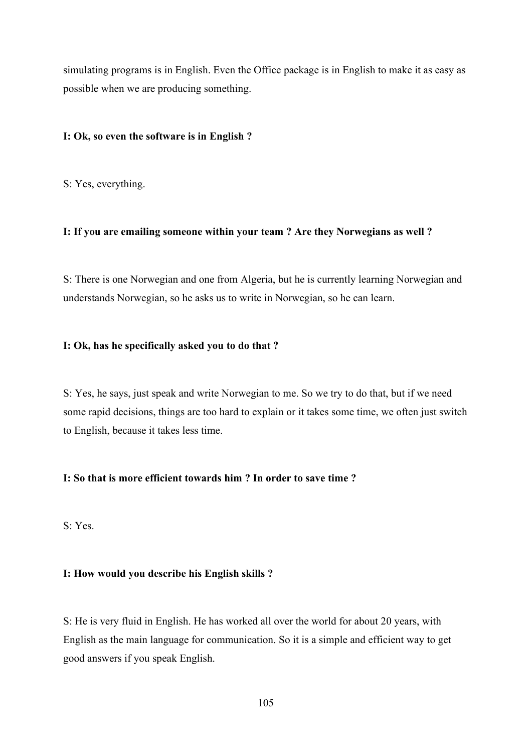simulating programs is in English. Even the Office package is in English to make it as easy as possible when we are producing something.

### **I: Ok, so even the software is in English ?**

S: Yes, everything.

## **I: If you are emailing someone within your team ? Are they Norwegians as well ?**

S: There is one Norwegian and one from Algeria, but he is currently learning Norwegian and understands Norwegian, so he asks us to write in Norwegian, so he can learn.

### **I: Ok, has he specifically asked you to do that ?**

S: Yes, he says, just speak and write Norwegian to me. So we try to do that, but if we need some rapid decisions, things are too hard to explain or it takes some time, we often just switch to English, because it takes less time.

## **I: So that is more efficient towards him ? In order to save time ?**

S: Yes.

### **I: How would you describe his English skills ?**

S: He is very fluid in English. He has worked all over the world for about 20 years, with English as the main language for communication. So it is a simple and efficient way to get good answers if you speak English.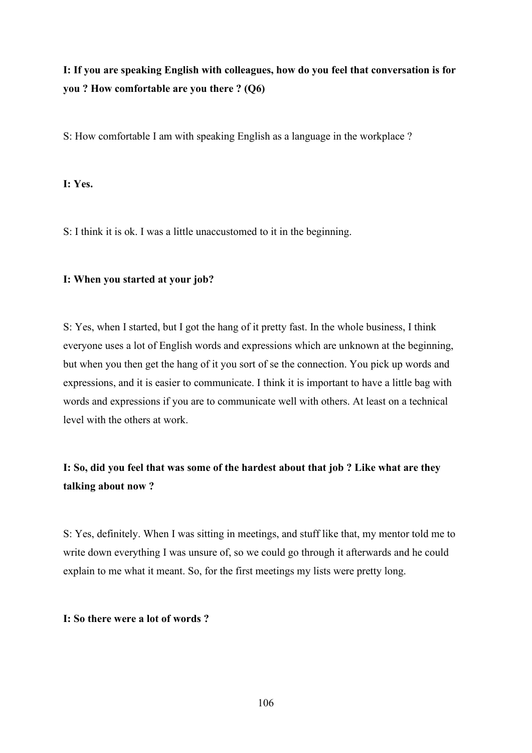# **I: If you are speaking English with colleagues, how do you feel that conversation is for you ? How comfortable are you there ? (Q6)**

S: How comfortable I am with speaking English as a language in the workplace ?

## **I: Yes.**

S: I think it is ok. I was a little unaccustomed to it in the beginning.

## **I: When you started at your job?**

S: Yes, when I started, but I got the hang of it pretty fast. In the whole business, I think everyone uses a lot of English words and expressions which are unknown at the beginning, but when you then get the hang of it you sort of se the connection. You pick up words and expressions, and it is easier to communicate. I think it is important to have a little bag with words and expressions if you are to communicate well with others. At least on a technical level with the others at work.

# **I: So, did you feel that was some of the hardest about that job ? Like what are they talking about now ?**

S: Yes, definitely. When I was sitting in meetings, and stuff like that, my mentor told me to write down everything I was unsure of, so we could go through it afterwards and he could explain to me what it meant. So, for the first meetings my lists were pretty long.

#### **I: So there were a lot of words ?**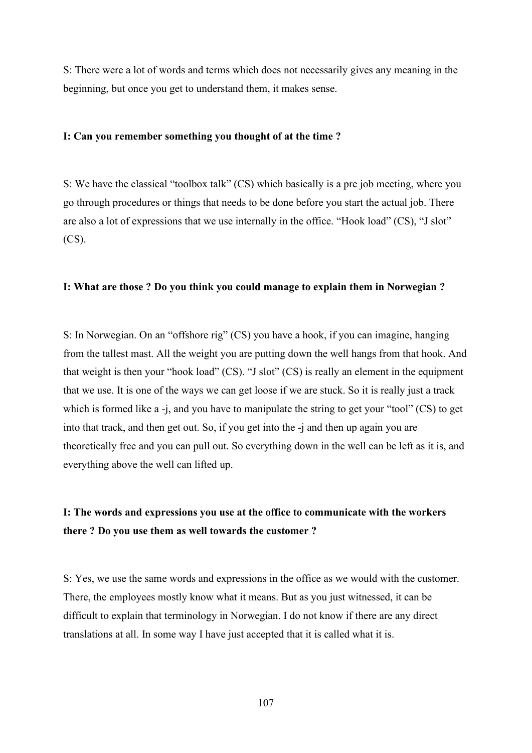S: There were a lot of words and terms which does not necessarily gives any meaning in the beginning, but once you get to understand them, it makes sense.

#### **I: Can you remember something you thought of at the time ?**

S: We have the classical "toolbox talk" (CS) which basically is a pre job meeting, where you go through procedures or things that needs to be done before you start the actual job. There are also a lot of expressions that we use internally in the office. "Hook load" (CS), "J slot" (CS).

#### **I: What are those ? Do you think you could manage to explain them in Norwegian ?**

S: In Norwegian. On an "offshore rig" (CS) you have a hook, if you can imagine, hanging from the tallest mast. All the weight you are putting down the well hangs from that hook. And that weight is then your "hook load" (CS). "J slot" (CS) is really an element in the equipment that we use. It is one of the ways we can get loose if we are stuck. So it is really just a track which is formed like a -j, and you have to manipulate the string to get your "tool" (CS) to get into that track, and then get out. So, if you get into the -j and then up again you are theoretically free and you can pull out. So everything down in the well can be left as it is, and everything above the well can lifted up.

## **I: The words and expressions you use at the office to communicate with the workers there ? Do you use them as well towards the customer ?**

S: Yes, we use the same words and expressions in the office as we would with the customer. There, the employees mostly know what it means. But as you just witnessed, it can be difficult to explain that terminology in Norwegian. I do not know if there are any direct translations at all. In some way I have just accepted that it is called what it is.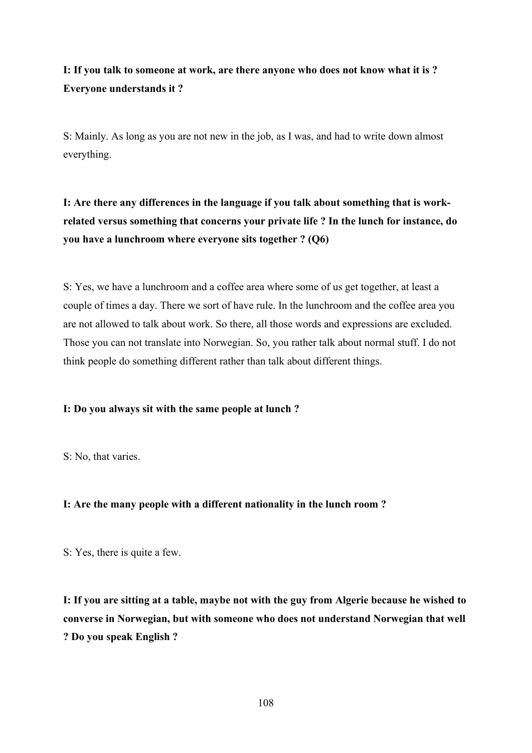# **I: If you talk to someone at work, are there anyone who does not know what it is ? Everyone understands it ?**

S: Mainly. As long as you are not new in the job, as I was, and had to write down almost everything.

**I: Are there any differences in the language if you talk about something that is workrelated versus something that concerns your private life ? In the lunch for instance, do you have a lunchroom where everyone sits together ? (Q6)**

S: Yes, we have a lunchroom and a coffee area where some of us get together, at least a couple of times a day. There we sort of have rule. In the lunchroom and the coffee area you are not allowed to talk about work. So there, all those words and expressions are excluded. Those you can not translate into Norwegian. So, you rather talk about normal stuff. I do not think people do something different rather than talk about different things.

## **I: Do you always sit with the same people at lunch ?**

S: No, that varies.

## **I: Are the many people with a different nationality in the lunch room ?**

S: Yes, there is quite a few.

**I: If you are sitting at a table, maybe not with the guy from Algerie because he wished to converse in Norwegian, but with someone who does not understand Norwegian that well ? Do you speak English ?**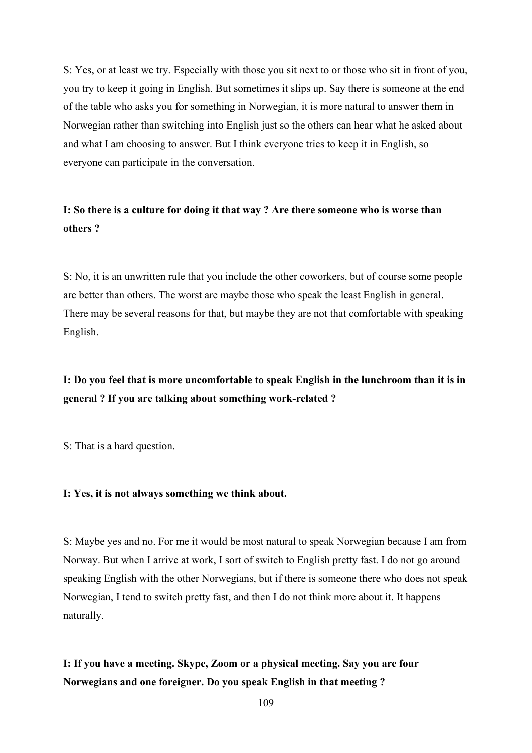S: Yes, or at least we try. Especially with those you sit next to or those who sit in front of you, you try to keep it going in English. But sometimes it slips up. Say there is someone at the end of the table who asks you for something in Norwegian, it is more natural to answer them in Norwegian rather than switching into English just so the others can hear what he asked about and what I am choosing to answer. But I think everyone tries to keep it in English, so everyone can participate in the conversation.

## **I: So there is a culture for doing it that way ? Are there someone who is worse than others ?**

S: No, it is an unwritten rule that you include the other coworkers, but of course some people are better than others. The worst are maybe those who speak the least English in general. There may be several reasons for that, but maybe they are not that comfortable with speaking English.

# **I: Do you feel that is more uncomfortable to speak English in the lunchroom than it is in general ? If you are talking about something work-related ?**

S: That is a hard question.

### **I: Yes, it is not always something we think about.**

S: Maybe yes and no. For me it would be most natural to speak Norwegian because I am from Norway. But when I arrive at work, I sort of switch to English pretty fast. I do not go around speaking English with the other Norwegians, but if there is someone there who does not speak Norwegian, I tend to switch pretty fast, and then I do not think more about it. It happens naturally.

# **I: If you have a meeting. Skype, Zoom or a physical meeting. Say you are four Norwegians and one foreigner. Do you speak English in that meeting ?**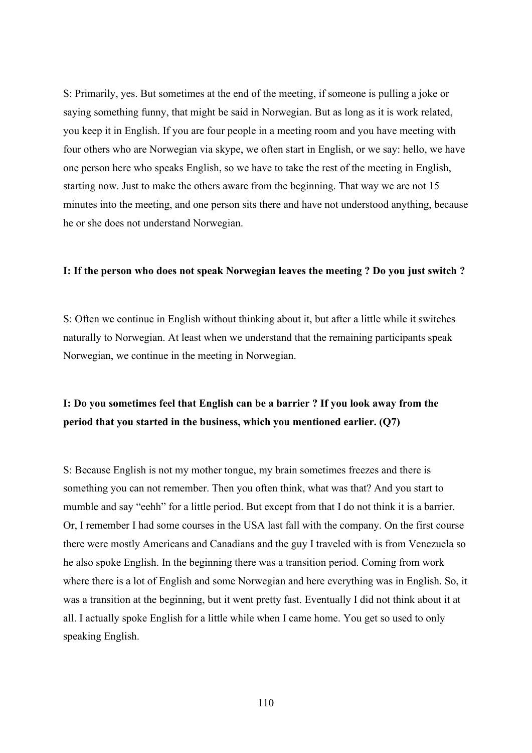S: Primarily, yes. But sometimes at the end of the meeting, if someone is pulling a joke or saying something funny, that might be said in Norwegian. But as long as it is work related, you keep it in English. If you are four people in a meeting room and you have meeting with four others who are Norwegian via skype, we often start in English, or we say: hello, we have one person here who speaks English, so we have to take the rest of the meeting in English, starting now. Just to make the others aware from the beginning. That way we are not 15 minutes into the meeting, and one person sits there and have not understood anything, because he or she does not understand Norwegian.

### **I: If the person who does not speak Norwegian leaves the meeting ? Do you just switch ?**

S: Often we continue in English without thinking about it, but after a little while it switches naturally to Norwegian. At least when we understand that the remaining participants speak Norwegian, we continue in the meeting in Norwegian.

## **I: Do you sometimes feel that English can be a barrier ? If you look away from the period that you started in the business, which you mentioned earlier. (Q7)**

S: Because English is not my mother tongue, my brain sometimes freezes and there is something you can not remember. Then you often think, what was that? And you start to mumble and say "eehh" for a little period. But except from that I do not think it is a barrier. Or, I remember I had some courses in the USA last fall with the company. On the first course there were mostly Americans and Canadians and the guy I traveled with is from Venezuela so he also spoke English. In the beginning there was a transition period. Coming from work where there is a lot of English and some Norwegian and here everything was in English. So, it was a transition at the beginning, but it went pretty fast. Eventually I did not think about it at all. I actually spoke English for a little while when I came home. You get so used to only speaking English.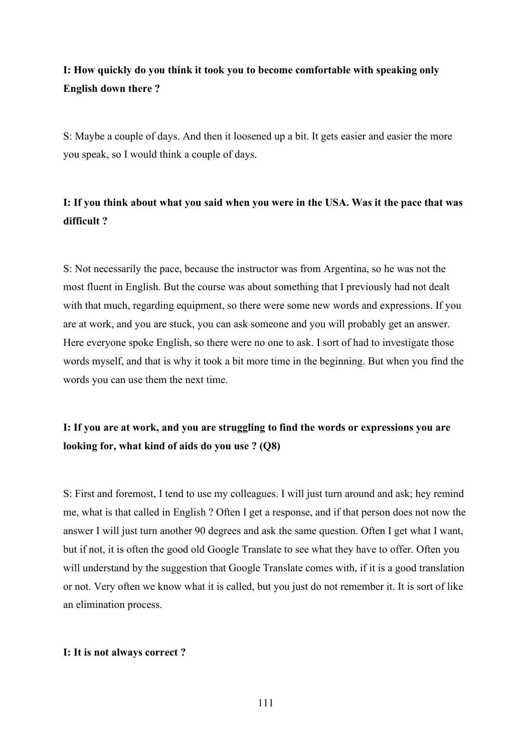# **I: How quickly do you think it took you to become comfortable with speaking only English down there ?**

S: Maybe a couple of days. And then it loosened up a bit. It gets easier and easier the more you speak, so I would think a couple of days.

# **I: If you think about what you said when you were in the USA. Was it the pace that was difficult ?**

S: Not necessarily the pace, because the instructor was from Argentina, so he was not the most fluent in English. But the course was about something that I previously had not dealt with that much, regarding equipment, so there were some new words and expressions. If you are at work, and you are stuck, you can ask someone and you will probably get an answer. Here everyone spoke English, so there were no one to ask. I sort of had to investigate those words myself, and that is why it took a bit more time in the beginning. But when you find the words you can use them the next time.

# **I: If you are at work, and you are struggling to find the words or expressions you are looking for, what kind of aids do you use ? (Q8)**

S: First and foremost, I tend to use my colleagues. I will just turn around and ask; hey remind me, what is that called in English ? Often I get a response, and if that person does not now the answer I will just turn another 90 degrees and ask the same question. Often I get what I want, but if not, it is often the good old Google Translate to see what they have to offer. Often you will understand by the suggestion that Google Translate comes with, if it is a good translation or not. Very often we know what it is called, but you just do not remember it. It is sort of like an elimination process.

## **I: It is not always correct ?**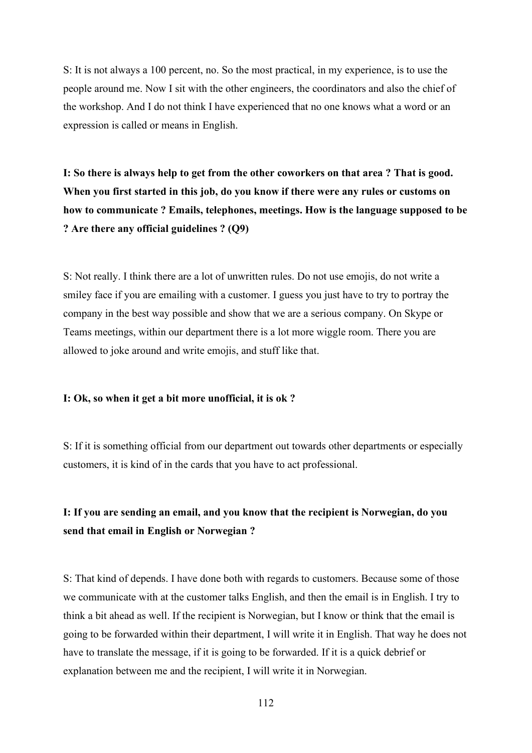S: It is not always a 100 percent, no. So the most practical, in my experience, is to use the people around me. Now I sit with the other engineers, the coordinators and also the chief of the workshop. And I do not think I have experienced that no one knows what a word or an expression is called or means in English.

**I: So there is always help to get from the other coworkers on that area ? That is good. When you first started in this job, do you know if there were any rules or customs on how to communicate ? Emails, telephones, meetings. How is the language supposed to be ? Are there any official guidelines ? (Q9)**

S: Not really. I think there are a lot of unwritten rules. Do not use emojis, do not write a smiley face if you are emailing with a customer. I guess you just have to try to portray the company in the best way possible and show that we are a serious company. On Skype or Teams meetings, within our department there is a lot more wiggle room. There you are allowed to joke around and write emojis, and stuff like that.

### **I: Ok, so when it get a bit more unofficial, it is ok ?**

S: If it is something official from our department out towards other departments or especially customers, it is kind of in the cards that you have to act professional.

## **I: If you are sending an email, and you know that the recipient is Norwegian, do you send that email in English or Norwegian ?**

S: That kind of depends. I have done both with regards to customers. Because some of those we communicate with at the customer talks English, and then the email is in English. I try to think a bit ahead as well. If the recipient is Norwegian, but I know or think that the email is going to be forwarded within their department, I will write it in English. That way he does not have to translate the message, if it is going to be forwarded. If it is a quick debrief or explanation between me and the recipient, I will write it in Norwegian.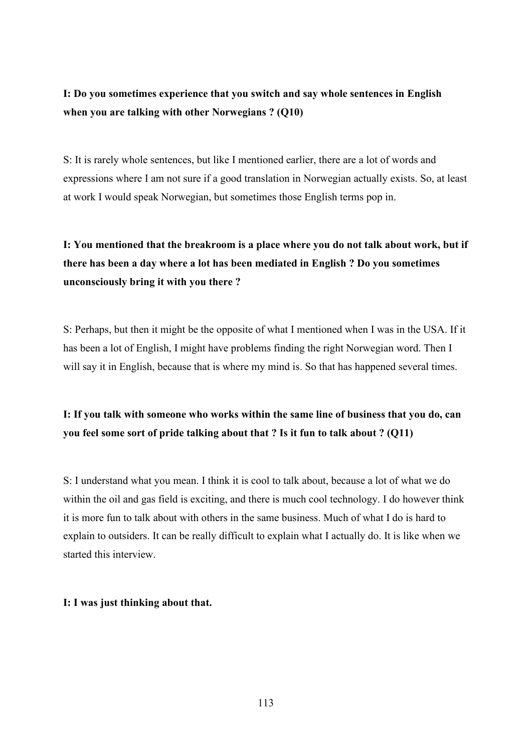**I: Do you sometimes experience that you switch and say whole sentences in English when you are talking with other Norwegians ? (Q10)**

S: It is rarely whole sentences, but like I mentioned earlier, there are a lot of words and expressions where I am not sure if a good translation in Norwegian actually exists. So, at least at work I would speak Norwegian, but sometimes those English terms pop in.

# **I: You mentioned that the breakroom is a place where you do not talk about work, but if there has been a day where a lot has been mediated in English ? Do you sometimes unconsciously bring it with you there ?**

S: Perhaps, but then it might be the opposite of what I mentioned when I was in the USA. If it has been a lot of English, I might have problems finding the right Norwegian word. Then I will say it in English, because that is where my mind is. So that has happened several times.

# **I: If you talk with someone who works within the same line of business that you do, can you feel some sort of pride talking about that ? Is it fun to talk about ? (Q11)**

S: I understand what you mean. I think it is cool to talk about, because a lot of what we do within the oil and gas field is exciting, and there is much cool technology. I do however think it is more fun to talk about with others in the same business. Much of what I do is hard to explain to outsiders. It can be really difficult to explain what I actually do. It is like when we started this interview.

## **I: I was just thinking about that.**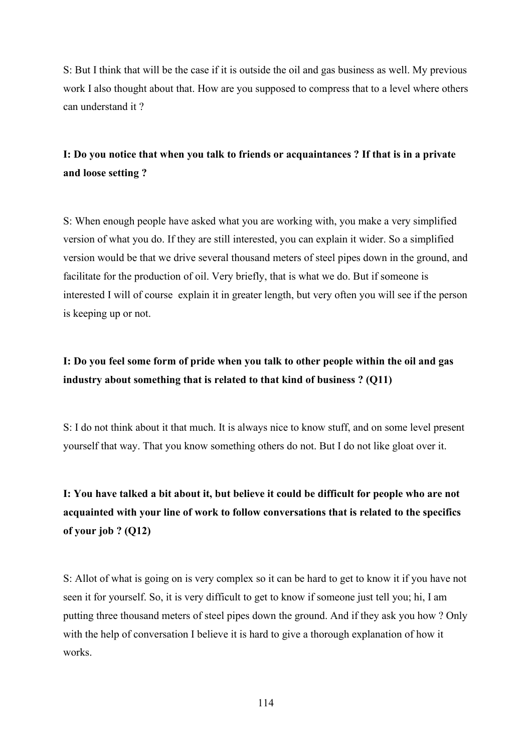S: But I think that will be the case if it is outside the oil and gas business as well. My previous work I also thought about that. How are you supposed to compress that to a level where others can understand it ?

## **I: Do you notice that when you talk to friends or acquaintances ? If that is in a private and loose setting ?**

S: When enough people have asked what you are working with, you make a very simplified version of what you do. If they are still interested, you can explain it wider. So a simplified version would be that we drive several thousand meters of steel pipes down in the ground, and facilitate for the production of oil. Very briefly, that is what we do. But if someone is interested I will of course explain it in greater length, but very often you will see if the person is keeping up or not.

# **I: Do you feel some form of pride when you talk to other people within the oil and gas industry about something that is related to that kind of business ? (Q11)**

S: I do not think about it that much. It is always nice to know stuff, and on some level present yourself that way. That you know something others do not. But I do not like gloat over it.

# **I: You have talked a bit about it, but believe it could be difficult for people who are not acquainted with your line of work to follow conversations that is related to the specifics of your job ? (Q12)**

S: Allot of what is going on is very complex so it can be hard to get to know it if you have not seen it for yourself. So, it is very difficult to get to know if someone just tell you; hi, I am putting three thousand meters of steel pipes down the ground. And if they ask you how ? Only with the help of conversation I believe it is hard to give a thorough explanation of how it works.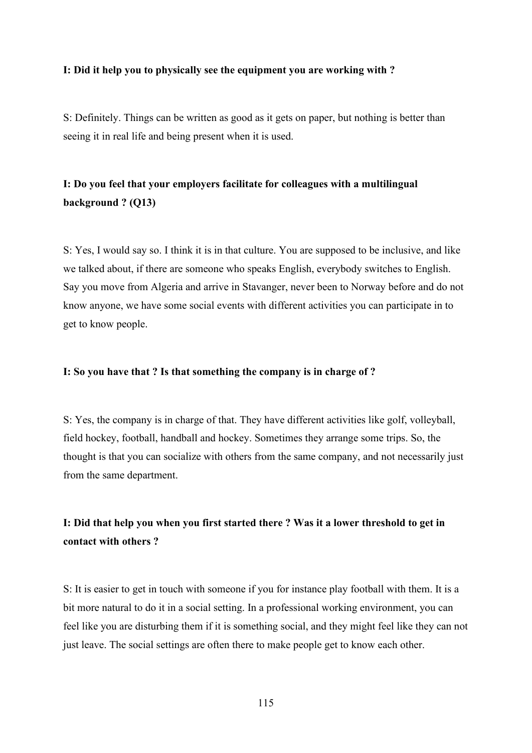### **I: Did it help you to physically see the equipment you are working with ?**

S: Definitely. Things can be written as good as it gets on paper, but nothing is better than seeing it in real life and being present when it is used.

# **I: Do you feel that your employers facilitate for colleagues with a multilingual background ? (Q13)**

S: Yes, I would say so. I think it is in that culture. You are supposed to be inclusive, and like we talked about, if there are someone who speaks English, everybody switches to English. Say you move from Algeria and arrive in Stavanger, never been to Norway before and do not know anyone, we have some social events with different activities you can participate in to get to know people.

### **I: So you have that ? Is that something the company is in charge of ?**

S: Yes, the company is in charge of that. They have different activities like golf, volleyball, field hockey, football, handball and hockey. Sometimes they arrange some trips. So, the thought is that you can socialize with others from the same company, and not necessarily just from the same department.

# **I: Did that help you when you first started there ? Was it a lower threshold to get in contact with others ?**

S: It is easier to get in touch with someone if you for instance play football with them. It is a bit more natural to do it in a social setting. In a professional working environment, you can feel like you are disturbing them if it is something social, and they might feel like they can not just leave. The social settings are often there to make people get to know each other.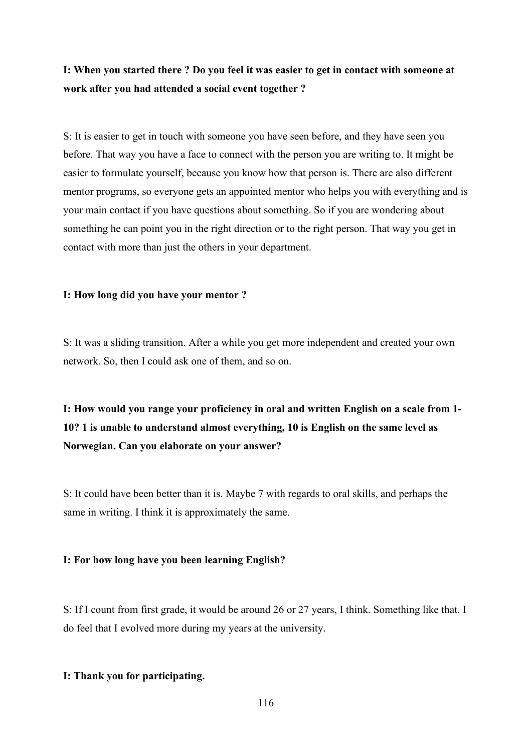# **I: When you started there ? Do you feel it was easier to get in contact with someone at work after you had attended a social event together ?**

S: It is easier to get in touch with someone you have seen before, and they have seen you before. That way you have a face to connect with the person you are writing to. It might be easier to formulate yourself, because you know how that person is. There are also different mentor programs, so everyone gets an appointed mentor who helps you with everything and is your main contact if you have questions about something. So if you are wondering about something he can point you in the right direction or to the right person. That way you get in contact with more than just the others in your department.

### **I: How long did you have your mentor ?**

S: It was a sliding transition. After a while you get more independent and created your own network. So, then I could ask one of them, and so on.

**I: How would you range your proficiency in oral and written English on a scale from 1- 10? 1 is unable to understand almost everything, 10 is English on the same level as Norwegian. Can you elaborate on your answer?**

S: It could have been better than it is. Maybe 7 with regards to oral skills, and perhaps the same in writing. I think it is approximately the same.

### **I: For how long have you been learning English?**

S: If I count from first grade, it would be around 26 or 27 years, I think. Something like that. I do feel that I evolved more during my years at the university.

## **I: Thank you for participating.**

116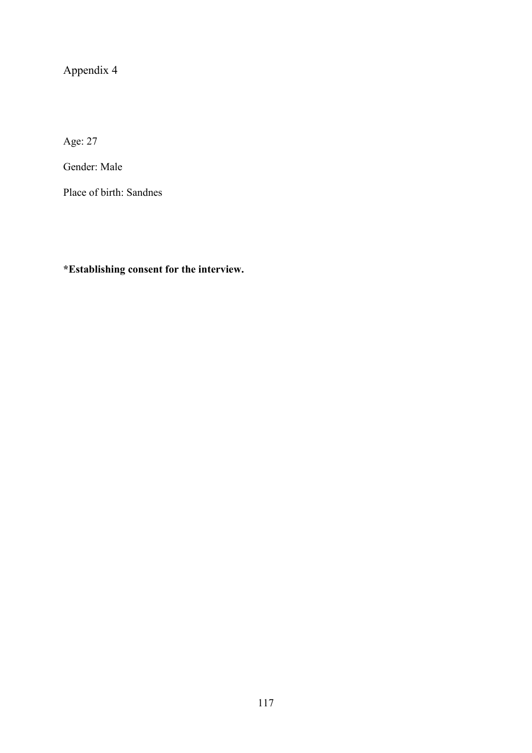# Appendix 4

Age: 27

Gender: Male

Place of birth: Sandnes

**\*Establishing consent for the interview.**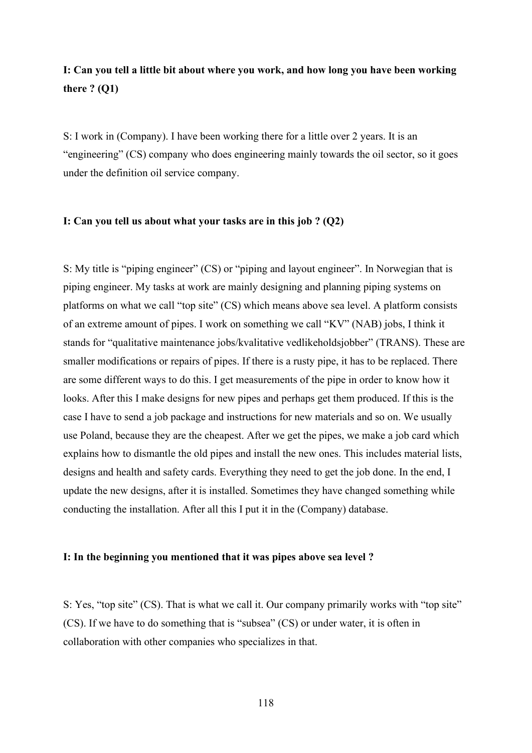## **I: Can you tell a little bit about where you work, and how long you have been working there ? (Q1)**

S: I work in (Company). I have been working there for a little over 2 years. It is an "engineering" (CS) company who does engineering mainly towards the oil sector, so it goes under the definition oil service company.

### **I: Can you tell us about what your tasks are in this job ? (Q2)**

S: My title is "piping engineer" (CS) or "piping and layout engineer". In Norwegian that is piping engineer. My tasks at work are mainly designing and planning piping systems on platforms on what we call "top site" (CS) which means above sea level. A platform consists of an extreme amount of pipes. I work on something we call "KV" (NAB) jobs, I think it stands for "qualitative maintenance jobs/kvalitative vedlikeholdsjobber" (TRANS). These are smaller modifications or repairs of pipes. If there is a rusty pipe, it has to be replaced. There are some different ways to do this. I get measurements of the pipe in order to know how it looks. After this I make designs for new pipes and perhaps get them produced. If this is the case I have to send a job package and instructions for new materials and so on. We usually use Poland, because they are the cheapest. After we get the pipes, we make a job card which explains how to dismantle the old pipes and install the new ones. This includes material lists, designs and health and safety cards. Everything they need to get the job done. In the end, I update the new designs, after it is installed. Sometimes they have changed something while conducting the installation. After all this I put it in the (Company) database.

### **I: In the beginning you mentioned that it was pipes above sea level ?**

S: Yes, "top site" (CS). That is what we call it. Our company primarily works with "top site" (CS). If we have to do something that is "subsea" (CS) or under water, it is often in collaboration with other companies who specializes in that.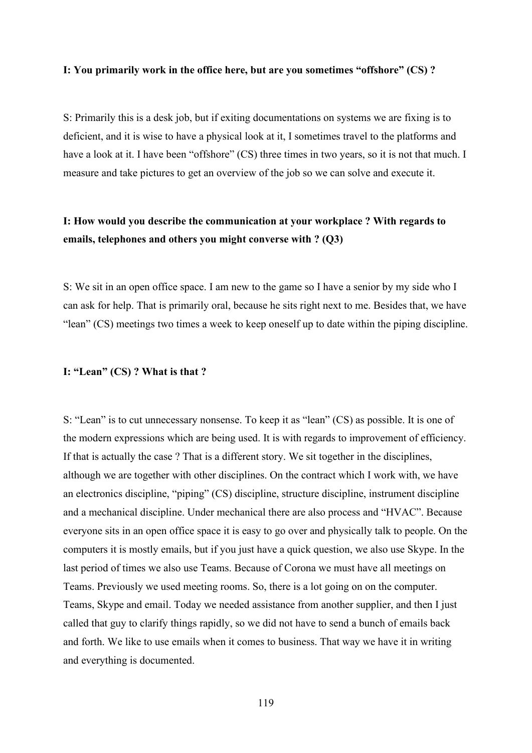#### **I: You primarily work in the office here, but are you sometimes "offshore" (CS) ?**

S: Primarily this is a desk job, but if exiting documentations on systems we are fixing is to deficient, and it is wise to have a physical look at it, I sometimes travel to the platforms and have a look at it. I have been "offshore" (CS) three times in two years, so it is not that much. I measure and take pictures to get an overview of the job so we can solve and execute it.

## **I: How would you describe the communication at your workplace ? With regards to emails, telephones and others you might converse with ? (Q3)**

S: We sit in an open office space. I am new to the game so I have a senior by my side who I can ask for help. That is primarily oral, because he sits right next to me. Besides that, we have "lean" (CS) meetings two times a week to keep oneself up to date within the piping discipline.

### **I: "Lean" (CS) ? What is that ?**

S: "Lean" is to cut unnecessary nonsense. To keep it as "lean" (CS) as possible. It is one of the modern expressions which are being used. It is with regards to improvement of efficiency. If that is actually the case ? That is a different story. We sit together in the disciplines, although we are together with other disciplines. On the contract which I work with, we have an electronics discipline, "piping" (CS) discipline, structure discipline, instrument discipline and a mechanical discipline. Under mechanical there are also process and "HVAC". Because everyone sits in an open office space it is easy to go over and physically talk to people. On the computers it is mostly emails, but if you just have a quick question, we also use Skype. In the last period of times we also use Teams. Because of Corona we must have all meetings on Teams. Previously we used meeting rooms. So, there is a lot going on on the computer. Teams, Skype and email. Today we needed assistance from another supplier, and then I just called that guy to clarify things rapidly, so we did not have to send a bunch of emails back and forth. We like to use emails when it comes to business. That way we have it in writing and everything is documented.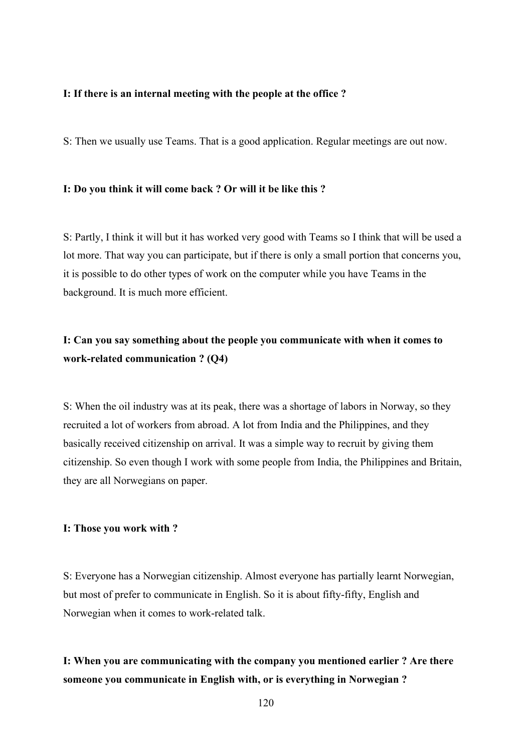### **I: If there is an internal meeting with the people at the office ?**

S: Then we usually use Teams. That is a good application. Regular meetings are out now.

### **I: Do you think it will come back ? Or will it be like this ?**

S: Partly, I think it will but it has worked very good with Teams so I think that will be used a lot more. That way you can participate, but if there is only a small portion that concerns you, it is possible to do other types of work on the computer while you have Teams in the background. It is much more efficient.

## **I: Can you say something about the people you communicate with when it comes to work-related communication ? (Q4)**

S: When the oil industry was at its peak, there was a shortage of labors in Norway, so they recruited a lot of workers from abroad. A lot from India and the Philippines, and they basically received citizenship on arrival. It was a simple way to recruit by giving them citizenship. So even though I work with some people from India, the Philippines and Britain, they are all Norwegians on paper.

### **I: Those you work with ?**

S: Everyone has a Norwegian citizenship. Almost everyone has partially learnt Norwegian, but most of prefer to communicate in English. So it is about fifty-fifty, English and Norwegian when it comes to work-related talk.

## **I: When you are communicating with the company you mentioned earlier ? Are there someone you communicate in English with, or is everything in Norwegian ?**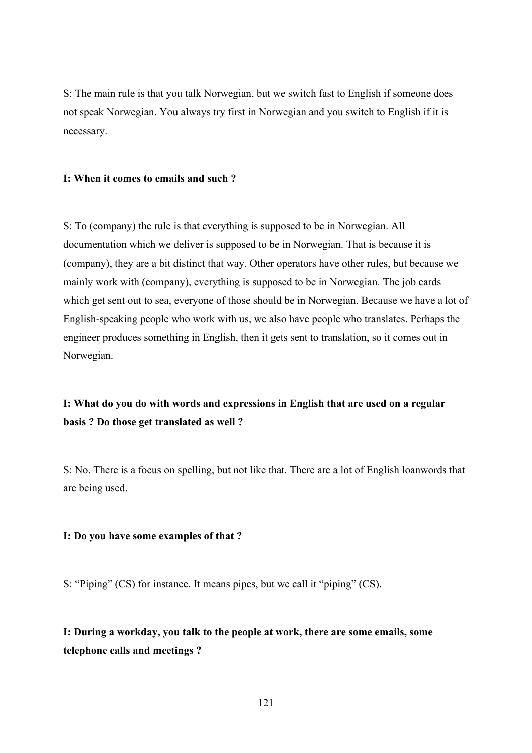S: The main rule is that you talk Norwegian, but we switch fast to English if someone does not speak Norwegian. You always try first in Norwegian and you switch to English if it is necessary.

### **I: When it comes to emails and such ?**

S: To (company) the rule is that everything is supposed to be in Norwegian. All documentation which we deliver is supposed to be in Norwegian. That is because it is (company), they are a bit distinct that way. Other operators have other rules, but because we mainly work with (company), everything is supposed to be in Norwegian. The job cards which get sent out to sea, everyone of those should be in Norwegian. Because we have a lot of English-speaking people who work with us, we also have people who translates. Perhaps the engineer produces something in English, then it gets sent to translation, so it comes out in Norwegian.

## **I: What do you do with words and expressions in English that are used on a regular basis ? Do those get translated as well ?**

S: No. There is a focus on spelling, but not like that. There are a lot of English loanwords that are being used.

### **I: Do you have some examples of that ?**

S: "Piping" (CS) for instance. It means pipes, but we call it "piping" (CS).

**I: During a workday, you talk to the people at work, there are some emails, some telephone calls and meetings ?**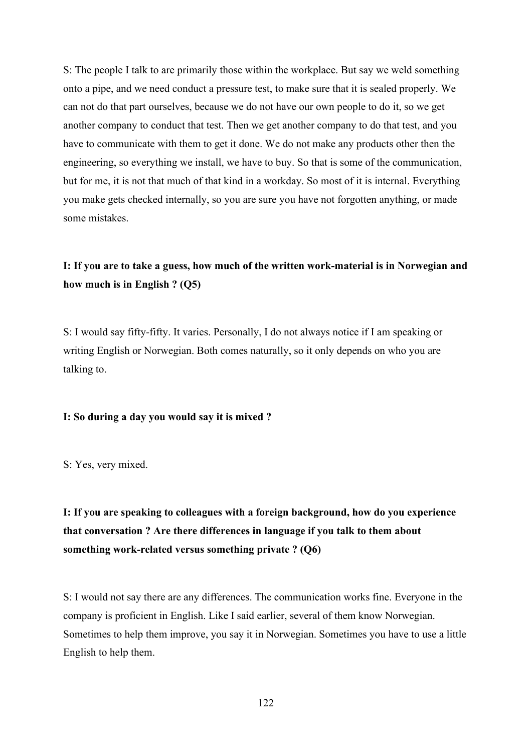S: The people I talk to are primarily those within the workplace. But say we weld something onto a pipe, and we need conduct a pressure test, to make sure that it is sealed properly. We can not do that part ourselves, because we do not have our own people to do it, so we get another company to conduct that test. Then we get another company to do that test, and you have to communicate with them to get it done. We do not make any products other then the engineering, so everything we install, we have to buy. So that is some of the communication, but for me, it is not that much of that kind in a workday. So most of it is internal. Everything you make gets checked internally, so you are sure you have not forgotten anything, or made some mistakes.

# **I: If you are to take a guess, how much of the written work-material is in Norwegian and how much is in English ? (Q5)**

S: I would say fifty-fifty. It varies. Personally, I do not always notice if I am speaking or writing English or Norwegian. Both comes naturally, so it only depends on who you are talking to.

### **I: So during a day you would say it is mixed ?**

S: Yes, very mixed.

# **I: If you are speaking to colleagues with a foreign background, how do you experience that conversation ? Are there differences in language if you talk to them about something work-related versus something private ? (Q6)**

S: I would not say there are any differences. The communication works fine. Everyone in the company is proficient in English. Like I said earlier, several of them know Norwegian. Sometimes to help them improve, you say it in Norwegian. Sometimes you have to use a little English to help them.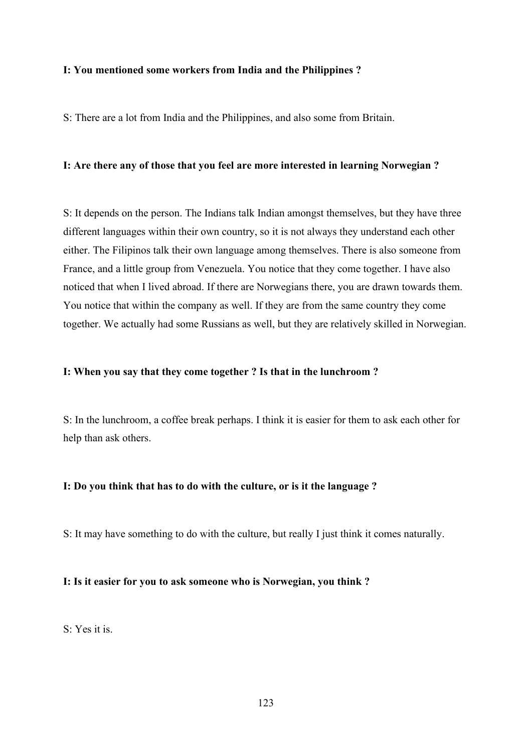### **I: You mentioned some workers from India and the Philippines ?**

S: There are a lot from India and the Philippines, and also some from Britain.

### **I: Are there any of those that you feel are more interested in learning Norwegian ?**

S: It depends on the person. The Indians talk Indian amongst themselves, but they have three different languages within their own country, so it is not always they understand each other either. The Filipinos talk their own language among themselves. There is also someone from France, and a little group from Venezuela. You notice that they come together. I have also noticed that when I lived abroad. If there are Norwegians there, you are drawn towards them. You notice that within the company as well. If they are from the same country they come together. We actually had some Russians as well, but they are relatively skilled in Norwegian.

### **I: When you say that they come together ? Is that in the lunchroom ?**

S: In the lunchroom, a coffee break perhaps. I think it is easier for them to ask each other for help than ask others.

### **I: Do you think that has to do with the culture, or is it the language ?**

S: It may have something to do with the culture, but really I just think it comes naturally.

### **I: Is it easier for you to ask someone who is Norwegian, you think ?**

S: Yes it is.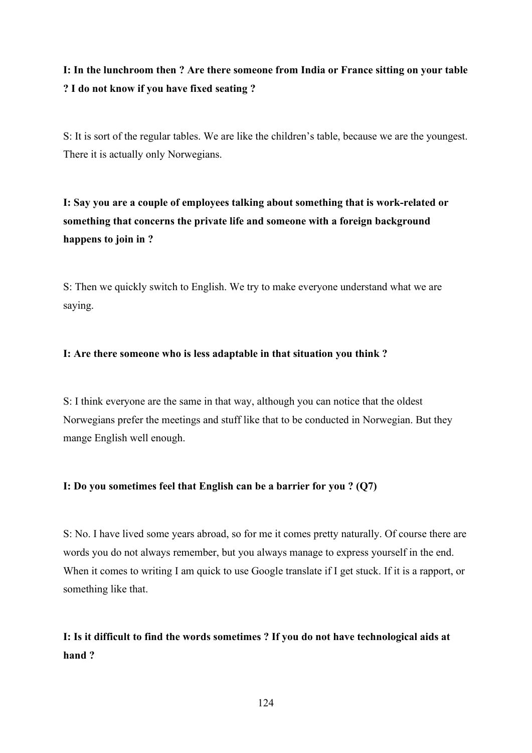# **I: In the lunchroom then ? Are there someone from India or France sitting on your table ? I do not know if you have fixed seating ?**

S: It is sort of the regular tables. We are like the children's table, because we are the youngest. There it is actually only Norwegians.

**I: Say you are a couple of employees talking about something that is work-related or something that concerns the private life and someone with a foreign background happens to join in ?**

S: Then we quickly switch to English. We try to make everyone understand what we are saying.

## **I: Are there someone who is less adaptable in that situation you think ?**

S: I think everyone are the same in that way, although you can notice that the oldest Norwegians prefer the meetings and stuff like that to be conducted in Norwegian. But they mange English well enough.

## **I: Do you sometimes feel that English can be a barrier for you ? (Q7)**

S: No. I have lived some years abroad, so for me it comes pretty naturally. Of course there are words you do not always remember, but you always manage to express yourself in the end. When it comes to writing I am quick to use Google translate if I get stuck. If it is a rapport, or something like that.

# **I: Is it difficult to find the words sometimes ? If you do not have technological aids at hand ?**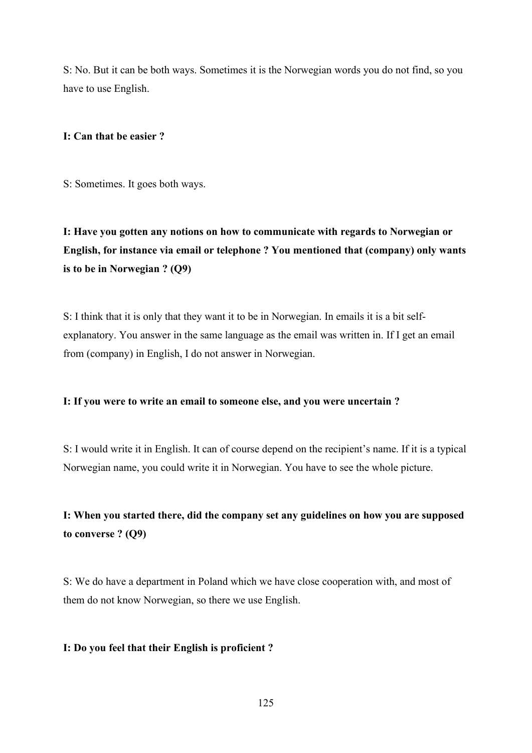S: No. But it can be both ways. Sometimes it is the Norwegian words you do not find, so you have to use English.

## **I: Can that be easier ?**

S: Sometimes. It goes both ways.

**I: Have you gotten any notions on how to communicate with regards to Norwegian or English, for instance via email or telephone ? You mentioned that (company) only wants is to be in Norwegian ? (Q9)**

S: I think that it is only that they want it to be in Norwegian. In emails it is a bit selfexplanatory. You answer in the same language as the email was written in. If I get an email from (company) in English, I do not answer in Norwegian.

## **I: If you were to write an email to someone else, and you were uncertain ?**

S: I would write it in English. It can of course depend on the recipient's name. If it is a typical Norwegian name, you could write it in Norwegian. You have to see the whole picture.

# **I: When you started there, did the company set any guidelines on how you are supposed to converse ? (Q9)**

S: We do have a department in Poland which we have close cooperation with, and most of them do not know Norwegian, so there we use English.

## **I: Do you feel that their English is proficient ?**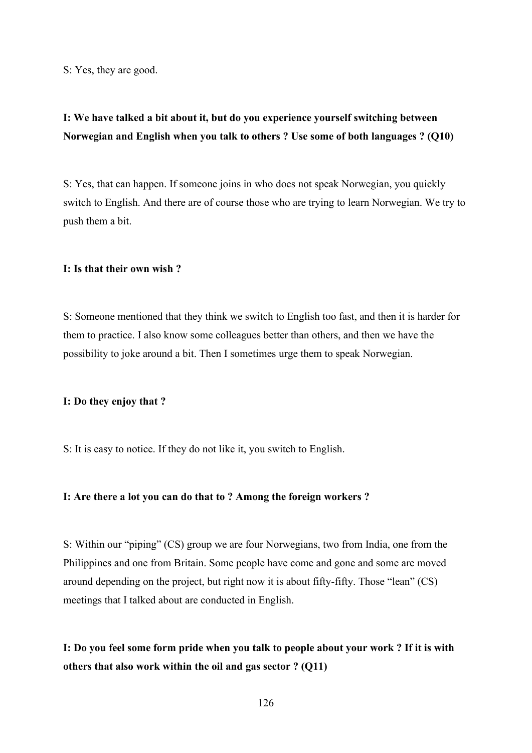S: Yes, they are good.

## **I: We have talked a bit about it, but do you experience yourself switching between Norwegian and English when you talk to others ? Use some of both languages ? (Q10)**

S: Yes, that can happen. If someone joins in who does not speak Norwegian, you quickly switch to English. And there are of course those who are trying to learn Norwegian. We try to push them a bit.

## **I: Is that their own wish ?**

S: Someone mentioned that they think we switch to English too fast, and then it is harder for them to practice. I also know some colleagues better than others, and then we have the possibility to joke around a bit. Then I sometimes urge them to speak Norwegian.

### **I: Do they enjoy that ?**

S: It is easy to notice. If they do not like it, you switch to English.

### **I: Are there a lot you can do that to ? Among the foreign workers ?**

S: Within our "piping" (CS) group we are four Norwegians, two from India, one from the Philippines and one from Britain. Some people have come and gone and some are moved around depending on the project, but right now it is about fifty-fifty. Those "lean" (CS) meetings that I talked about are conducted in English.

**I: Do you feel some form pride when you talk to people about your work ? If it is with others that also work within the oil and gas sector ? (Q11)**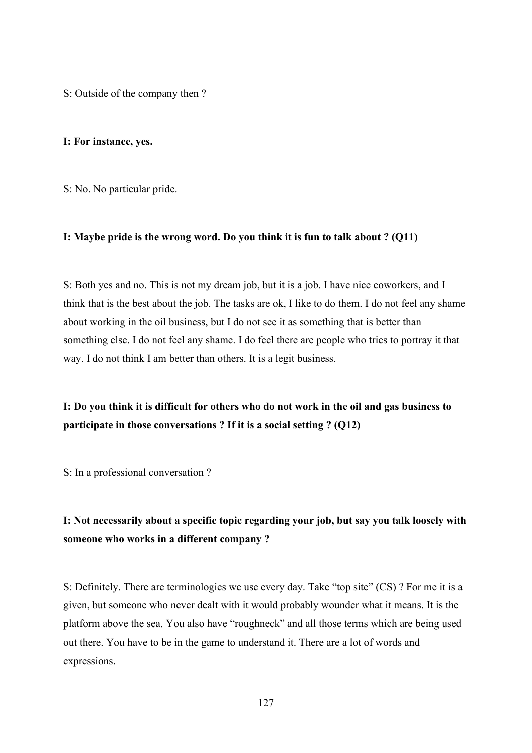S: Outside of the company then ?

### **I: For instance, yes.**

S: No. No particular pride.

### **I: Maybe pride is the wrong word. Do you think it is fun to talk about ? (Q11)**

S: Both yes and no. This is not my dream job, but it is a job. I have nice coworkers, and I think that is the best about the job. The tasks are ok, I like to do them. I do not feel any shame about working in the oil business, but I do not see it as something that is better than something else. I do not feel any shame. I do feel there are people who tries to portray it that way. I do not think I am better than others. It is a legit business.

## **I: Do you think it is difficult for others who do not work in the oil and gas business to participate in those conversations ? If it is a social setting ? (Q12)**

S: In a professional conversation ?

# **I: Not necessarily about a specific topic regarding your job, but say you talk loosely with someone who works in a different company ?**

S: Definitely. There are terminologies we use every day. Take "top site" (CS) ? For me it is a given, but someone who never dealt with it would probably wounder what it means. It is the platform above the sea. You also have "roughneck" and all those terms which are being used out there. You have to be in the game to understand it. There are a lot of words and expressions.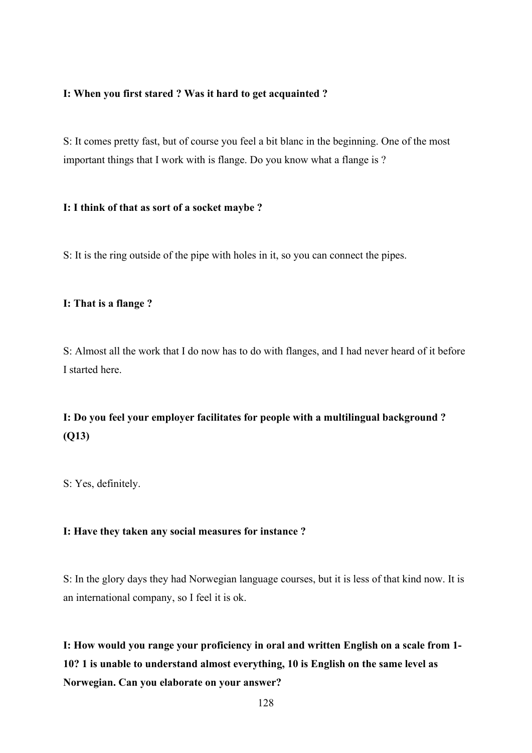## **I: When you first stared ? Was it hard to get acquainted ?**

S: It comes pretty fast, but of course you feel a bit blanc in the beginning. One of the most important things that I work with is flange. Do you know what a flange is ?

### **I: I think of that as sort of a socket maybe ?**

S: It is the ring outside of the pipe with holes in it, so you can connect the pipes.

## **I: That is a flange ?**

S: Almost all the work that I do now has to do with flanges, and I had never heard of it before I started here.

# **I: Do you feel your employer facilitates for people with a multilingual background ? (Q13)**

S: Yes, definitely.

### **I: Have they taken any social measures for instance ?**

S: In the glory days they had Norwegian language courses, but it is less of that kind now. It is an international company, so I feel it is ok.

**I: How would you range your proficiency in oral and written English on a scale from 1- 10? 1 is unable to understand almost everything, 10 is English on the same level as Norwegian. Can you elaborate on your answer?**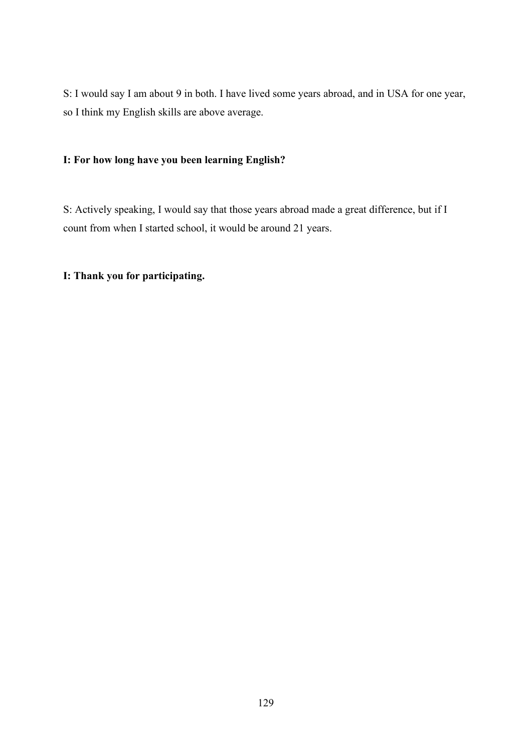S: I would say I am about 9 in both. I have lived some years abroad, and in USA for one year, so I think my English skills are above average.

## **I: For how long have you been learning English?**

S: Actively speaking, I would say that those years abroad made a great difference, but if I count from when I started school, it would be around 21 years.

# **I: Thank you for participating.**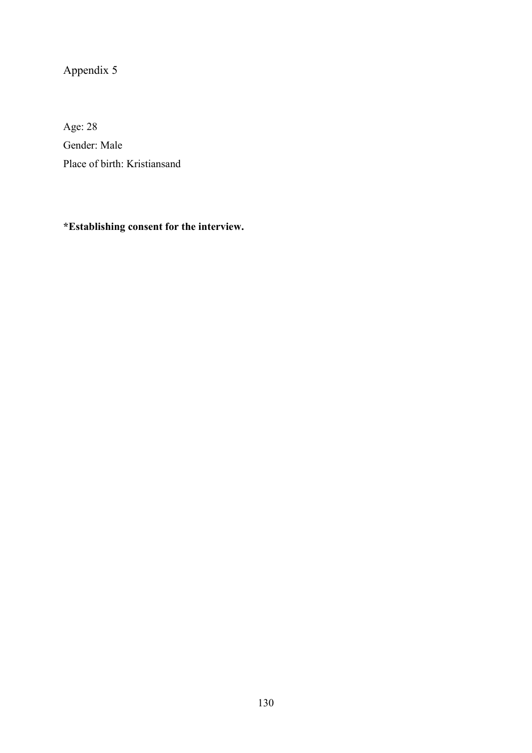# Appendix 5

Age: 28 Gender: Male Place of birth: Kristiansand

# **\*Establishing consent for the interview.**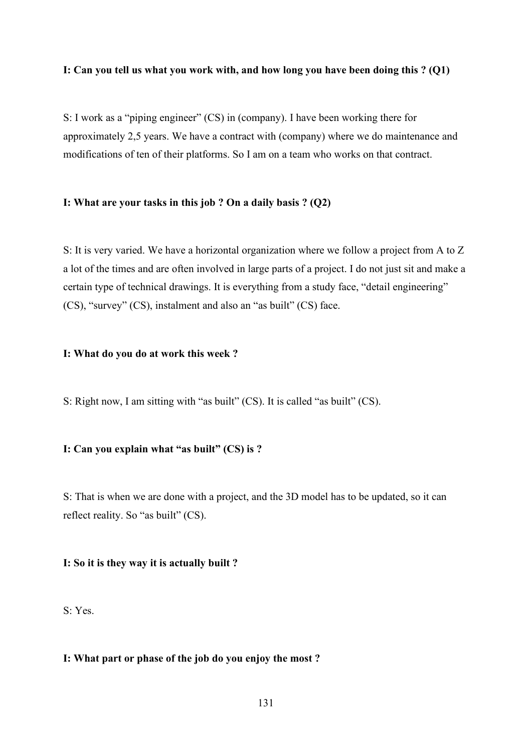### **I: Can you tell us what you work with, and how long you have been doing this ? (Q1)**

S: I work as a "piping engineer" (CS) in (company). I have been working there for approximately 2,5 years. We have a contract with (company) where we do maintenance and modifications of ten of their platforms. So I am on a team who works on that contract.

## **I: What are your tasks in this job ? On a daily basis ? (Q2)**

S: It is very varied. We have a horizontal organization where we follow a project from A to Z a lot of the times and are often involved in large parts of a project. I do not just sit and make a certain type of technical drawings. It is everything from a study face, "detail engineering" (CS), "survey" (CS), instalment and also an "as built" (CS) face.

### **I: What do you do at work this week ?**

S: Right now, I am sitting with "as built" (CS). It is called "as built" (CS).

### **I: Can you explain what "as built" (CS) is ?**

S: That is when we are done with a project, and the 3D model has to be updated, so it can reflect reality. So "as built" (CS).

## **I: So it is they way it is actually built ?**

S: Yes.

## **I: What part or phase of the job do you enjoy the most ?**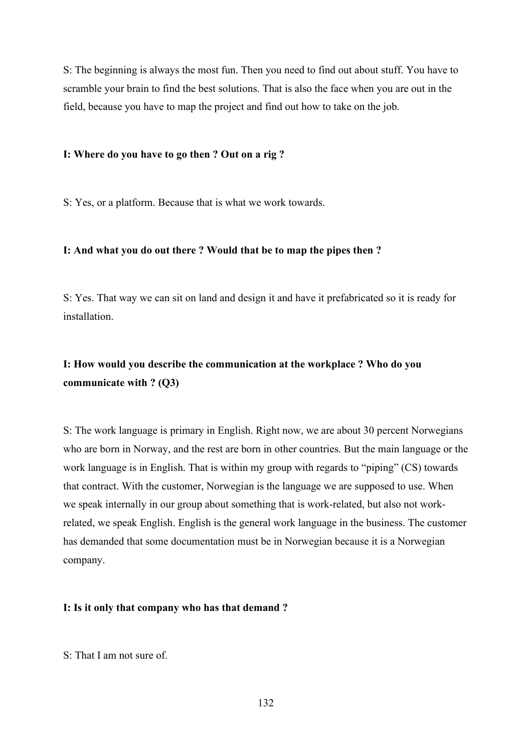S: The beginning is always the most fun. Then you need to find out about stuff. You have to scramble your brain to find the best solutions. That is also the face when you are out in the field, because you have to map the project and find out how to take on the job.

### **I: Where do you have to go then ? Out on a rig ?**

S: Yes, or a platform. Because that is what we work towards.

### **I: And what you do out there ? Would that be to map the pipes then ?**

S: Yes. That way we can sit on land and design it and have it prefabricated so it is ready for installation.

# **I: How would you describe the communication at the workplace ? Who do you communicate with ? (Q3)**

S: The work language is primary in English. Right now, we are about 30 percent Norwegians who are born in Norway, and the rest are born in other countries. But the main language or the work language is in English. That is within my group with regards to "piping" (CS) towards that contract. With the customer, Norwegian is the language we are supposed to use. When we speak internally in our group about something that is work-related, but also not workrelated, we speak English. English is the general work language in the business. The customer has demanded that some documentation must be in Norwegian because it is a Norwegian company.

### **I: Is it only that company who has that demand ?**

S: That I am not sure of.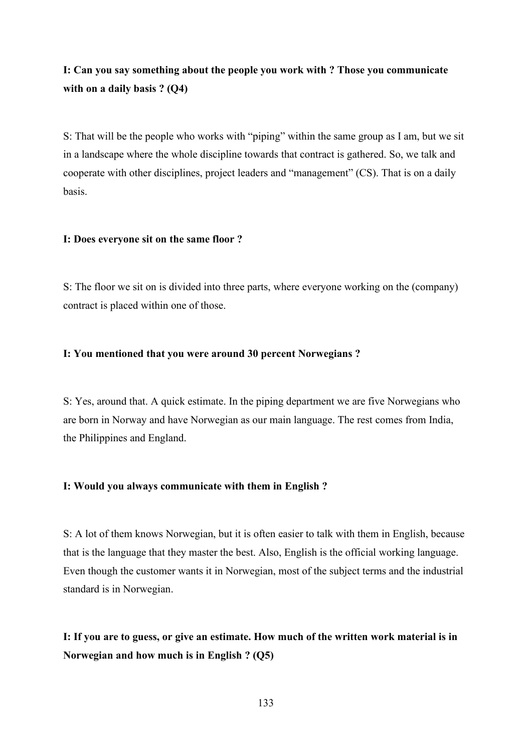# **I: Can you say something about the people you work with ? Those you communicate with on a daily basis ? (Q4)**

S: That will be the people who works with "piping" within the same group as I am, but we sit in a landscape where the whole discipline towards that contract is gathered. So, we talk and cooperate with other disciplines, project leaders and "management" (CS). That is on a daily basis.

### **I: Does everyone sit on the same floor ?**

S: The floor we sit on is divided into three parts, where everyone working on the (company) contract is placed within one of those.

### **I: You mentioned that you were around 30 percent Norwegians ?**

S: Yes, around that. A quick estimate. In the piping department we are five Norwegians who are born in Norway and have Norwegian as our main language. The rest comes from India, the Philippines and England.

### **I: Would you always communicate with them in English ?**

S: A lot of them knows Norwegian, but it is often easier to talk with them in English, because that is the language that they master the best. Also, English is the official working language. Even though the customer wants it in Norwegian, most of the subject terms and the industrial standard is in Norwegian.

# **I: If you are to guess, or give an estimate. How much of the written work material is in Norwegian and how much is in English ? (Q5)**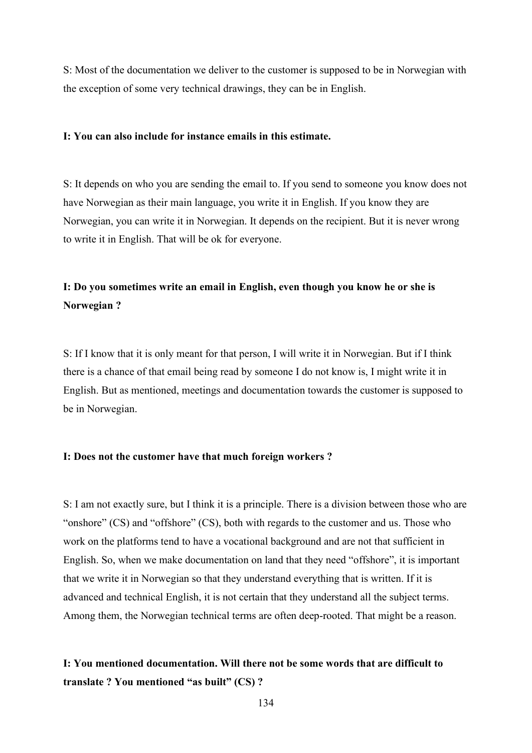S: Most of the documentation we deliver to the customer is supposed to be in Norwegian with the exception of some very technical drawings, they can be in English.

### **I: You can also include for instance emails in this estimate.**

S: It depends on who you are sending the email to. If you send to someone you know does not have Norwegian as their main language, you write it in English. If you know they are Norwegian, you can write it in Norwegian. It depends on the recipient. But it is never wrong to write it in English. That will be ok for everyone.

# **I: Do you sometimes write an email in English, even though you know he or she is Norwegian ?**

S: If I know that it is only meant for that person, I will write it in Norwegian. But if I think there is a chance of that email being read by someone I do not know is, I might write it in English. But as mentioned, meetings and documentation towards the customer is supposed to be in Norwegian.

### **I: Does not the customer have that much foreign workers ?**

S: I am not exactly sure, but I think it is a principle. There is a division between those who are "onshore" (CS) and "offshore" (CS), both with regards to the customer and us. Those who work on the platforms tend to have a vocational background and are not that sufficient in English. So, when we make documentation on land that they need "offshore", it is important that we write it in Norwegian so that they understand everything that is written. If it is advanced and technical English, it is not certain that they understand all the subject terms. Among them, the Norwegian technical terms are often deep-rooted. That might be a reason.

## **I: You mentioned documentation. Will there not be some words that are difficult to translate ? You mentioned "as built" (CS) ?**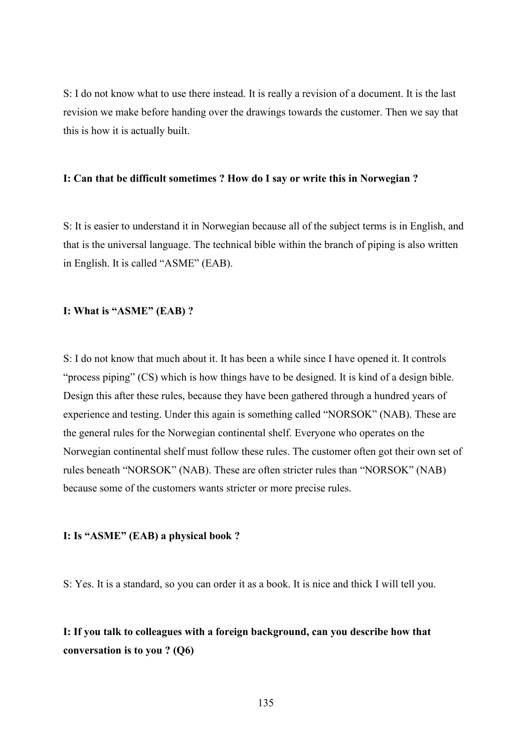S: I do not know what to use there instead. It is really a revision of a document. It is the last revision we make before handing over the drawings towards the customer. Then we say that this is how it is actually built.

### **I: Can that be difficult sometimes ? How do I say or write this in Norwegian ?**

S: It is easier to understand it in Norwegian because all of the subject terms is in English, and that is the universal language. The technical bible within the branch of piping is also written in English. It is called "ASME" (EAB).

### **I: What is "ASME" (EAB) ?**

S: I do not know that much about it. It has been a while since I have opened it. It controls "process piping" (CS) which is how things have to be designed. It is kind of a design bible. Design this after these rules, because they have been gathered through a hundred years of experience and testing. Under this again is something called "NORSOK" (NAB). These are the general rules for the Norwegian continental shelf. Everyone who operates on the Norwegian continental shelf must follow these rules. The customer often got their own set of rules beneath "NORSOK" (NAB). These are often stricter rules than "NORSOK" (NAB) because some of the customers wants stricter or more precise rules.

## **I: Is "ASME" (EAB) a physical book ?**

S: Yes. It is a standard, so you can order it as a book. It is nice and thick I will tell you.

# **I: If you talk to colleagues with a foreign background, can you describe how that conversation is to you ? (Q6)**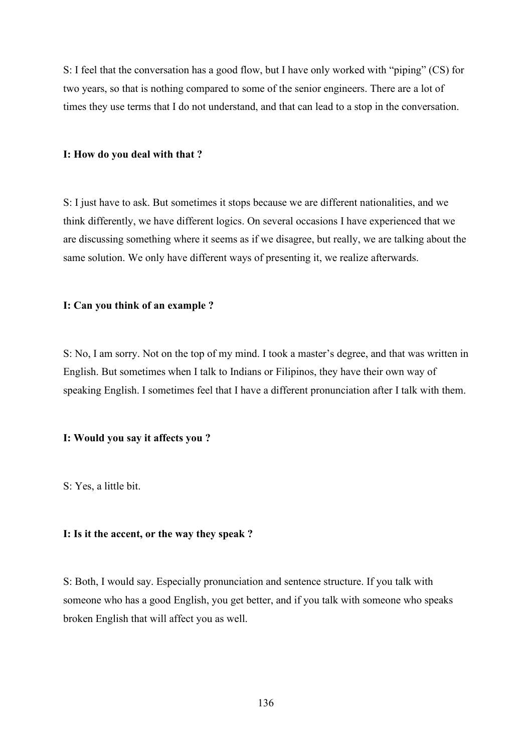S: I feel that the conversation has a good flow, but I have only worked with "piping" (CS) for two years, so that is nothing compared to some of the senior engineers. There are a lot of times they use terms that I do not understand, and that can lead to a stop in the conversation.

### **I: How do you deal with that ?**

S: I just have to ask. But sometimes it stops because we are different nationalities, and we think differently, we have different logics. On several occasions I have experienced that we are discussing something where it seems as if we disagree, but really, we are talking about the same solution. We only have different ways of presenting it, we realize afterwards.

#### **I: Can you think of an example ?**

S: No, I am sorry. Not on the top of my mind. I took a master's degree, and that was written in English. But sometimes when I talk to Indians or Filipinos, they have their own way of speaking English. I sometimes feel that I have a different pronunciation after I talk with them.

### **I: Would you say it affects you ?**

S: Yes, a little bit.

## **I: Is it the accent, or the way they speak ?**

S: Both, I would say. Especially pronunciation and sentence structure. If you talk with someone who has a good English, you get better, and if you talk with someone who speaks broken English that will affect you as well.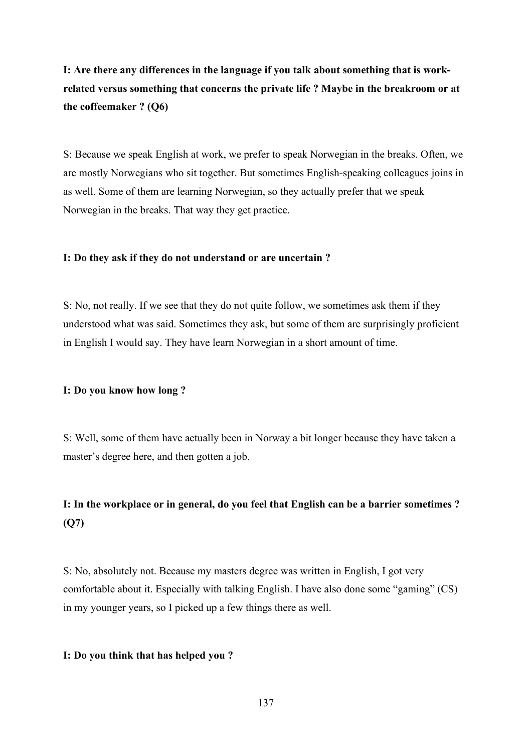# **I: Are there any differences in the language if you talk about something that is workrelated versus something that concerns the private life ? Maybe in the breakroom or at the coffeemaker ? (Q6)**

S: Because we speak English at work, we prefer to speak Norwegian in the breaks. Often, we are mostly Norwegians who sit together. But sometimes English-speaking colleagues joins in as well. Some of them are learning Norwegian, so they actually prefer that we speak Norwegian in the breaks. That way they get practice.

### **I: Do they ask if they do not understand or are uncertain ?**

S: No, not really. If we see that they do not quite follow, we sometimes ask them if they understood what was said. Sometimes they ask, but some of them are surprisingly proficient in English I would say. They have learn Norwegian in a short amount of time.

### **I: Do you know how long ?**

S: Well, some of them have actually been in Norway a bit longer because they have taken a master's degree here, and then gotten a job.

# **I: In the workplace or in general, do you feel that English can be a barrier sometimes ? (Q7)**

S: No, absolutely not. Because my masters degree was written in English, I got very comfortable about it. Especially with talking English. I have also done some "gaming" (CS) in my younger years, so I picked up a few things there as well.

### **I: Do you think that has helped you ?**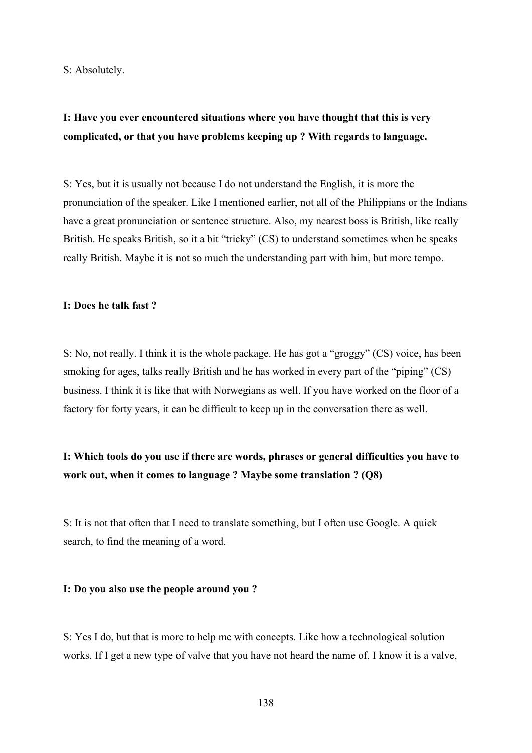S: Absolutely.

## **I: Have you ever encountered situations where you have thought that this is very complicated, or that you have problems keeping up ? With regards to language.**

S: Yes, but it is usually not because I do not understand the English, it is more the pronunciation of the speaker. Like I mentioned earlier, not all of the Philippians or the Indians have a great pronunciation or sentence structure. Also, my nearest boss is British, like really British. He speaks British, so it a bit "tricky" (CS) to understand sometimes when he speaks really British. Maybe it is not so much the understanding part with him, but more tempo.

### **I: Does he talk fast ?**

S: No, not really. I think it is the whole package. He has got a "groggy" (CS) voice, has been smoking for ages, talks really British and he has worked in every part of the "piping" (CS) business. I think it is like that with Norwegians as well. If you have worked on the floor of a factory for forty years, it can be difficult to keep up in the conversation there as well.

## **I: Which tools do you use if there are words, phrases or general difficulties you have to work out, when it comes to language ? Maybe some translation ? (Q8)**

S: It is not that often that I need to translate something, but I often use Google. A quick search, to find the meaning of a word.

#### **I: Do you also use the people around you ?**

S: Yes I do, but that is more to help me with concepts. Like how a technological solution works. If I get a new type of valve that you have not heard the name of. I know it is a valve,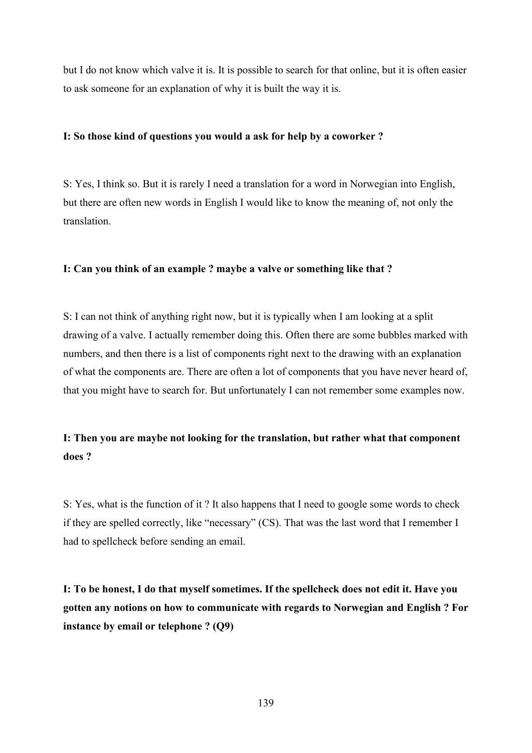but I do not know which valve it is. It is possible to search for that online, but it is often easier to ask someone for an explanation of why it is built the way it is.

### **I: So those kind of questions you would a ask for help by a coworker ?**

S: Yes, I think so. But it is rarely I need a translation for a word in Norwegian into English, but there are often new words in English I would like to know the meaning of, not only the translation.

### **I: Can you think of an example ? maybe a valve or something like that ?**

S: I can not think of anything right now, but it is typically when I am looking at a split drawing of a valve. I actually remember doing this. Often there are some bubbles marked with numbers, and then there is a list of components right next to the drawing with an explanation of what the components are. There are often a lot of components that you have never heard of, that you might have to search for. But unfortunately I can not remember some examples now.

## **I: Then you are maybe not looking for the translation, but rather what that component does ?**

S: Yes, what is the function of it ? It also happens that I need to google some words to check if they are spelled correctly, like "necessary" (CS). That was the last word that I remember I had to spellcheck before sending an email.

**I: To be honest, I do that myself sometimes. If the spellcheck does not edit it. Have you gotten any notions on how to communicate with regards to Norwegian and English ? For instance by email or telephone ? (Q9)**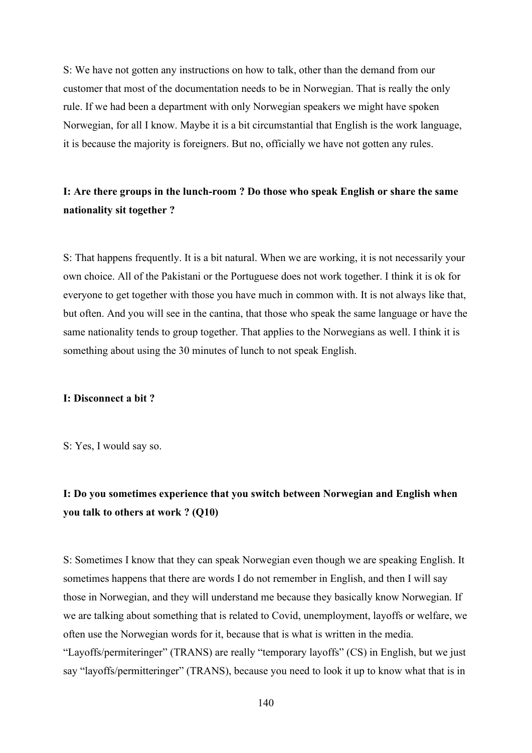S: We have not gotten any instructions on how to talk, other than the demand from our customer that most of the documentation needs to be in Norwegian. That is really the only rule. If we had been a department with only Norwegian speakers we might have spoken Norwegian, for all I know. Maybe it is a bit circumstantial that English is the work language, it is because the majority is foreigners. But no, officially we have not gotten any rules.

## **I: Are there groups in the lunch-room ? Do those who speak English or share the same nationality sit together ?**

S: That happens frequently. It is a bit natural. When we are working, it is not necessarily your own choice. All of the Pakistani or the Portuguese does not work together. I think it is ok for everyone to get together with those you have much in common with. It is not always like that, but often. And you will see in the cantina, that those who speak the same language or have the same nationality tends to group together. That applies to the Norwegians as well. I think it is something about using the 30 minutes of lunch to not speak English.

## **I: Disconnect a bit ?**

S: Yes, I would say so.

# **I: Do you sometimes experience that you switch between Norwegian and English when you talk to others at work ? (Q10)**

S: Sometimes I know that they can speak Norwegian even though we are speaking English. It sometimes happens that there are words I do not remember in English, and then I will say those in Norwegian, and they will understand me because they basically know Norwegian. If we are talking about something that is related to Covid, unemployment, layoffs or welfare, we often use the Norwegian words for it, because that is what is written in the media. "Layoffs/permiteringer" (TRANS) are really "temporary layoffs" (CS) in English, but we just say "layoffs/permitteringer" (TRANS), because you need to look it up to know what that is in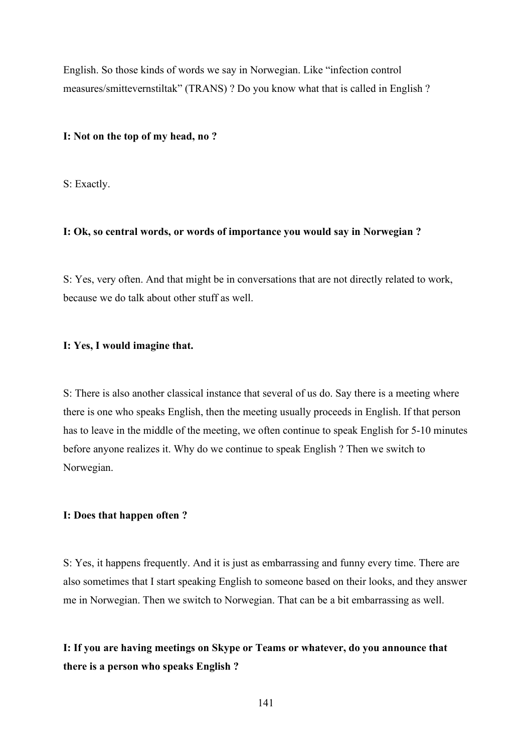English. So those kinds of words we say in Norwegian. Like "infection control measures/smittevernstiltak" (TRANS) ? Do you know what that is called in English ?

### **I: Not on the top of my head, no ?**

S: Exactly.

## **I: Ok, so central words, or words of importance you would say in Norwegian ?**

S: Yes, very often. And that might be in conversations that are not directly related to work, because we do talk about other stuff as well.

#### **I: Yes, I would imagine that.**

S: There is also another classical instance that several of us do. Say there is a meeting where there is one who speaks English, then the meeting usually proceeds in English. If that person has to leave in the middle of the meeting, we often continue to speak English for 5-10 minutes before anyone realizes it. Why do we continue to speak English ? Then we switch to Norwegian.

## **I: Does that happen often ?**

S: Yes, it happens frequently. And it is just as embarrassing and funny every time. There are also sometimes that I start speaking English to someone based on their looks, and they answer me in Norwegian. Then we switch to Norwegian. That can be a bit embarrassing as well.

**I: If you are having meetings on Skype or Teams or whatever, do you announce that there is a person who speaks English ?**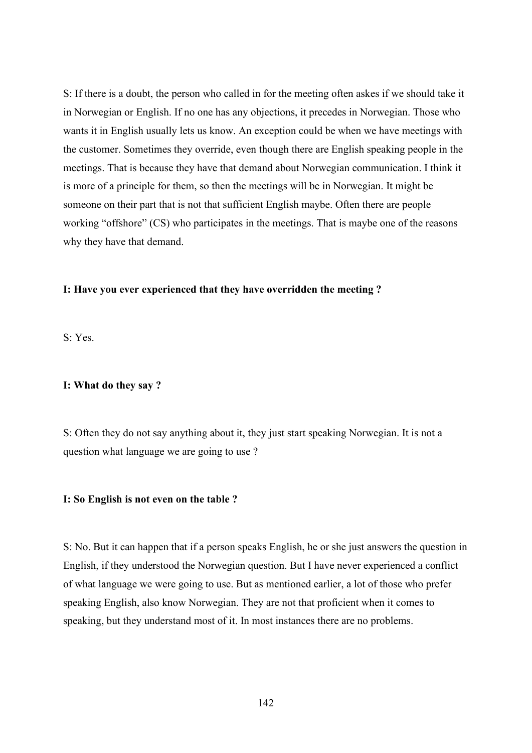S: If there is a doubt, the person who called in for the meeting often askes if we should take it in Norwegian or English. If no one has any objections, it precedes in Norwegian. Those who wants it in English usually lets us know. An exception could be when we have meetings with the customer. Sometimes they override, even though there are English speaking people in the meetings. That is because they have that demand about Norwegian communication. I think it is more of a principle for them, so then the meetings will be in Norwegian. It might be someone on their part that is not that sufficient English maybe. Often there are people working "offshore" (CS) who participates in the meetings. That is maybe one of the reasons why they have that demand.

## **I: Have you ever experienced that they have overridden the meeting ?**

S: Yes.

### **I: What do they say ?**

S: Often they do not say anything about it, they just start speaking Norwegian. It is not a question what language we are going to use ?

### **I: So English is not even on the table ?**

S: No. But it can happen that if a person speaks English, he or she just answers the question in English, if they understood the Norwegian question. But I have never experienced a conflict of what language we were going to use. But as mentioned earlier, a lot of those who prefer speaking English, also know Norwegian. They are not that proficient when it comes to speaking, but they understand most of it. In most instances there are no problems.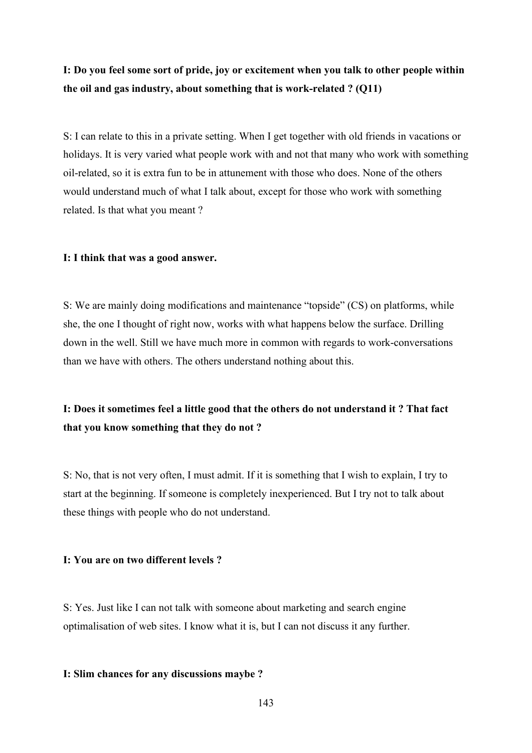## **I: Do you feel some sort of pride, joy or excitement when you talk to other people within the oil and gas industry, about something that is work-related ? (Q11)**

S: I can relate to this in a private setting. When I get together with old friends in vacations or holidays. It is very varied what people work with and not that many who work with something oil-related, so it is extra fun to be in attunement with those who does. None of the others would understand much of what I talk about, except for those who work with something related. Is that what you meant ?

#### **I: I think that was a good answer.**

S: We are mainly doing modifications and maintenance "topside" (CS) on platforms, while she, the one I thought of right now, works with what happens below the surface. Drilling down in the well. Still we have much more in common with regards to work-conversations than we have with others. The others understand nothing about this.

# **I: Does it sometimes feel a little good that the others do not understand it ? That fact that you know something that they do not ?**

S: No, that is not very often, I must admit. If it is something that I wish to explain, I try to start at the beginning. If someone is completely inexperienced. But I try not to talk about these things with people who do not understand.

### **I: You are on two different levels ?**

S: Yes. Just like I can not talk with someone about marketing and search engine optimalisation of web sites. I know what it is, but I can not discuss it any further.

### **I: Slim chances for any discussions maybe ?**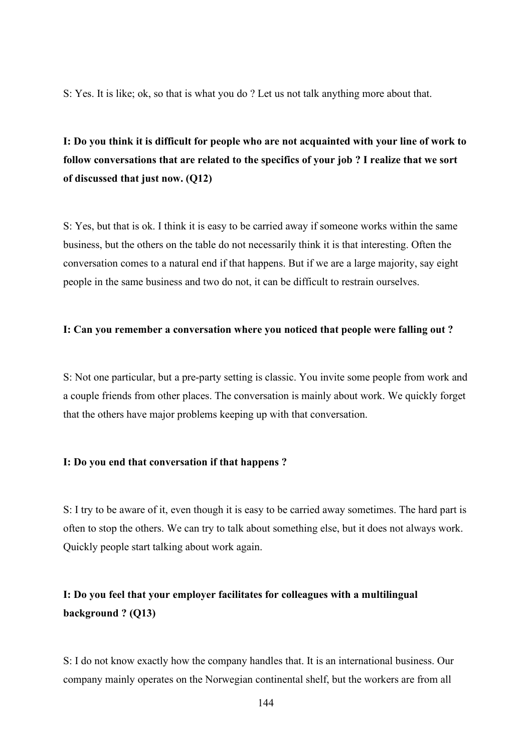S: Yes. It is like; ok, so that is what you do ? Let us not talk anything more about that.

# **I: Do you think it is difficult for people who are not acquainted with your line of work to follow conversations that are related to the specifics of your job ? I realize that we sort of discussed that just now. (Q12)**

S: Yes, but that is ok. I think it is easy to be carried away if someone works within the same business, but the others on the table do not necessarily think it is that interesting. Often the conversation comes to a natural end if that happens. But if we are a large majority, say eight people in the same business and two do not, it can be difficult to restrain ourselves.

### **I: Can you remember a conversation where you noticed that people were falling out ?**

S: Not one particular, but a pre-party setting is classic. You invite some people from work and a couple friends from other places. The conversation is mainly about work. We quickly forget that the others have major problems keeping up with that conversation.

### **I: Do you end that conversation if that happens ?**

S: I try to be aware of it, even though it is easy to be carried away sometimes. The hard part is often to stop the others. We can try to talk about something else, but it does not always work. Quickly people start talking about work again.

## **I: Do you feel that your employer facilitates for colleagues with a multilingual background ? (Q13)**

S: I do not know exactly how the company handles that. It is an international business. Our company mainly operates on the Norwegian continental shelf, but the workers are from all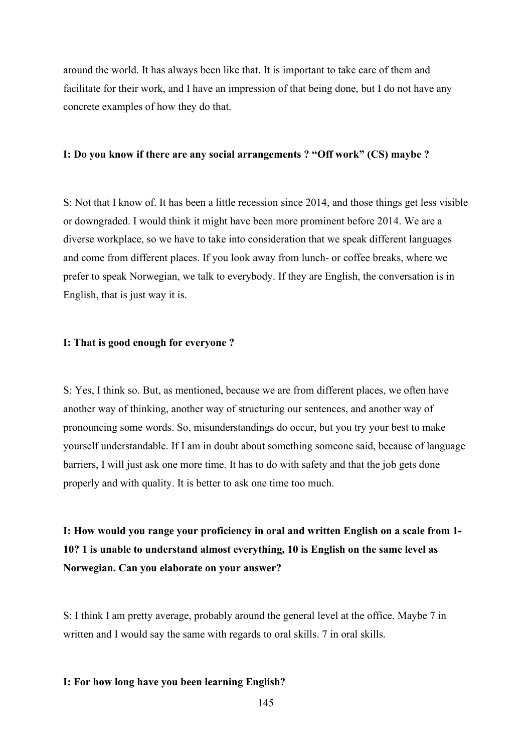around the world. It has always been like that. It is important to take care of them and facilitate for their work, and I have an impression of that being done, but I do not have any concrete examples of how they do that.

## **I: Do you know if there are any social arrangements ? "Off work" (CS) maybe ?**

S: Not that I know of. It has been a little recession since 2014, and those things get less visible or downgraded. I would think it might have been more prominent before 2014. We are a diverse workplace, so we have to take into consideration that we speak different languages and come from different places. If you look away from lunch- or coffee breaks, where we prefer to speak Norwegian, we talk to everybody. If they are English, the conversation is in English, that is just way it is.

## **I: That is good enough for everyone ?**

S: Yes, I think so. But, as mentioned, because we are from different places, we often have another way of thinking, another way of structuring our sentences, and another way of pronouncing some words. So, misunderstandings do occur, but you try your best to make yourself understandable. If I am in doubt about something someone said, because of language barriers, I will just ask one more time. It has to do with safety and that the job gets done properly and with quality. It is better to ask one time too much.

**I: How would you range your proficiency in oral and written English on a scale from 1- 10? 1 is unable to understand almost everything, 10 is English on the same level as Norwegian. Can you elaborate on your answer?**

S: I think I am pretty average, probably around the general level at the office. Maybe 7 in written and I would say the same with regards to oral skills. 7 in oral skills.

## **I: For how long have you been learning English?**